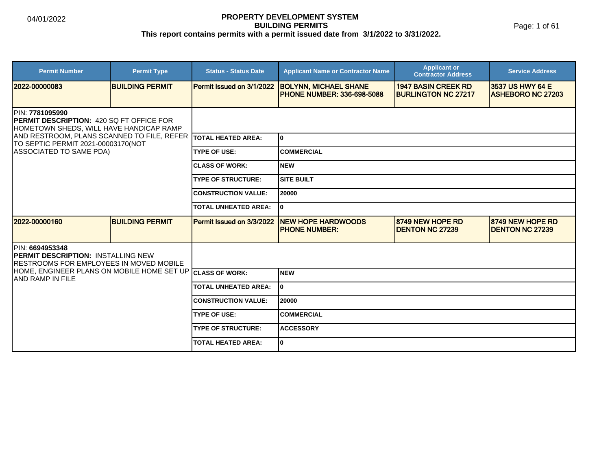#### **PROPERTY DEVELOPMENT SYSTEM BUILDING PERMITS This report contains permits with a permit issued date from 3/1/2022 to 3/31/2022.**

Page: 1 of 61

| <b>Permit Number</b>                                                                                                   | <b>Permit Type</b>     | <b>Status - Status Date</b> | <b>Applicant Name or Contractor Name</b>                           | <b>Applicant or</b><br><b>Contractor Address</b>         | <b>Service Address</b>                       |  |
|------------------------------------------------------------------------------------------------------------------------|------------------------|-----------------------------|--------------------------------------------------------------------|----------------------------------------------------------|----------------------------------------------|--|
| 2022-00000083                                                                                                          | <b>BUILDING PERMIT</b> | Permit Issued on 3/1/2022   | <b>BOLYNN, MICHAEL SHANE</b><br><b>IPHONE NUMBER: 336-698-5088</b> | <b>1947 BASIN CREEK RD</b><br><b>BURLINGTON NC 27217</b> | 3537 US HWY 64 E<br><b>ASHEBORO NC 27203</b> |  |
| <b>IPIN: 7781095990</b><br><b>IPERMIT DESCRIPTION: 420 SQ FT OFFICE FOR</b><br>HOMETOWN SHEDS, WILL HAVE HANDICAP RAMP |                        |                             |                                                                    |                                                          |                                              |  |
| AND RESTROOM, PLANS SCANNED TO FILE, REFER<br>TO SEPTIC PERMIT 2021-00003170(NOT                                       |                        | <b>TOTAL HEATED AREA:</b>   | I٥                                                                 |                                                          |                                              |  |
| ASSOCIATED TO SAME PDA)                                                                                                |                        | <b>TYPE OF USE:</b>         | <b>COMMERCIAL</b>                                                  |                                                          |                                              |  |
|                                                                                                                        |                        | <b>CLASS OF WORK:</b>       | <b>NEW</b>                                                         |                                                          |                                              |  |
|                                                                                                                        |                        | <b>TYPE OF STRUCTURE:</b>   | <b>SITE BUILT</b>                                                  |                                                          |                                              |  |
|                                                                                                                        |                        | <b>CONSTRUCTION VALUE:</b>  | 20000                                                              |                                                          |                                              |  |
|                                                                                                                        |                        | <b>TOTAL UNHEATED AREA:</b> | I٥                                                                 |                                                          |                                              |  |
| 2022-00000160                                                                                                          | <b>BUILDING PERMIT</b> | Permit Issued on 3/3/2022   | <b>NEW HOPE HARDWOODS</b><br><b>IPHONE NUMBER:</b>                 | 8749 NEW HOPE RD<br><b>DENTON NC 27239</b>               | 8749 NEW HOPE RD<br><b>DENTON NC 27239</b>   |  |
| IPIN: 6694953348<br><b>IPERMIT DESCRIPTION: INSTALLING NEW</b><br><b>IRESTROOMS FOR EMPLOYEES IN MOVED MOBILE</b>      |                        |                             |                                                                    |                                                          |                                              |  |
| HOME, ENGINEER PLANS ON MOBILE HOME SET UP<br><b>JAND RAMP IN FILE</b>                                                 |                        | <b>ICLASS OF WORK:</b>      | <b>NEW</b>                                                         |                                                          |                                              |  |
|                                                                                                                        |                        | <b>TOTAL UNHEATED AREA:</b> | I٥                                                                 |                                                          |                                              |  |
|                                                                                                                        |                        | <b>CONSTRUCTION VALUE:</b>  | 120000                                                             |                                                          |                                              |  |
|                                                                                                                        |                        | <b>TYPE OF USE:</b>         | <b>COMMERCIAL</b>                                                  |                                                          |                                              |  |
|                                                                                                                        |                        | <b>TYPE OF STRUCTURE:</b>   | <b>ACCESSORY</b>                                                   |                                                          |                                              |  |
|                                                                                                                        |                        | <b>TOTAL HEATED AREA:</b>   | lo.                                                                |                                                          |                                              |  |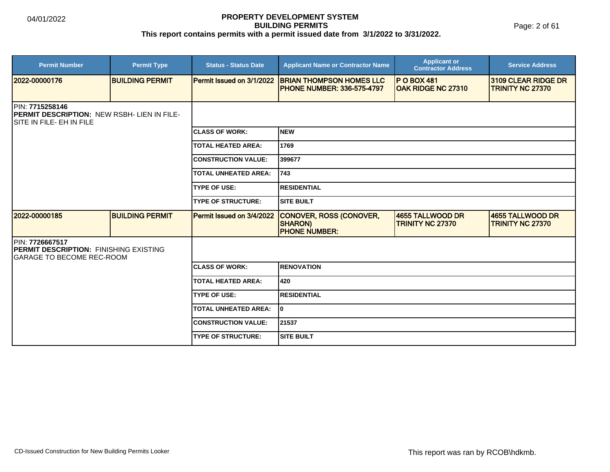Page: 2 of 61

| <b>Permit Number</b>                                                                               | <b>Permit Type</b>     | <b>Status - Status Date</b>      | <b>Applicant Name or Contractor Name</b>                              | <b>Applicant or</b><br><b>Contractor Address</b> | <b>Service Address</b>                                |
|----------------------------------------------------------------------------------------------------|------------------------|----------------------------------|-----------------------------------------------------------------------|--------------------------------------------------|-------------------------------------------------------|
| 2022-00000176                                                                                      | <b>BUILDING PERMIT</b> | <b>Permit Issued on 3/1/2022</b> | <b>BRIAN THOMPSON HOMES LLC</b><br><b>IPHONE NUMBER: 336-575-4797</b> | <b>P O BOX 481</b><br><b>OAK RIDGE NC 27310</b>  | <b>3109 CLEAR RIDGE DR</b><br><b>TRINITY NC 27370</b> |
| PIN: 7715258146<br><b>PERMIT DESCRIPTION: NEW RSBH- LIEN IN FILE-</b><br>ISITE IN FILE- EH IN FILE |                        |                                  |                                                                       |                                                  |                                                       |
|                                                                                                    |                        | <b>ICLASS OF WORK:</b>           | <b>INEW</b>                                                           |                                                  |                                                       |
|                                                                                                    |                        | <b>TOTAL HEATED AREA:</b>        | 1769                                                                  |                                                  |                                                       |
|                                                                                                    |                        | <b>CONSTRUCTION VALUE:</b>       | 399677                                                                |                                                  |                                                       |
|                                                                                                    |                        | <b>TOTAL UNHEATED AREA:</b>      | 743                                                                   |                                                  |                                                       |
|                                                                                                    |                        | <b>TYPE OF USE:</b>              | <b>RESIDENTIAL</b>                                                    |                                                  |                                                       |
|                                                                                                    |                        | <b>TYPE OF STRUCTURE:</b>        | <b>SITE BUILT</b>                                                     |                                                  |                                                       |
| 2022-00000185                                                                                      | <b>BUILDING PERMIT</b> | <b>Permit Issued on 3/4/2022</b> | CONOVER, ROSS (CONOVER,<br><b>SHARON)</b><br><b>PHONE NUMBER:</b>     | 4655 TALLWOOD DR<br><b>TRINITY NC 27370</b>      | 14655 TALLWOOD DR<br><b>TRINITY NC 27370</b>          |
| PIN: 7726667517<br><b>IPERMIT DESCRIPTION: FINISHING EXISTING</b><br>IGARAGE TO BECOME REC-ROOM    |                        |                                  |                                                                       |                                                  |                                                       |
|                                                                                                    |                        | <b>ICLASS OF WORK:</b>           | <b>RENOVATION</b>                                                     |                                                  |                                                       |
|                                                                                                    |                        | <b>TOTAL HEATED AREA:</b>        | 420                                                                   |                                                  |                                                       |
|                                                                                                    |                        | <b>TYPE OF USE:</b>              | <b>RESIDENTIAL</b>                                                    |                                                  |                                                       |
|                                                                                                    |                        | <b>TOTAL UNHEATED AREA:</b>      | I٥                                                                    |                                                  |                                                       |
|                                                                                                    |                        | <b>ICONSTRUCTION VALUE:</b>      | 21537                                                                 |                                                  |                                                       |
|                                                                                                    |                        | <b>ITYPE OF STRUCTURE:</b>       | <b>SITE BUILT</b>                                                     |                                                  |                                                       |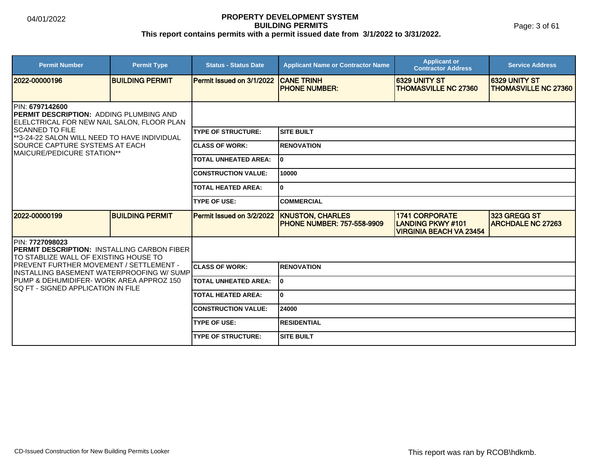Page: 3 of 61

| <b>Permit Number</b>                                                                                                                                                         | <b>Permit Type</b>     | <b>Status - Status Date</b> | <b>Applicant Name or Contractor Name</b>                     | <b>Applicant or</b><br><b>Contractor Address</b>                             | <b>Service Address</b>                               |
|------------------------------------------------------------------------------------------------------------------------------------------------------------------------------|------------------------|-----------------------------|--------------------------------------------------------------|------------------------------------------------------------------------------|------------------------------------------------------|
| 2022-00000196                                                                                                                                                                | <b>BUILDING PERMIT</b> | Permit Issued on 3/1/2022   | <b>CANE TRINH</b><br><b>IPHONE NUMBER:</b>                   | 6329 UNITY ST<br><b>THOMASVILLE NC 27360</b>                                 | <b>16329 UNITY ST</b><br><b>THOMASVILLE NC 27360</b> |
| PIN: 6797142600<br>PERMIT DESCRIPTION: ADDING PLUMBING AND<br>ELELCTRICAL FOR NEW NAIL SALON, FLOOR PLAN<br>ISCANNED TO FILE<br>**3-24-22 SALON WILL NEED TO HAVE INDIVIDUAL |                        |                             |                                                              |                                                                              |                                                      |
|                                                                                                                                                                              |                        | <b>TYPE OF STRUCTURE:</b>   | <b>SITE BUILT</b>                                            |                                                                              |                                                      |
| <b>SOURCE CAPTURE SYSTEMS AT EACH</b><br><b>I</b> MAICURE/PEDICURE STATION**                                                                                                 |                        | <b>ICLASS OF WORK:</b>      | <b>RENOVATION</b>                                            |                                                                              |                                                      |
|                                                                                                                                                                              |                        | <b>TOTAL UNHEATED AREA:</b> | I٥                                                           |                                                                              |                                                      |
|                                                                                                                                                                              |                        | <b>CONSTRUCTION VALUE:</b>  | 10000                                                        |                                                                              |                                                      |
|                                                                                                                                                                              |                        | <b>TOTAL HEATED AREA:</b>   | I٥                                                           |                                                                              |                                                      |
|                                                                                                                                                                              |                        | <b>TYPE OF USE:</b>         | <b>COMMERCIAL</b>                                            |                                                                              |                                                      |
| 2022-00000199                                                                                                                                                                | <b>BUILDING PERMIT</b> | Permit Issued on 3/2/2022   | <b>KNUSTON, CHARLES</b><br><b>PHONE NUMBER: 757-558-9909</b> | <b>1741 CORPORATE</b><br>LANDING PKWY #101<br><b>VIRGINIA BEACH VA 23454</b> | 323 GREGG ST<br><b>ARCHDALE NC 27263</b>             |
| <b>IPIN: 7727098023</b><br><b>IPERMIT DESCRIPTION: INSTALLING CARBON FIBER</b><br>ITO STABLIZE WALL OF EXISTING HOUSE TO                                                     |                        |                             |                                                              |                                                                              |                                                      |
| <b>IPREVENT FURTHER MOVEMENT / SETTLEMENT -</b><br>IINSTALLING BASEMENT WATERPROOFING W/ SUMPI                                                                               |                        | <b>CLASS OF WORK:</b>       | <b>RENOVATION</b>                                            |                                                                              |                                                      |
| IPUMP & DEHUMIDIFER- WORK AREA APPROZ 150<br>ISQ FT - SIGNED APPLICATION IN FILE                                                                                             |                        | <b>TOTAL UNHEATED AREA:</b> | I٥                                                           |                                                                              |                                                      |
|                                                                                                                                                                              |                        | <b>TOTAL HEATED AREA:</b>   | lo.                                                          |                                                                              |                                                      |
|                                                                                                                                                                              |                        | <b>CONSTRUCTION VALUE:</b>  | 24000                                                        |                                                                              |                                                      |
|                                                                                                                                                                              |                        | <b>TYPE OF USE:</b>         | <b>RESIDENTIAL</b>                                           |                                                                              |                                                      |
|                                                                                                                                                                              |                        | <b>TYPE OF STRUCTURE:</b>   | <b>SITE BUILT</b>                                            |                                                                              |                                                      |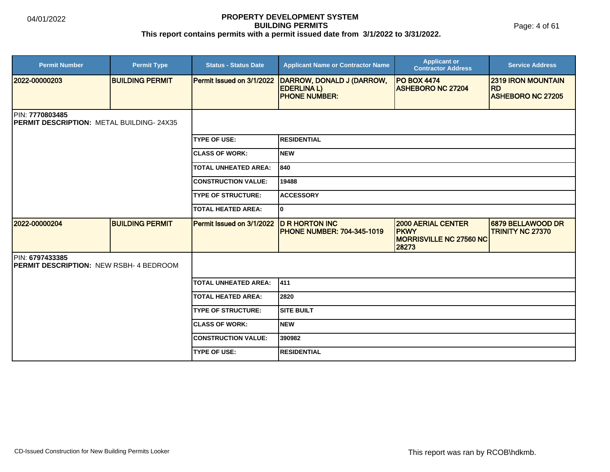Page: 4 of 61

| <b>Permit Number</b>                                               | <b>Permit Type</b>     | <b>Status - Status Date</b> | <b>Applicant Name or Contractor Name</b>                               | <b>Applicant or</b><br><b>Contractor Address</b>                                    | <b>Service Address</b>                                             |  |  |  |
|--------------------------------------------------------------------|------------------------|-----------------------------|------------------------------------------------------------------------|-------------------------------------------------------------------------------------|--------------------------------------------------------------------|--|--|--|
| 2022-00000203                                                      | <b>BUILDING PERMIT</b> | Permit Issued on 3/1/2022   | DARROW, DONALD J (DARROW,<br><b>EDERLINAL)</b><br><b>PHONE NUMBER:</b> | <b>PO BOX 4474</b><br><b>ASHEBORO NC 27204</b>                                      | <b>2319 IRON MOUNTAIN</b><br><b>RD</b><br><b>ASHEBORO NC 27205</b> |  |  |  |
| PIN: 7770803485<br>PERMIT DESCRIPTION: METAL BUILDING-24X35        |                        |                             |                                                                        |                                                                                     |                                                                    |  |  |  |
|                                                                    |                        | <b>TYPE OF USE:</b>         | <b>RESIDENTIAL</b>                                                     |                                                                                     |                                                                    |  |  |  |
|                                                                    |                        | <b>CLASS OF WORK:</b>       | Inew                                                                   |                                                                                     |                                                                    |  |  |  |
|                                                                    |                        | <b>TOTAL UNHEATED AREA:</b> | 840                                                                    |                                                                                     |                                                                    |  |  |  |
|                                                                    |                        | <b>CONSTRUCTION VALUE:</b>  | 19488                                                                  |                                                                                     |                                                                    |  |  |  |
|                                                                    |                        | <b>TYPE OF STRUCTURE:</b>   | <b>ACCESSORY</b>                                                       |                                                                                     |                                                                    |  |  |  |
|                                                                    |                        | <b>TOTAL HEATED AREA:</b>   | lo.                                                                    |                                                                                     |                                                                    |  |  |  |
| 2022-00000204                                                      | <b>BUILDING PERMIT</b> | Permit Issued on 3/1/2022   | <b>D R HORTON INC</b><br><b>PHONE NUMBER: 704-345-1019</b>             | <b>2000 AERIAL CENTER</b><br><b>PKWY</b><br><b>MORRISVILLE NC 27560 NC</b><br>28273 | 6879 BELLAWOOD DR<br><b>TRINITY NC 27370</b>                       |  |  |  |
| PIN: 6797433385<br><b>IPERMIT DESCRIPTION: NEW RSBH- 4 BEDROOM</b> |                        |                             |                                                                        |                                                                                     |                                                                    |  |  |  |
|                                                                    |                        | <b>TOTAL UNHEATED AREA:</b> | 1411                                                                   |                                                                                     |                                                                    |  |  |  |
|                                                                    |                        | <b>TOTAL HEATED AREA:</b>   | 2820                                                                   |                                                                                     |                                                                    |  |  |  |
|                                                                    |                        | <b>TYPE OF STRUCTURE:</b>   | <b>SITE BUILT</b>                                                      |                                                                                     |                                                                    |  |  |  |
|                                                                    |                        | <b>ICLASS OF WORK:</b>      | Inew                                                                   |                                                                                     |                                                                    |  |  |  |
|                                                                    |                        | <b>CONSTRUCTION VALUE:</b>  | 390982                                                                 |                                                                                     |                                                                    |  |  |  |
|                                                                    |                        | <b>TYPE OF USE:</b>         | <b>IRESIDENTIAL</b>                                                    |                                                                                     |                                                                    |  |  |  |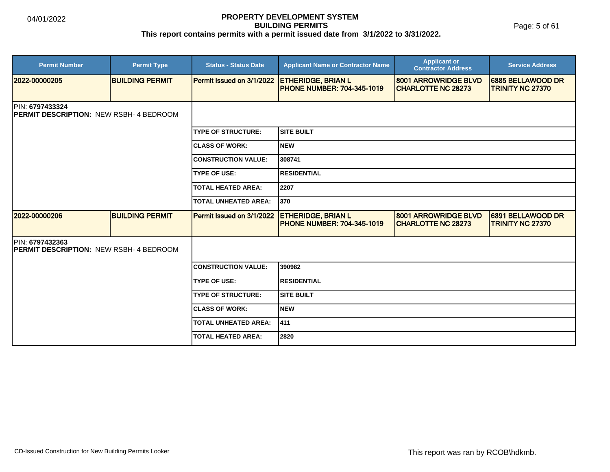Page: 5 of 61

| <b>Permit Number</b>                                                      | <b>Permit Type</b>     | <b>Status - Status Date</b> | <b>Applicant Name or Contractor Name</b>                       | <b>Applicant or</b><br><b>Contractor Address</b>  | <b>Service Address</b>                       |
|---------------------------------------------------------------------------|------------------------|-----------------------------|----------------------------------------------------------------|---------------------------------------------------|----------------------------------------------|
| 2022-00000205                                                             | <b>BUILDING PERMIT</b> | Permit Issued on 3/1/2022   | <b>ETHERIDGE, BRIAN L</b><br><b>PHONE NUMBER: 704-345-1019</b> | 8001 ARROWRIDGE BLVD<br><b>CHARLOTTE NC 28273</b> | 6885 BELLAWOOD DR<br><b>TRINITY NC 27370</b> |
| <b>IPIN: 6797433324</b><br><b>IPERMIT DESCRIPTION: NEW RSBH-4 BEDROOM</b> |                        |                             |                                                                |                                                   |                                              |
|                                                                           |                        | <b>TYPE OF STRUCTURE:</b>   | Isite built                                                    |                                                   |                                              |
|                                                                           |                        | <b>CLASS OF WORK:</b>       | Inew                                                           |                                                   |                                              |
|                                                                           |                        | <b>CONSTRUCTION VALUE:</b>  | 308741                                                         |                                                   |                                              |
|                                                                           |                        | <b>TYPE OF USE:</b>         | <b>RESIDENTIAL</b>                                             |                                                   |                                              |
|                                                                           |                        | <b>TOTAL HEATED AREA:</b>   | 2207                                                           |                                                   |                                              |
|                                                                           |                        | <b>TOTAL UNHEATED AREA:</b> | 1370                                                           |                                                   |                                              |
| 2022-00000206                                                             | <b>BUILDING PERMIT</b> | Permit Issued on 3/1/2022   | <b>ETHERIDGE, BRIAN L</b><br><b>PHONE NUMBER: 704-345-1019</b> | 8001 ARROWRIDGE BLVD<br><b>CHARLOTTE NC 28273</b> | 6891 BELLAWOOD DR<br><b>TRINITY NC 27370</b> |
| PIN: 6797432363<br><b>IPERMIT DESCRIPTION: NEW RSBH- 4 BEDROOM</b>        |                        |                             |                                                                |                                                   |                                              |
|                                                                           |                        | <b>CONSTRUCTION VALUE:</b>  | 390982                                                         |                                                   |                                              |
|                                                                           |                        | <b>TYPE OF USE:</b>         | <b>RESIDENTIAL</b>                                             |                                                   |                                              |
|                                                                           |                        | <b>TYPE OF STRUCTURE:</b>   | ISITE BUILT                                                    |                                                   |                                              |
|                                                                           |                        | <b>CLASS OF WORK:</b>       | Inew                                                           |                                                   |                                              |
|                                                                           |                        | <b>TOTAL UNHEATED AREA:</b> | 411                                                            |                                                   |                                              |
|                                                                           |                        | <b>TOTAL HEATED AREA:</b>   | 2820                                                           |                                                   |                                              |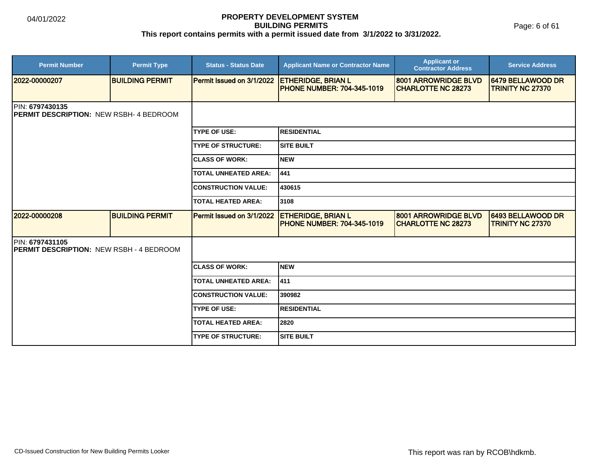Page: 6 of 61

| <b>Permit Number</b>                                                      | <b>Permit Type</b>     | <b>Status - Status Date</b>      | <b>Applicant Name or Contractor Name</b>                       | <b>Applicant or</b><br><b>Contractor Address</b>  | <b>Service Address</b>                       |  |  |
|---------------------------------------------------------------------------|------------------------|----------------------------------|----------------------------------------------------------------|---------------------------------------------------|----------------------------------------------|--|--|
| 2022-00000207                                                             | <b>BUILDING PERMIT</b> | Permit Issued on 3/1/2022        | <b>ETHERIDGE, BRIAN L</b><br><b>PHONE NUMBER: 704-345-1019</b> | 8001 ARROWRIDGE BLVD<br><b>CHARLOTTE NC 28273</b> | 6479 BELLAWOOD DR<br>TRINITY NC 27370        |  |  |
| <b>PIN: 6797430135</b><br><b>IPERMIT DESCRIPTION: NEW RSBH-4 BEDROOM</b>  |                        |                                  |                                                                |                                                   |                                              |  |  |
|                                                                           |                        | <b>TYPE OF USE:</b>              | <b>IRESIDENTIAL</b>                                            |                                                   |                                              |  |  |
|                                                                           |                        | <b>TYPE OF STRUCTURE:</b>        | <b>SITE BUILT</b>                                              |                                                   |                                              |  |  |
|                                                                           |                        | <b>ICLASS OF WORK:</b>           | Inew                                                           |                                                   |                                              |  |  |
|                                                                           |                        | <b>TOTAL UNHEATED AREA:</b>      | 441                                                            |                                                   |                                              |  |  |
|                                                                           |                        | <b>CONSTRUCTION VALUE:</b>       | 430615                                                         |                                                   |                                              |  |  |
|                                                                           |                        | <b>TOTAL HEATED AREA:</b>        | 3108                                                           |                                                   |                                              |  |  |
| 12022-00000208                                                            | <b>BUILDING PERMIT</b> | <b>Permit Issued on 3/1/2022</b> | <b>ETHERIDGE, BRIAN L</b><br>PHONE NUMBER: 704-345-1019        | 8001 ARROWRIDGE BLVD<br><b>CHARLOTTE NC 28273</b> | 6493 BELLAWOOD DR<br><b>TRINITY NC 27370</b> |  |  |
| <b>PIN: 6797431105</b><br><b>PERMIT DESCRIPTION: NEW RSBH - 4 BEDROOM</b> |                        |                                  |                                                                |                                                   |                                              |  |  |
|                                                                           |                        | <b>ICLASS OF WORK:</b>           | Inew                                                           |                                                   |                                              |  |  |
|                                                                           |                        | <b>TOTAL UNHEATED AREA:</b>      | 1411                                                           |                                                   |                                              |  |  |
|                                                                           |                        | <b>ICONSTRUCTION VALUE:</b>      | 390982                                                         |                                                   |                                              |  |  |
|                                                                           |                        | <b>TYPE OF USE:</b>              | <b>IRESIDENTIAL</b>                                            |                                                   |                                              |  |  |
|                                                                           |                        | <b>TOTAL HEATED AREA:</b>        | 2820                                                           |                                                   |                                              |  |  |
|                                                                           |                        | <b>TYPE OF STRUCTURE:</b>        | <b>SITE BUILT</b>                                              |                                                   |                                              |  |  |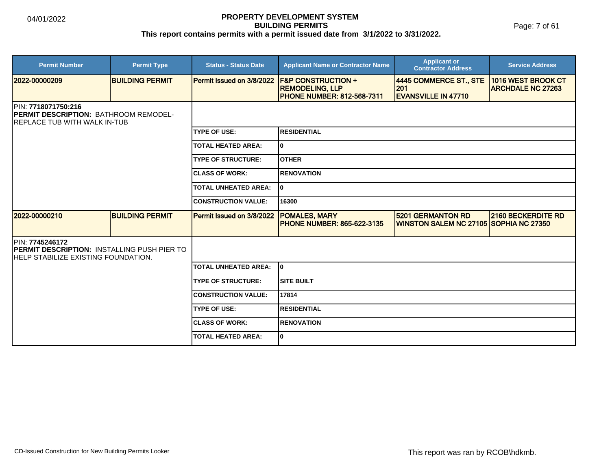Page: 7 of 61

| <b>Permit Number</b>                                                                                          | <b>Permit Type</b>     | <b>Status - Status Date</b> | <b>Applicant Name or Contractor Name</b>                                                     | <b>Applicant or</b><br><b>Contractor Address</b>                   | <b>Service Address</b>                         |  |
|---------------------------------------------------------------------------------------------------------------|------------------------|-----------------------------|----------------------------------------------------------------------------------------------|--------------------------------------------------------------------|------------------------------------------------|--|
| 2022-00000209                                                                                                 | <b>BUILDING PERMIT</b> | Permit Issued on 3/8/2022   | <b>F&amp;P CONSTRUCTION +</b><br><b>REMODELING, LLP</b><br><b>PHONE NUMBER: 812-568-7311</b> | 4445 COMMERCE ST., STE<br>201<br><b>EVANSVILLE IN 47710</b>        | 1016 WEST BROOK CT<br><b>ARCHDALE NC 27263</b> |  |
| PIN: 7718071750:216<br>PERMIT DESCRIPTION: BATHROOM REMODEL-<br>IREPLACE TUB WITH WALK IN-TUB                 |                        |                             |                                                                                              |                                                                    |                                                |  |
|                                                                                                               |                        | <b>TYPE OF USE:</b>         | <b>RESIDENTIAL</b>                                                                           |                                                                    |                                                |  |
|                                                                                                               |                        | <b>TOTAL HEATED AREA:</b>   | 0                                                                                            |                                                                    |                                                |  |
|                                                                                                               |                        | <b>TYPE OF STRUCTURE:</b>   | <b>OTHER</b>                                                                                 |                                                                    |                                                |  |
|                                                                                                               |                        | <b>CLASS OF WORK:</b>       | <b>RENOVATION</b>                                                                            |                                                                    |                                                |  |
|                                                                                                               |                        | <b>TOTAL UNHEATED AREA:</b> | 0                                                                                            |                                                                    |                                                |  |
|                                                                                                               |                        | <b>CONSTRUCTION VALUE:</b>  | 16300                                                                                        |                                                                    |                                                |  |
| 2022-00000210                                                                                                 | <b>BUILDING PERMIT</b> | Permit Issued on 3/8/2022   | <b>POMALES, MARY</b><br><b>PHONE NUMBER: 865-622-3135</b>                                    | <b>5201 GERMANTON RD</b><br>WINSTON SALEM NC 27105 SOPHIA NC 27350 | <b>2160 BECKERDITE RD</b>                      |  |
| PIN: 7745246172<br><b>IPERMIT DESCRIPTION: INSTALLING PUSH PIER TO</b><br>HELP STABILIZE EXISTING FOUNDATION. |                        |                             |                                                                                              |                                                                    |                                                |  |
|                                                                                                               |                        | <b>TOTAL UNHEATED AREA:</b> | I٥                                                                                           |                                                                    |                                                |  |
|                                                                                                               |                        | <b>TYPE OF STRUCTURE:</b>   | <b>SITE BUILT</b>                                                                            |                                                                    |                                                |  |
|                                                                                                               |                        | <b>CONSTRUCTION VALUE:</b>  | 17814                                                                                        |                                                                    |                                                |  |
|                                                                                                               |                        | <b>TYPE OF USE:</b>         | <b>RESIDENTIAL</b>                                                                           |                                                                    |                                                |  |
|                                                                                                               |                        | <b>CLASS OF WORK:</b>       | <b>RENOVATION</b>                                                                            |                                                                    |                                                |  |
|                                                                                                               |                        | <b>TOTAL HEATED AREA:</b>   | 0                                                                                            |                                                                    |                                                |  |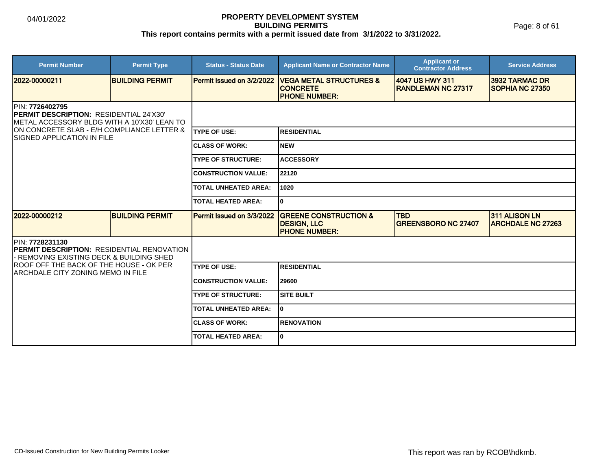Page: 8 of 61

| <b>Permit Number</b>                                                                                                      | <b>Permit Type</b>     | <b>Status - Status Date</b> | <b>Applicant Name or Contractor Name</b>                                       | <b>Applicant or</b><br><b>Contractor Address</b> | <b>Service Address</b>                    |  |
|---------------------------------------------------------------------------------------------------------------------------|------------------------|-----------------------------|--------------------------------------------------------------------------------|--------------------------------------------------|-------------------------------------------|--|
| 2022-00000211                                                                                                             | <b>BUILDING PERMIT</b> | Permit Issued on 3/2/2022   | <b>VEGA METAL STRUCTURES &amp;</b><br><b>CONCRETE</b><br><b>PHONE NUMBER:</b>  | 4047 US HWY 311<br><b>RANDLEMAN NC 27317</b>     | 3932 TARMAC DR<br>SOPHIA NC 27350         |  |
| <b>IPIN: 7726402795</b><br><b>IPERMIT DESCRIPTION: RESIDENTIAL 24'X30'</b><br>METAL ACCESSORY BLDG WITH A 10'X30' LEAN TO |                        |                             |                                                                                |                                                  |                                           |  |
| ON CONCRETE SLAB - E/H COMPLIANCE LETTER &<br>ISIGNED APPLICATION IN FILE                                                 |                        | <b>ITYPE OF USE:</b>        | <b>RESIDENTIAL</b>                                                             |                                                  |                                           |  |
|                                                                                                                           |                        | <b>ICLASS OF WORK:</b>      | <b>NEW</b>                                                                     |                                                  |                                           |  |
|                                                                                                                           |                        | <b>TYPE OF STRUCTURE:</b>   | <b>ACCESSORY</b>                                                               |                                                  |                                           |  |
|                                                                                                                           |                        | <b>CONSTRUCTION VALUE:</b>  | 22120                                                                          |                                                  |                                           |  |
|                                                                                                                           |                        | <b>TOTAL UNHEATED AREA:</b> | 1020                                                                           |                                                  |                                           |  |
|                                                                                                                           |                        | <b>TOTAL HEATED AREA:</b>   | 0                                                                              |                                                  |                                           |  |
| 2022-00000212                                                                                                             | <b>BUILDING PERMIT</b> | Permit Issued on 3/3/2022   | <b>GREENE CONSTRUCTION &amp;</b><br><b>DESIGN, LLC</b><br><b>PHONE NUMBER:</b> | <b>TBD</b><br><b>GREENSBORO NC 27407</b>         | 311 ALISON LN<br><b>ARCHDALE NC 27263</b> |  |
| <b>PIN: 7728231130</b><br><b>IPERMIT DESCRIPTION: RESIDENTIAL RENOVATION</b><br>REMOVING EXISTING DECK & BUILDING SHED    |                        |                             |                                                                                |                                                  |                                           |  |
| ROOF OFF THE BACK OF THE HOUSE - OK PER<br>IARCHDALE CITY ZONING MEMO IN FILE                                             |                        | <b>TYPE OF USE:</b>         | <b>RESIDENTIAL</b>                                                             |                                                  |                                           |  |
|                                                                                                                           |                        | <b>CONSTRUCTION VALUE:</b>  | 29600                                                                          |                                                  |                                           |  |
|                                                                                                                           |                        | <b>TYPE OF STRUCTURE:</b>   | <b>SITE BUILT</b>                                                              |                                                  |                                           |  |
|                                                                                                                           |                        | <b>TOTAL UNHEATED AREA:</b> | $\mathbf{0}$                                                                   |                                                  |                                           |  |
|                                                                                                                           |                        | <b>ICLASS OF WORK:</b>      | <b>RENOVATION</b>                                                              |                                                  |                                           |  |
|                                                                                                                           |                        | <b>TOTAL HEATED AREA:</b>   | 0                                                                              |                                                  |                                           |  |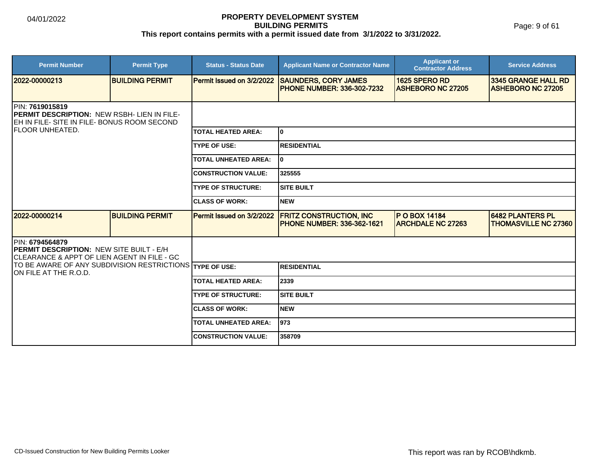Page: 9 of 61

| <b>Permit Number</b>                                                                                                                  | <b>Permit Type</b>     | <b>Status - Status Date</b> | <b>Applicant Name or Contractor Name</b>                              | <b>Applicant or</b><br><b>Contractor Address</b> | <b>Service Address</b>                                 |  |
|---------------------------------------------------------------------------------------------------------------------------------------|------------------------|-----------------------------|-----------------------------------------------------------------------|--------------------------------------------------|--------------------------------------------------------|--|
| 2022-00000213                                                                                                                         | <b>BUILDING PERMIT</b> | Permit Issued on 3/2/2022   | <b>SAUNDERS, CORY JAMES</b><br><b>PHONE NUMBER: 336-302-7232</b>      | 1625 SPERO RD<br><b>ASHEBORO NC 27205</b>        | 3345 GRANGE HALL RD<br><b>ASHEBORO NC 27205</b>        |  |
| <b>IPIN: 7619015819</b><br><b>IPERMIT DESCRIPTION: NEW RSBH- LIEN IN FILE-</b><br>EH IN FILE- SITE IN FILE- BONUS ROOM SECOND         |                        |                             |                                                                       |                                                  |                                                        |  |
| <b>IFLOOR UNHEATED.</b>                                                                                                               |                        | <b>TOTAL HEATED AREA:</b>   | I٥                                                                    |                                                  |                                                        |  |
|                                                                                                                                       |                        | <b>TYPE OF USE:</b>         | <b>RESIDENTIAL</b>                                                    |                                                  |                                                        |  |
|                                                                                                                                       |                        | <b>TOTAL UNHEATED AREA:</b> | I٥                                                                    |                                                  |                                                        |  |
|                                                                                                                                       |                        | <b>CONSTRUCTION VALUE:</b>  | 325555                                                                |                                                  |                                                        |  |
|                                                                                                                                       |                        | <b>TYPE OF STRUCTURE:</b>   | <b>SITE BUILT</b>                                                     |                                                  |                                                        |  |
|                                                                                                                                       |                        | <b>ICLASS OF WORK:</b>      | Inew                                                                  |                                                  |                                                        |  |
| 12022-00000214                                                                                                                        | <b>BUILDING PERMIT</b> | Permit Issued on 3/2/2022   | <b>FRITZ CONSTRUCTION, INC.</b><br><b>IPHONE NUMBER: 336-362-1621</b> | <b>P O BOX 14184</b><br><b>ARCHDALE NC 27263</b> | <b>6482 PLANTERS PL</b><br><b>THOMASVILLE NC 27360</b> |  |
| <b>IPIN: 6794564879</b><br><b>IPERMIT DESCRIPTION: NEW SITE BUILT - E/H</b><br><b>CLEARANCE &amp; APPT OF LIEN AGENT IN FILE - GC</b> |                        |                             |                                                                       |                                                  |                                                        |  |
| TO BE AWARE OF ANY SUBDIVISION RESTRICTIONS TYPE OF USE:<br>ION FILE AT THE R.O.D.                                                    |                        |                             | <b>RESIDENTIAL</b>                                                    |                                                  |                                                        |  |
|                                                                                                                                       |                        | <b>TOTAL HEATED AREA:</b>   | 2339                                                                  |                                                  |                                                        |  |
|                                                                                                                                       |                        | <b>TYPE OF STRUCTURE:</b>   | <b>SITE BUILT</b>                                                     |                                                  |                                                        |  |
|                                                                                                                                       |                        | <b>CLASS OF WORK:</b>       | <b>NEW</b>                                                            |                                                  |                                                        |  |
|                                                                                                                                       |                        | <b>TOTAL UNHEATED AREA:</b> | 1973                                                                  |                                                  |                                                        |  |
|                                                                                                                                       |                        | <b>CONSTRUCTION VALUE:</b>  | 358709                                                                |                                                  |                                                        |  |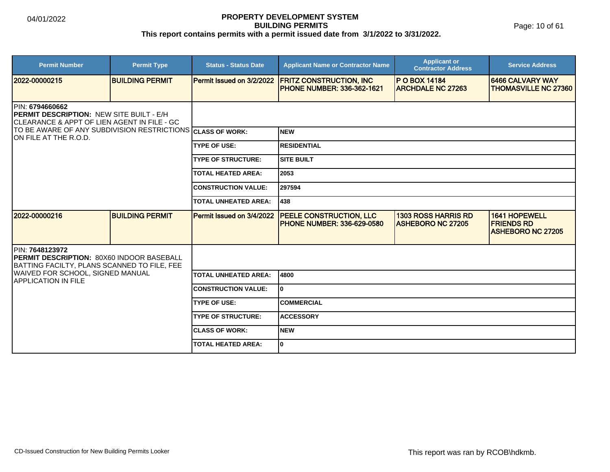Page: 10 of 61

| <b>Permit Number</b>                                                                                                | <b>Permit Type</b>     | <b>Status - Status Date</b> | <b>Applicant Name or Contractor Name</b>                            | <b>Applicant or</b><br><b>Contractor Address</b>       | <b>Service Address</b>                                                |
|---------------------------------------------------------------------------------------------------------------------|------------------------|-----------------------------|---------------------------------------------------------------------|--------------------------------------------------------|-----------------------------------------------------------------------|
| 2022-00000215                                                                                                       | <b>BUILDING PERMIT</b> | Permit Issued on 3/2/2022   | <b>FRITZ CONSTRUCTION, INC</b><br><b>PHONE NUMBER: 336-362-1621</b> | <b>P O BOX 14184</b><br><b>ARCHDALE NC 27263</b>       | 6466 CALVARY WAY<br><b>THOMASVILLE NC 27360</b>                       |
| PIN: 6794660662<br>PERMIT DESCRIPTION: NEW SITE BUILT - E/H<br>ICLEARANCE & APPT OF LIEN AGENT IN FILE - GC         |                        |                             |                                                                     |                                                        |                                                                       |
| TO BE AWARE OF ANY SUBDIVISION RESTRICTIONS CLASS OF WORK:<br>ION FILE AT THE R.O.D.                                |                        |                             | <b>NEW</b>                                                          |                                                        |                                                                       |
|                                                                                                                     |                        | <b>TYPE OF USE:</b>         | <b>RESIDENTIAL</b>                                                  |                                                        |                                                                       |
|                                                                                                                     |                        | <b>TYPE OF STRUCTURE:</b>   | <b>SITE BUILT</b>                                                   |                                                        |                                                                       |
|                                                                                                                     |                        | <b>TOTAL HEATED AREA:</b>   | 2053                                                                |                                                        |                                                                       |
|                                                                                                                     |                        | <b>CONSTRUCTION VALUE:</b>  | 297594                                                              |                                                        |                                                                       |
|                                                                                                                     |                        | <b>TOTAL UNHEATED AREA:</b> | 438                                                                 |                                                        |                                                                       |
| 2022-00000216                                                                                                       | <b>BUILDING PERMIT</b> | Permit Issued on 3/4/2022   | PEELE CONSTRUCTION, LLC<br><b>PHONE NUMBER: 336-629-0580</b>        | <b>1303 ROSS HARRIS RD</b><br><b>ASHEBORO NC 27205</b> | <b>1641 HOPEWELL</b><br><b>FRIENDS RD</b><br><b>ASHEBORO NC 27205</b> |
| <b>IPIN: 7648123972</b><br>PERMIT DESCRIPTION: 80X60 INDOOR BASEBALL<br>BATTING FACILTY, PLANS SCANNED TO FILE, FEE |                        |                             |                                                                     |                                                        |                                                                       |
| WAIVED FOR SCHOOL, SIGNED MANUAL<br><b>APPLICATION IN FILE</b>                                                      |                        | <b>TOTAL UNHEATED AREA:</b> | 4800                                                                |                                                        |                                                                       |
|                                                                                                                     |                        | <b>CONSTRUCTION VALUE:</b>  | 0                                                                   |                                                        |                                                                       |
|                                                                                                                     |                        | <b>TYPE OF USE:</b>         | <b>COMMERCIAL</b>                                                   |                                                        |                                                                       |
|                                                                                                                     |                        | <b>TYPE OF STRUCTURE:</b>   | <b>ACCESSORY</b>                                                    |                                                        |                                                                       |
|                                                                                                                     |                        | <b>ICLASS OF WORK:</b>      | <b>NEW</b>                                                          |                                                        |                                                                       |
|                                                                                                                     |                        | <b>TOTAL HEATED AREA:</b>   | $\mathbf{0}$                                                        |                                                        |                                                                       |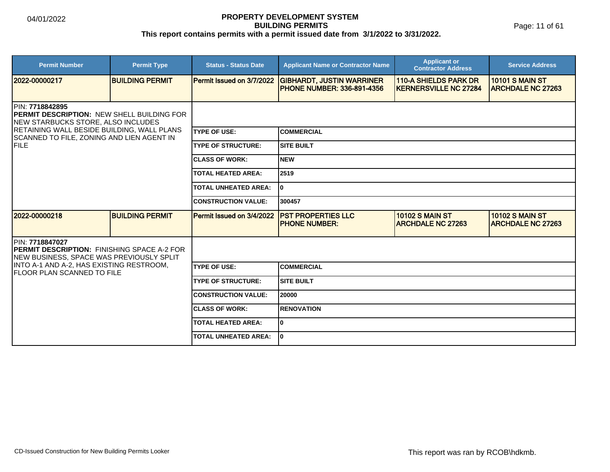Page: 11 of 61

| <b>Permit Number</b>                                                                                               | <b>Permit Type</b>     | <b>Status - Status Date</b> | <b>Applicant Name or Contractor Name</b>                               | <b>Applicant or</b><br><b>Contractor Address</b>              | <b>Service Address</b>                             |  |
|--------------------------------------------------------------------------------------------------------------------|------------------------|-----------------------------|------------------------------------------------------------------------|---------------------------------------------------------------|----------------------------------------------------|--|
| 12022-00000217                                                                                                     | <b>BUILDING PERMIT</b> | Permit Issued on 3/7/2022   | <b>GIBHARDT, JUSTIN WARRINER</b><br><b>IPHONE NUMBER: 336-891-4356</b> | <b>110-A SHIELDS PARK DR</b><br><b>IKERNERSVILLE NC 27284</b> | <b>10101 S MAIN ST</b><br><b>ARCHDALE NC 27263</b> |  |
| <b>IPIN: 7718842895</b><br><b>PERMIT DESCRIPTION: NEW SHELL BUILDING FOR</b><br>NEW STARBUCKS STORE, ALSO INCLUDES |                        |                             |                                                                        |                                                               |                                                    |  |
| <b>RETAINING WALL BESIDE BUILDING, WALL PLANS</b><br>SCANNED TO FILE, ZONING AND LIEN AGENT IN                     |                        | <b>ITYPE OF USE:</b>        | ICOMMERCIAL                                                            |                                                               |                                                    |  |
| FILE                                                                                                               |                        | <b>TYPE OF STRUCTURE:</b>   | <b>SITE BUILT</b>                                                      |                                                               |                                                    |  |
|                                                                                                                    |                        | <b>CLASS OF WORK:</b>       | Inew                                                                   |                                                               |                                                    |  |
|                                                                                                                    |                        | <b>TOTAL HEATED AREA:</b>   | 2519                                                                   |                                                               |                                                    |  |
|                                                                                                                    |                        | <b>TOTAL UNHEATED AREA:</b> | I٥                                                                     |                                                               |                                                    |  |
|                                                                                                                    |                        | <b>CONSTRUCTION VALUE:</b>  | 300457                                                                 |                                                               |                                                    |  |
| 2022-00000218                                                                                                      | <b>BUILDING PERMIT</b> | Permit Issued on 3/4/2022   | <b>PST PROPERTIES LLC</b><br><b>IPHONE NUMBER:</b>                     | <b>10102 S MAIN ST</b><br><b>ARCHDALE NC 27263</b>            | <b>10102 S MAIN ST</b><br><b>ARCHDALE NC 27263</b> |  |
| PIN: 7718847027<br><b>IPERMIT DESCRIPTION: FINISHING SPACE A-2 FOR</b><br>NEW BUSINESS, SPACE WAS PREVIOUSLY SPLIT |                        |                             |                                                                        |                                                               |                                                    |  |
| INTO A-1 AND A-2, HAS EXISTING RESTROOM,<br><b>FLOOR PLAN SCANNED TO FILE</b>                                      |                        | <b>TYPE OF USE:</b>         | ICOMMERCIAL                                                            |                                                               |                                                    |  |
|                                                                                                                    |                        | <b>TYPE OF STRUCTURE:</b>   | ISITE BUILT                                                            |                                                               |                                                    |  |
|                                                                                                                    |                        | <b>CONSTRUCTION VALUE:</b>  | 120000                                                                 |                                                               |                                                    |  |
|                                                                                                                    |                        | <b>ICLASS OF WORK:</b>      | <b>IRENOVATION</b>                                                     |                                                               |                                                    |  |
|                                                                                                                    |                        | <b>TOTAL HEATED AREA:</b>   | I٥                                                                     |                                                               |                                                    |  |
|                                                                                                                    |                        | <b>TOTAL UNHEATED AREA:</b> | I٥                                                                     |                                                               |                                                    |  |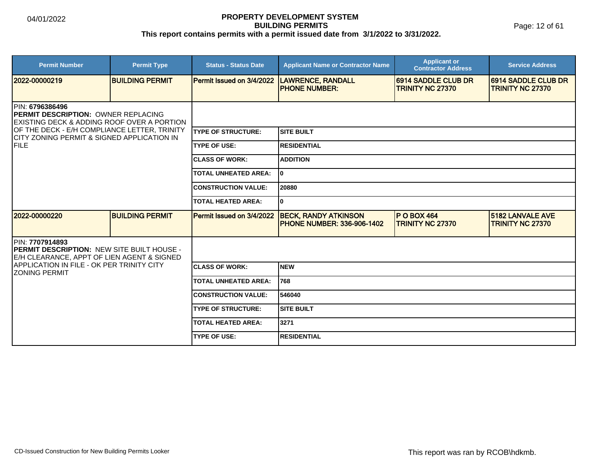| <b>Permit Number</b>                                                                                                     | <b>Permit Type</b>     | <b>Status - Status Date</b> | <b>Applicant Name or Contractor Name</b>                         | <b>Applicant or</b><br><b>Contractor Address</b> | <b>Service Address</b>                                |  |
|--------------------------------------------------------------------------------------------------------------------------|------------------------|-----------------------------|------------------------------------------------------------------|--------------------------------------------------|-------------------------------------------------------|--|
| 2022-00000219                                                                                                            | <b>BUILDING PERMIT</b> | Permit Issued on 3/4/2022   | <b>LAWRENCE, RANDALL</b><br><b>PHONE NUMBER:</b>                 | 6914 SADDLE CLUB DR<br><b>TRINITY NC 27370</b>   | <b>6914 SADDLE CLUB DR</b><br><b>TRINITY NC 27370</b> |  |
| IPIN: 6796386496<br><b>PERMIT DESCRIPTION: OWNER REPLACING</b><br><b>IEXISTING DECK &amp; ADDING ROOF OVER A PORTION</b> |                        |                             |                                                                  |                                                  |                                                       |  |
| OF THE DECK - E/H COMPLIANCE LETTER, TRINITY<br>ICITY ZONING PERMIT & SIGNED APPLICATION IN                              |                        | <b>TYPE OF STRUCTURE:</b>   | <b>SITE BUILT</b>                                                |                                                  |                                                       |  |
| FILE                                                                                                                     |                        | <b>TYPE OF USE:</b>         | <b>RESIDENTIAL</b>                                               |                                                  |                                                       |  |
|                                                                                                                          |                        | <b>CLASS OF WORK:</b>       | <b>ADDITION</b>                                                  |                                                  |                                                       |  |
|                                                                                                                          |                        | <b>TOTAL UNHEATED AREA:</b> | I٥                                                               |                                                  |                                                       |  |
|                                                                                                                          |                        | <b>CONSTRUCTION VALUE:</b>  | 20880                                                            |                                                  |                                                       |  |
|                                                                                                                          |                        | <b>TOTAL HEATED AREA:</b>   | 0                                                                |                                                  |                                                       |  |
| 2022-00000220                                                                                                            | <b>BUILDING PERMIT</b> | Permit Issued on 3/4/2022   | <b>BECK, RANDY ATKINSON</b><br><b>PHONE NUMBER: 336-906-1402</b> | $P$ O BOX 464<br><b>TRINITY NC 27370</b>         | <b>5182 LANVALE AVE</b><br><b>TRINITY NC 27370</b>    |  |
| IPIN: 7707914893<br><b>IPERMIT DESCRIPTION: NEW SITE BUILT HOUSE -</b><br>E/H CLEARANCE, APPT OF LIEN AGENT & SIGNED     |                        |                             |                                                                  |                                                  |                                                       |  |
| APPLICATION IN FILE - OK PER TRINITY CITY<br><b>ZONING PERMIT</b>                                                        |                        | <b>CLASS OF WORK:</b>       | <b>NEW</b>                                                       |                                                  |                                                       |  |
|                                                                                                                          |                        | <b>TOTAL UNHEATED AREA:</b> | 768                                                              |                                                  |                                                       |  |
|                                                                                                                          |                        | <b>CONSTRUCTION VALUE:</b>  | 546040                                                           |                                                  |                                                       |  |
|                                                                                                                          |                        | <b>TYPE OF STRUCTURE:</b>   | <b>SITE BUILT</b>                                                |                                                  |                                                       |  |
|                                                                                                                          |                        | <b>TOTAL HEATED AREA:</b>   | 3271                                                             |                                                  |                                                       |  |
|                                                                                                                          |                        | <b>TYPE OF USE:</b>         | <b>RESIDENTIAL</b>                                               |                                                  |                                                       |  |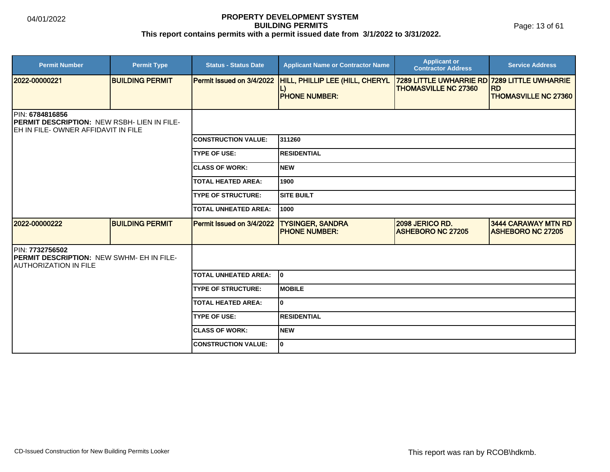Page: 13 of 61

| <b>Permit Number</b>                                                                                                 | <b>Permit Type</b>     | <b>Status - Status Date</b> | <b>Applicant Name or Contractor Name</b>        | <b>Applicant or</b><br><b>Contractor Address</b>                            | <b>Service Address</b>                          |
|----------------------------------------------------------------------------------------------------------------------|------------------------|-----------------------------|-------------------------------------------------|-----------------------------------------------------------------------------|-------------------------------------------------|
| 2022-00000221                                                                                                        | <b>BUILDING PERMIT</b> | Permit Issued on 3/4/2022   | HILL, PHILLIP LEE (HILL, CHERYL                 | 7289 LITTLE UWHARRIE RD 7289 LITTLE UWHARRIE<br><b>THOMASVILLE NC 27360</b> | <b>IRD</b>                                      |
|                                                                                                                      |                        |                             | <b>PHONE NUMBER:</b>                            |                                                                             | <b>THOMASVILLE NC 27360</b>                     |
| PIN: 6784816856<br><b>PERMIT DESCRIPTION: NEW RSBH- LIEN IN FILE-</b><br><b>IEH IN FILE- OWNER AFFIDAVIT IN FILE</b> |                        |                             |                                                 |                                                                             |                                                 |
|                                                                                                                      |                        | <b>CONSTRUCTION VALUE:</b>  | 311260                                          |                                                                             |                                                 |
|                                                                                                                      |                        | <b>TYPE OF USE:</b>         | <b>RESIDENTIAL</b>                              |                                                                             |                                                 |
|                                                                                                                      |                        | <b>CLASS OF WORK:</b>       | Inew                                            |                                                                             |                                                 |
|                                                                                                                      |                        | <b>TOTAL HEATED AREA:</b>   | 1900                                            |                                                                             |                                                 |
|                                                                                                                      |                        | <b>TYPE OF STRUCTURE:</b>   | <b>SITE BUILT</b>                               |                                                                             |                                                 |
|                                                                                                                      |                        | <b>TOTAL UNHEATED AREA:</b> | 1000                                            |                                                                             |                                                 |
| 2022-00000222                                                                                                        | <b>BUILDING PERMIT</b> | Permit Issued on 3/4/2022   | <b>TYSINGER, SANDRA</b><br><b>PHONE NUMBER:</b> | 2098 JERICO RD.<br><b>ASHEBORO NC 27205</b>                                 | 3444 CARAWAY MTN RD<br><b>ASHEBORO NC 27205</b> |
| <b>IPIN: 7732756502</b><br><b>PERMIT DESCRIPTION: NEW SWHM- EH IN FILE-</b><br><b>JAUTHORIZATION IN FILE</b>         |                        |                             |                                                 |                                                                             |                                                 |
|                                                                                                                      |                        | <b>TOTAL UNHEATED AREA:</b> | lo.                                             |                                                                             |                                                 |
|                                                                                                                      |                        | <b>TYPE OF STRUCTURE:</b>   | Імовіlе                                         |                                                                             |                                                 |
|                                                                                                                      |                        | <b>TOTAL HEATED AREA:</b>   | I٥                                              |                                                                             |                                                 |
|                                                                                                                      |                        | <b>TYPE OF USE:</b>         | <b>RESIDENTIAL</b>                              |                                                                             |                                                 |
|                                                                                                                      |                        | <b>CLASS OF WORK:</b>       | <b>NEW</b>                                      |                                                                             |                                                 |
|                                                                                                                      |                        | <b>CONSTRUCTION VALUE:</b>  | I٥                                              |                                                                             |                                                 |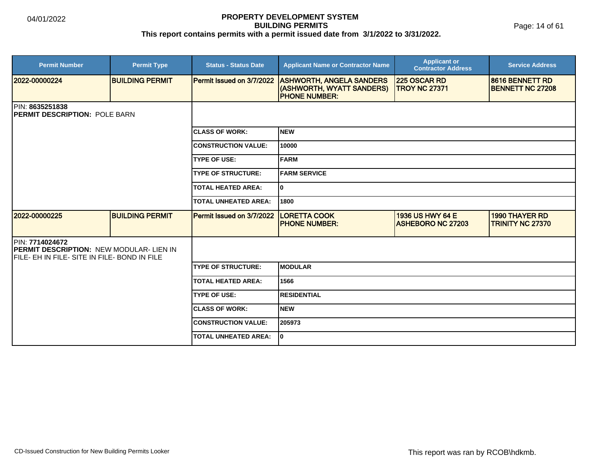Page: 14 of 61

| <b>Permit Number</b>                                                                                              | <b>Permit Type</b>     | <b>Status - Status Date</b> | <b>Applicant Name or Contractor Name</b>                                      | <b>Applicant or</b><br><b>Contractor Address</b>    | <b>Service Address</b>                           |  |  |
|-------------------------------------------------------------------------------------------------------------------|------------------------|-----------------------------|-------------------------------------------------------------------------------|-----------------------------------------------------|--------------------------------------------------|--|--|
| 2022-00000224                                                                                                     | <b>BUILDING PERMIT</b> | Permit Issued on 3/7/2022   | <b>ASHWORTH, ANGELA SANDERS</b><br>(ASHWORTH, WYATT SANDERS)<br>PHONE NUMBER: | 225 OSCAR RD<br><b>TROY NC 27371</b>                | 8616 BENNETT RD<br><b>BENNETT NC 27208</b>       |  |  |
| <b>IPIN: 8635251838</b><br><b>PERMIT DESCRIPTION: POLE BARN</b>                                                   |                        |                             |                                                                               |                                                     |                                                  |  |  |
|                                                                                                                   |                        | <b>ICLASS OF WORK:</b>      | <b>NEW</b>                                                                    |                                                     |                                                  |  |  |
|                                                                                                                   |                        | <b>CONSTRUCTION VALUE:</b>  | 10000                                                                         |                                                     |                                                  |  |  |
|                                                                                                                   |                        | <b>TYPE OF USE:</b>         | FARM                                                                          |                                                     |                                                  |  |  |
|                                                                                                                   |                        | <b>TYPE OF STRUCTURE:</b>   | <b>FARM SERVICE</b>                                                           |                                                     |                                                  |  |  |
|                                                                                                                   |                        | <b>TOTAL HEATED AREA:</b>   | $\mathbf{0}$                                                                  |                                                     |                                                  |  |  |
|                                                                                                                   |                        | <b>TOTAL UNHEATED AREA:</b> | 1800                                                                          |                                                     |                                                  |  |  |
| 2022-00000225                                                                                                     | <b>BUILDING PERMIT</b> | Permit Issued on 3/7/2022   | <b>LORETTA COOK</b><br><b>PHONE NUMBER:</b>                                   | <b>1936 US HWY 64 E</b><br><b>ASHEBORO NC 27203</b> | <b>1990 THAYER RD</b><br><b>TRINITY NC 27370</b> |  |  |
| PIN: 7714024672<br><b>PERMIT DESCRIPTION: NEW MODULAR-LIEN IN</b><br>FILE- EH IN FILE- SITE IN FILE- BOND IN FILE |                        |                             |                                                                               |                                                     |                                                  |  |  |
|                                                                                                                   |                        | <b>TYPE OF STRUCTURE:</b>   | <b>MODULAR</b>                                                                |                                                     |                                                  |  |  |
|                                                                                                                   |                        | <b>TOTAL HEATED AREA:</b>   | 1566                                                                          |                                                     |                                                  |  |  |
|                                                                                                                   |                        | <b>TYPE OF USE:</b>         | <b>RESIDENTIAL</b>                                                            |                                                     |                                                  |  |  |
|                                                                                                                   |                        | <b>CLASS OF WORK:</b>       | <b>NEW</b>                                                                    |                                                     |                                                  |  |  |
|                                                                                                                   |                        | <b>CONSTRUCTION VALUE:</b>  | 205973                                                                        |                                                     |                                                  |  |  |
|                                                                                                                   |                        | <b>TOTAL UNHEATED AREA:</b> | ١o                                                                            |                                                     |                                                  |  |  |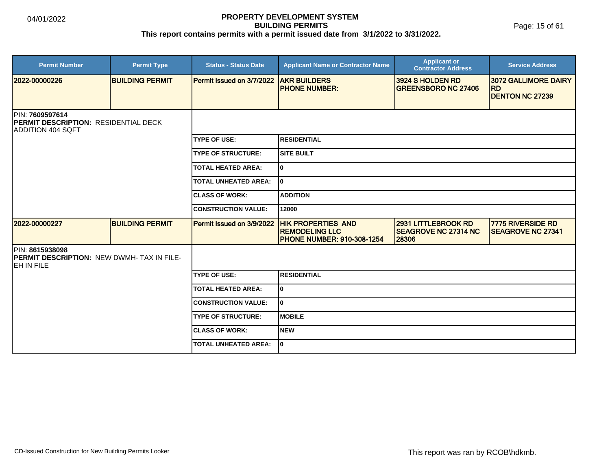| <b>Permit Number</b>                                                                         | <b>Permit Type</b>     | <b>Status - Status Date</b> | <b>Applicant Name or Contractor Name</b>                                                | <b>Applicant or</b><br><b>Contractor Address</b>                   | <b>Service Address</b>                               |
|----------------------------------------------------------------------------------------------|------------------------|-----------------------------|-----------------------------------------------------------------------------------------|--------------------------------------------------------------------|------------------------------------------------------|
| 2022-00000226                                                                                | <b>BUILDING PERMIT</b> | Permit Issued on 3/7/2022   | <b>AKR BUILDERS</b><br><b>PHONE NUMBER:</b>                                             | 3924 S HOLDEN RD<br><b>GREENSBORO NC 27406</b>                     | 3072 GALLIMORE DAIRY<br><b>RD</b>                    |
|                                                                                              |                        |                             |                                                                                         |                                                                    | <b>DENTON NC 27239</b>                               |
| PIN: 7609597614<br><b>IPERMIT DESCRIPTION: RESIDENTIAL DECK</b><br><b>IADDITION 404 SQFT</b> |                        |                             |                                                                                         |                                                                    |                                                      |
|                                                                                              |                        | <b>TYPE OF USE:</b>         | IRESIDENTIAL                                                                            |                                                                    |                                                      |
|                                                                                              |                        | <b>TYPE OF STRUCTURE:</b>   | <b>SITE BUILT</b>                                                                       |                                                                    |                                                      |
|                                                                                              |                        | <b>TOTAL HEATED AREA:</b>   | I٥                                                                                      |                                                                    |                                                      |
|                                                                                              |                        | TOTAL UNHEATED AREA:        | I٥                                                                                      |                                                                    |                                                      |
|                                                                                              |                        | <b>CLASS OF WORK:</b>       | <b>ADDITION</b>                                                                         |                                                                    |                                                      |
|                                                                                              |                        | <b>CONSTRUCTION VALUE:</b>  | 12000                                                                                   |                                                                    |                                                      |
| 2022-00000227                                                                                | <b>BUILDING PERMIT</b> | Permit Issued on 3/9/2022   | <b>HIK PROPERTIES AND</b><br><b>REMODELING LLC</b><br><b>PHONE NUMBER: 910-308-1254</b> | <b>2931 LITTLEBROOK RD</b><br><b>SEAGROVE NC 27314 NC</b><br>28306 | <b>7775 RIVERSIDE RD</b><br><b>SEAGROVE NC 27341</b> |
| PIN: 8615938098<br><b>PERMIT DESCRIPTION: NEW DWMH-TAX IN FILE-</b><br>EH IN FILE            |                        |                             |                                                                                         |                                                                    |                                                      |
|                                                                                              |                        | <b>TYPE OF USE:</b>         | <b>RESIDENTIAL</b>                                                                      |                                                                    |                                                      |
|                                                                                              |                        | <b>TOTAL HEATED AREA:</b>   | lo                                                                                      |                                                                    |                                                      |
|                                                                                              |                        | <b>CONSTRUCTION VALUE:</b>  | I٥                                                                                      |                                                                    |                                                      |
|                                                                                              |                        | <b>TYPE OF STRUCTURE:</b>   | <b>IMOBILE</b>                                                                          |                                                                    |                                                      |
|                                                                                              |                        | <b>ICLASS OF WORK:</b>      | Inew                                                                                    |                                                                    |                                                      |
|                                                                                              |                        | <b>TOTAL UNHEATED AREA:</b> | I٥                                                                                      |                                                                    |                                                      |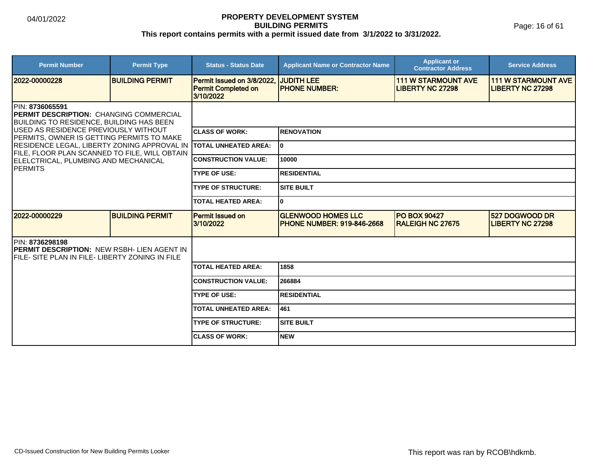Page: 16 of 61

| <b>Permit Number</b>                                                                                                                                                                                                                                                                                                                                              | <b>Permit Type</b>     | <b>Status - Status Date</b>                                           | <b>Applicant Name or Contractor Name</b>                        | <b>Applicant or</b><br><b>Contractor Address</b>      | <b>Service Address</b>                                |  |
|-------------------------------------------------------------------------------------------------------------------------------------------------------------------------------------------------------------------------------------------------------------------------------------------------------------------------------------------------------------------|------------------------|-----------------------------------------------------------------------|-----------------------------------------------------------------|-------------------------------------------------------|-------------------------------------------------------|--|
| 2022-00000228                                                                                                                                                                                                                                                                                                                                                     | <b>BUILDING PERMIT</b> | Permit Issued on 3/8/2022,<br><b>Permit Completed on</b><br>3/10/2022 | <b>JUDITH LEE</b><br><b>PHONE NUMBER:</b>                       | <b>111 W STARMOUNT AVE</b><br><b>LIBERTY NC 27298</b> | <b>111 W STARMOUNT AVE</b><br><b>LIBERTY NC 27298</b> |  |
| IPIN: 8736065591<br><b>IPERMIT DESCRIPTION: CHANGING COMMERCIAL</b><br>IBUILDING TO RESIDENCE. BUILDING HAS BEEN<br>IUSED AS RESIDENCE PREVIOUSLY WITHOUT<br>PERMITS, OWNER IS GETTING PERMITS TO MAKE<br>RESIDENCE LEGAL, LIBERTY ZONING APPROVAL IN<br>FILE, FLOOR PLAN SCANNED TO FILE, WILL OBTAIN<br>ELELCTRICAL, PLUMBING AND MECHANICAL<br><b>IPERMITS</b> |                        |                                                                       |                                                                 |                                                       |                                                       |  |
|                                                                                                                                                                                                                                                                                                                                                                   |                        | <b>CLASS OF WORK:</b>                                                 | <b>IRENOVATION</b>                                              |                                                       |                                                       |  |
|                                                                                                                                                                                                                                                                                                                                                                   |                        | <b>ITOTAL UNHEATED AREA:</b>                                          | lo.                                                             |                                                       |                                                       |  |
|                                                                                                                                                                                                                                                                                                                                                                   |                        | <b>CONSTRUCTION VALUE:</b>                                            | 10000                                                           |                                                       |                                                       |  |
|                                                                                                                                                                                                                                                                                                                                                                   |                        | <b>TYPE OF USE:</b>                                                   | IRESIDENTIAL                                                    |                                                       |                                                       |  |
|                                                                                                                                                                                                                                                                                                                                                                   |                        | <b>TYPE OF STRUCTURE:</b>                                             | <b>SITE BUILT</b>                                               |                                                       |                                                       |  |
|                                                                                                                                                                                                                                                                                                                                                                   |                        | <b>TOTAL HEATED AREA:</b>                                             | lo.                                                             |                                                       |                                                       |  |
| 12022-00000229                                                                                                                                                                                                                                                                                                                                                    | <b>BUILDING PERMIT</b> | <b>Permit Issued on</b><br>3/10/2022                                  | <b>GLENWOOD HOMES LLC</b><br><b>IPHONE NUMBER: 919-846-2668</b> | <b>PO BOX 90427</b><br><b>RALEIGH NC 27675</b>        | <b>527 DOGWOOD DR</b><br><b>LIBERTY NC 27298</b>      |  |
| <b>IPIN: 8736298198</b><br><b>PERMIT DESCRIPTION: NEW RSBH- LIEN AGENT IN</b><br>IFILE- SITE PLAN IN FILE- LIBERTY ZONING IN FILE                                                                                                                                                                                                                                 |                        |                                                                       |                                                                 |                                                       |                                                       |  |
|                                                                                                                                                                                                                                                                                                                                                                   |                        | <b>TOTAL HEATED AREA:</b>                                             | 1858                                                            |                                                       |                                                       |  |
|                                                                                                                                                                                                                                                                                                                                                                   |                        | <b>CONSTRUCTION VALUE:</b>                                            | 266884                                                          |                                                       |                                                       |  |
|                                                                                                                                                                                                                                                                                                                                                                   |                        | <b>TYPE OF USE:</b>                                                   | RESIDENTIAL                                                     |                                                       |                                                       |  |
|                                                                                                                                                                                                                                                                                                                                                                   |                        | <b>TOTAL UNHEATED AREA:</b>                                           | 461                                                             |                                                       |                                                       |  |
|                                                                                                                                                                                                                                                                                                                                                                   |                        | <b>TYPE OF STRUCTURE:</b>                                             | <b>SITE BUILT</b>                                               |                                                       |                                                       |  |
|                                                                                                                                                                                                                                                                                                                                                                   |                        | <b>CLASS OF WORK:</b>                                                 | Inew                                                            |                                                       |                                                       |  |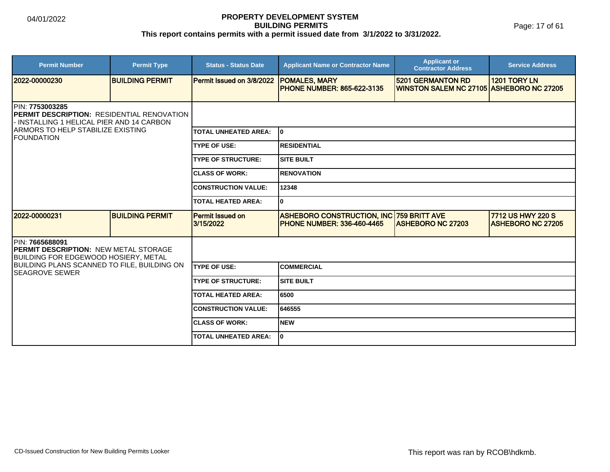Page: 17 of 61

| <b>Permit Number</b>                                                                                                                                                                         | <b>Permit Type</b>     | <b>Status - Status Date</b>   | <b>Applicant Name or Contractor Name</b>                                             | <b>Applicant or</b><br><b>Contractor Address</b>                     | <b>Service Address</b>                        |  |
|----------------------------------------------------------------------------------------------------------------------------------------------------------------------------------------------|------------------------|-------------------------------|--------------------------------------------------------------------------------------|----------------------------------------------------------------------|-----------------------------------------------|--|
| 2022-00000230                                                                                                                                                                                | <b>BUILDING PERMIT</b> | Permit Issued on 3/8/2022     | <b>POMALES, MARY</b><br><b>PHONE NUMBER: 865-622-3135</b>                            | <b>5201 GERMANTON RD</b><br>WINSTON SALEM NC 27105 ASHEBORO NC 27205 | 1201 TORY LN                                  |  |
| <b>IPIN: 7753003285</b><br><b>IPERMIT DESCRIPTION: RESIDENTIAL RENOVATION</b><br>- INSTALLING 1 HELICAL PIER AND 14 CARBON<br><b>ARMORS TO HELP STABILIZE EXISTING</b><br><b>IFOUNDATION</b> |                        |                               |                                                                                      |                                                                      |                                               |  |
|                                                                                                                                                                                              |                        | <b>TOTAL UNHEATED AREA:</b>   | I٥                                                                                   |                                                                      |                                               |  |
|                                                                                                                                                                                              |                        | <b>TYPE OF USE:</b>           | <b>RESIDENTIAL</b>                                                                   |                                                                      |                                               |  |
|                                                                                                                                                                                              |                        | <b>TYPE OF STRUCTURE:</b>     | <b>SITE BUILT</b>                                                                    |                                                                      |                                               |  |
|                                                                                                                                                                                              |                        | <b>CLASS OF WORK:</b>         | <b>RENOVATION</b>                                                                    |                                                                      |                                               |  |
|                                                                                                                                                                                              |                        | <b>CONSTRUCTION VALUE:</b>    | 12348                                                                                |                                                                      |                                               |  |
|                                                                                                                                                                                              |                        | <b>TOTAL HEATED AREA:</b>     | 0                                                                                    |                                                                      |                                               |  |
| 12022-00000231                                                                                                                                                                               | <b>BUILDING PERMIT</b> | Permit Issued on<br>3/15/2022 | <b>ASHEBORO CONSTRUCTION, INC 759 BRITT AVE</b><br><b>PHONE NUMBER: 336-460-4465</b> | <b>ASHEBORO NC 27203</b>                                             | 7712 US HWY 220 S<br><b>ASHEBORO NC 27205</b> |  |
| PIN: 7665688091<br><b>PERMIT DESCRIPTION: NEW METAL STORAGE</b><br><b>BUILDING FOR EDGEWOOD HOSIERY, METAL</b>                                                                               |                        |                               |                                                                                      |                                                                      |                                               |  |
| <b>BUILDING PLANS SCANNED TO FILE, BUILDING ON</b><br><b>SEAGROVE SEWER</b>                                                                                                                  |                        | <b>TYPE OF USE:</b>           | <b>COMMERCIAL</b>                                                                    |                                                                      |                                               |  |
|                                                                                                                                                                                              |                        | <b>TYPE OF STRUCTURE:</b>     | <b>SITE BUILT</b>                                                                    |                                                                      |                                               |  |
|                                                                                                                                                                                              |                        | <b>TOTAL HEATED AREA:</b>     | 6500                                                                                 |                                                                      |                                               |  |
|                                                                                                                                                                                              |                        | <b>CONSTRUCTION VALUE:</b>    | 646555                                                                               |                                                                      |                                               |  |
|                                                                                                                                                                                              |                        | <b>ICLASS OF WORK:</b>        | <b>NEW</b>                                                                           |                                                                      |                                               |  |
|                                                                                                                                                                                              |                        | <b>TOTAL UNHEATED AREA:</b>   | 0                                                                                    |                                                                      |                                               |  |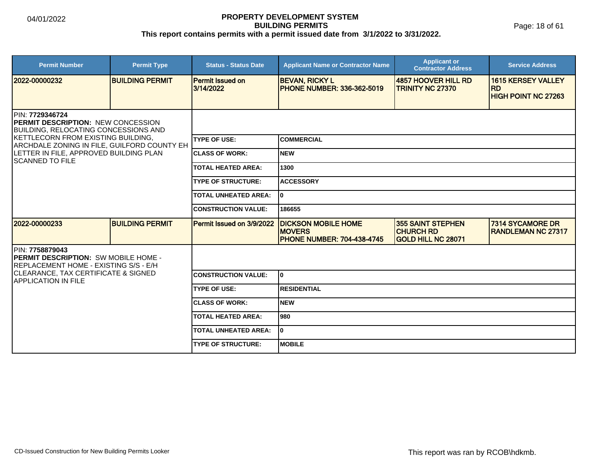Page: 18 of 61

| <b>Permit Number</b>                                                                                                                                                                              | <b>Permit Type</b>     | <b>Status - Status Date</b>          | <b>Applicant Name or Contractor Name</b>                                         | <b>Applicant or</b><br><b>Contractor Address</b>                   | <b>Service Address</b>                                               |
|---------------------------------------------------------------------------------------------------------------------------------------------------------------------------------------------------|------------------------|--------------------------------------|----------------------------------------------------------------------------------|--------------------------------------------------------------------|----------------------------------------------------------------------|
| 2022-00000232                                                                                                                                                                                     | <b>BUILDING PERMIT</b> | <b>Permit Issued on</b><br>3/14/2022 | <b>BEVAN, RICKY L</b><br><b>PHONE NUMBER: 336-362-5019</b>                       | 4857 HOOVER HILL RD<br><b>TRINITY NC 27370</b>                     | <b>1615 KERSEY VALLEY</b><br><b>RD</b><br><b>HIGH POINT NC 27263</b> |
| PIN: 7729346724<br><b>IPERMIT DESCRIPTION: NEW CONCESSION</b><br><b>BUILDING, RELOCATING CONCESSIONS AND</b><br>KETTLECORN FROM EXISTING BUILDING,<br>ARCHDALE ZONING IN FILE, GUILFORD COUNTY EH |                        |                                      |                                                                                  |                                                                    |                                                                      |
|                                                                                                                                                                                                   |                        | <b>TYPE OF USE:</b>                  | ICOMMERCIAL                                                                      |                                                                    |                                                                      |
| LETTER IN FILE, APPROVED BUILDING PLAN<br><b>ISCANNED TO FILE</b>                                                                                                                                 |                        | <b>CLASS OF WORK:</b>                | Inew                                                                             |                                                                    |                                                                      |
|                                                                                                                                                                                                   |                        | <b>TOTAL HEATED AREA:</b>            | 1300                                                                             |                                                                    |                                                                      |
|                                                                                                                                                                                                   |                        | <b>TYPE OF STRUCTURE:</b>            | <b>ACCESSORY</b>                                                                 |                                                                    |                                                                      |
|                                                                                                                                                                                                   |                        | <b>TOTAL UNHEATED AREA:</b>          | I٥                                                                               |                                                                    |                                                                      |
|                                                                                                                                                                                                   |                        | <b>CONSTRUCTION VALUE:</b>           | 186655                                                                           |                                                                    |                                                                      |
| 2022-00000233                                                                                                                                                                                     | <b>BUILDING PERMIT</b> | Permit Issued on 3/9/2022            | <b>DICKSON MOBILE HOME</b><br><b>MOVERS</b><br><b>PHONE NUMBER: 704-438-4745</b> | <b>355 SAINT STEPHEN</b><br><b>CHURCH RD</b><br>GOLD HILL NC 28071 | <b>7314 SYCAMORE DR</b><br><b>RANDLEMAN NC 27317</b>                 |
| PIN: 7758879043<br><b>IPERMIT DESCRIPTION: SW MOBILE HOME -</b><br><b>REPLACEMENT HOME - EXISTING S/S - E/H</b>                                                                                   |                        |                                      |                                                                                  |                                                                    |                                                                      |
| <b>CLEARANCE, TAX CERTIFICATE &amp; SIGNED</b><br><b>IAPPLICATION IN FILE</b>                                                                                                                     |                        | <b>CONSTRUCTION VALUE:</b>           | lo.                                                                              |                                                                    |                                                                      |
|                                                                                                                                                                                                   |                        | <b>TYPE OF USE:</b>                  | <b>RESIDENTIAL</b>                                                               |                                                                    |                                                                      |
|                                                                                                                                                                                                   |                        | <b>CLASS OF WORK:</b>                | <b>NEW</b>                                                                       |                                                                    |                                                                      |
|                                                                                                                                                                                                   |                        | <b>TOTAL HEATED AREA:</b>            | l980                                                                             |                                                                    |                                                                      |
|                                                                                                                                                                                                   |                        | <b>TOTAL UNHEATED AREA:</b>          | lo.                                                                              |                                                                    |                                                                      |
|                                                                                                                                                                                                   |                        | <b>TYPE OF STRUCTURE:</b>            | <b>MOBILE</b>                                                                    |                                                                    |                                                                      |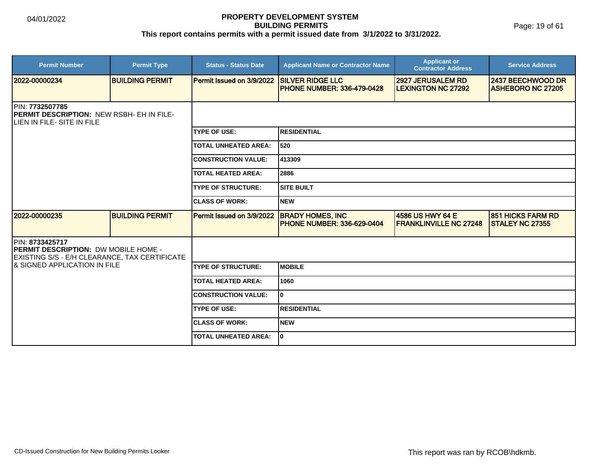Page: 19 of 61

| <b>Permit Number</b>                                                                                            | <b>Permit Type</b>     | <b>Status - Status Date</b> | <b>Applicant Name or Contractor Name</b>                     | <b>Applicant or</b><br><b>Contractor Address</b>      | <b>Service Address</b>                             |  |  |
|-----------------------------------------------------------------------------------------------------------------|------------------------|-----------------------------|--------------------------------------------------------------|-------------------------------------------------------|----------------------------------------------------|--|--|
| 2022-00000234                                                                                                   | <b>BUILDING PERMIT</b> | Permit Issued on 3/9/2022   | <b>SILVER RIDGE LLC</b><br><b>PHONE NUMBER: 336-479-0428</b> | <b>2927 JERUSALEM RD</b><br><b>LEXINGTON NC 27292</b> | 2437 BEECHWOOD DR<br><b>ASHEBORO NC 27205</b>      |  |  |
| <b>IPIN: 7732507785</b><br><b>PERMIT DESCRIPTION: NEW RSBH- EH IN FILE-</b><br>LIEN IN FILE- SITE IN FILE       |                        |                             |                                                              |                                                       |                                                    |  |  |
|                                                                                                                 |                        | <b>TYPE OF USE:</b>         | <b>RESIDENTIAL</b>                                           |                                                       |                                                    |  |  |
|                                                                                                                 |                        | <b>TOTAL UNHEATED AREA:</b> | 520                                                          |                                                       |                                                    |  |  |
|                                                                                                                 |                        | <b>CONSTRUCTION VALUE:</b>  | 413309                                                       |                                                       |                                                    |  |  |
|                                                                                                                 |                        | <b>TOTAL HEATED AREA:</b>   | 2886                                                         |                                                       |                                                    |  |  |
|                                                                                                                 |                        | <b>TYPE OF STRUCTURE:</b>   | ISITE BUILT                                                  |                                                       |                                                    |  |  |
|                                                                                                                 |                        | <b>CLASS OF WORK:</b>       | Inew                                                         |                                                       |                                                    |  |  |
| 2022-00000235                                                                                                   | <b>BUILDING PERMIT</b> | Permit Issued on 3/9/2022   | <b>BRADY HOMES, INC</b><br><b>PHONE NUMBER: 336-629-0404</b> | 4586 US HWY 64 E<br><b>FRANKLINVILLE NC 27248</b>     | <b>851 HICKS FARM RD</b><br><b>STALEY NC 27355</b> |  |  |
| PIN: 8733425717<br><b>PERMIT DESCRIPTION: DW MOBILE HOME -</b><br>EXISTING S/S - E/H CLEARANCE, TAX CERTIFICATE |                        |                             |                                                              |                                                       |                                                    |  |  |
| I& SIGNED APPLICATION IN FILE                                                                                   |                        | <b>TYPE OF STRUCTURE:</b>   | <b>IMOBILE</b>                                               |                                                       |                                                    |  |  |
|                                                                                                                 |                        | <b>TOTAL HEATED AREA:</b>   | 1060                                                         |                                                       |                                                    |  |  |
|                                                                                                                 |                        | <b>CONSTRUCTION VALUE:</b>  | I٥                                                           |                                                       |                                                    |  |  |
|                                                                                                                 |                        | <b>TYPE OF USE:</b>         | <b>IRESIDENTIAL</b>                                          |                                                       |                                                    |  |  |
|                                                                                                                 |                        | <b>CLASS OF WORK:</b>       | NEW                                                          |                                                       |                                                    |  |  |
|                                                                                                                 |                        | <b>TOTAL UNHEATED AREA:</b> | I٥                                                           |                                                       |                                                    |  |  |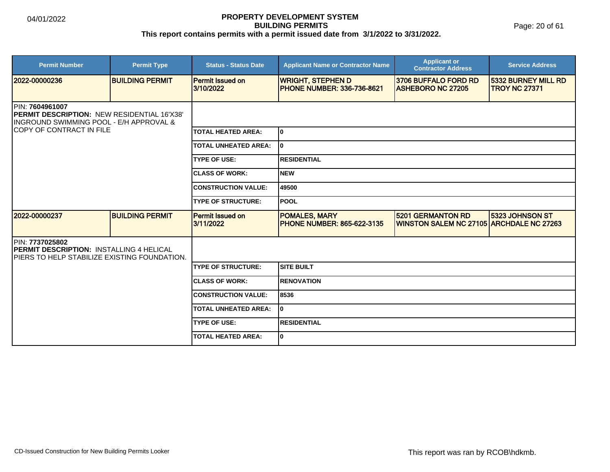Page: 20 of 61

| <b>Permit Number</b>                                                                                                        | <b>Permit Type</b>     | <b>Status - Status Date</b>          | <b>Applicant Name or Contractor Name</b>                      | <b>Applicant or</b><br><b>Contractor Address</b>                            | <b>Service Address</b>                             |
|-----------------------------------------------------------------------------------------------------------------------------|------------------------|--------------------------------------|---------------------------------------------------------------|-----------------------------------------------------------------------------|----------------------------------------------------|
| 2022-00000236                                                                                                               | <b>BUILDING PERMIT</b> | <b>Permit Issued on</b><br>3/10/2022 | <b>WRIGHT, STEPHEN D</b><br><b>PHONE NUMBER: 336-736-8621</b> | 3706 BUFFALO FORD RD<br><b>ASHEBORO NC 27205</b>                            | <b>5332 BURNEY MILL RD</b><br><b>TROY NC 27371</b> |
| PIN: 7604961007<br><b>PERMIT DESCRIPTION: NEW RESIDENTIAL 16'X38'</b><br>INGROUND SWIMMING POOL - E/H APPROVAL &            |                        |                                      |                                                               |                                                                             |                                                    |
| <b>COPY OF CONTRACT IN FILE</b>                                                                                             |                        | <b>TOTAL HEATED AREA:</b>            | I٥                                                            |                                                                             |                                                    |
|                                                                                                                             |                        | <b>TOTAL UNHEATED AREA:</b>          | I٥                                                            |                                                                             |                                                    |
|                                                                                                                             |                        | <b>TYPE OF USE:</b>                  | <b>RESIDENTIAL</b>                                            |                                                                             |                                                    |
|                                                                                                                             |                        | <b>CLASS OF WORK:</b>                | Inew                                                          |                                                                             |                                                    |
|                                                                                                                             |                        | <b>CONSTRUCTION VALUE:</b>           | 49500                                                         |                                                                             |                                                    |
|                                                                                                                             |                        | <b>TYPE OF STRUCTURE:</b>            | <b>POOL</b>                                                   |                                                                             |                                                    |
| 2022-00000237                                                                                                               | <b>BUILDING PERMIT</b> | <b>Permit Issued on</b><br>3/11/2022 | <b>POMALES, MARY</b><br><b>PHONE NUMBER: 865-622-3135</b>     | <b>5201 GERMANTON RD</b><br><b>WINSTON SALEM NC 27105 ARCHDALE NC 27263</b> | 5323 JOHNSON ST                                    |
| <b>IPIN: 7737025802</b><br><b>PERMIT DESCRIPTION: INSTALLING 4 HELICAL</b><br>IPIERS TO HELP STABILIZE EXISTING FOUNDATION. |                        |                                      |                                                               |                                                                             |                                                    |
|                                                                                                                             |                        | <b>TYPE OF STRUCTURE:</b>            | <b>SITE BUILT</b>                                             |                                                                             |                                                    |
|                                                                                                                             |                        | <b>CLASS OF WORK:</b>                | <b>RENOVATION</b>                                             |                                                                             |                                                    |
|                                                                                                                             |                        | <b>CONSTRUCTION VALUE:</b>           | 8536                                                          |                                                                             |                                                    |
|                                                                                                                             |                        | <b>TOTAL UNHEATED AREA:</b>          | I٥                                                            |                                                                             |                                                    |
|                                                                                                                             |                        | <b>TYPE OF USE:</b>                  | <b>RESIDENTIAL</b>                                            |                                                                             |                                                    |
|                                                                                                                             |                        | <b>TOTAL HEATED AREA:</b>            | I٥                                                            |                                                                             |                                                    |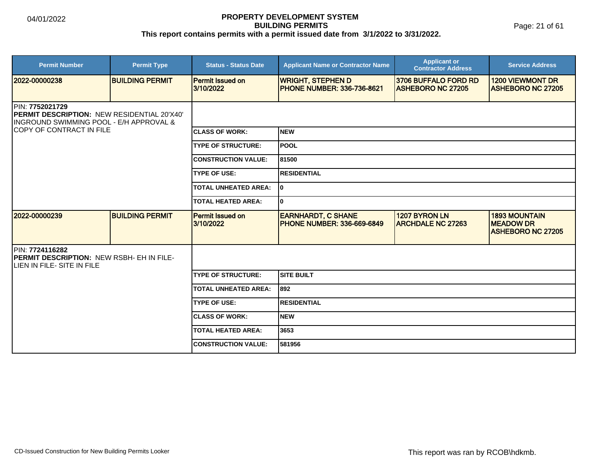Page: 21 of 61

| <b>Permit Number</b>                                                                                      | <b>Permit Type</b>     | <b>Status - Status Date</b>          | <b>Applicant Name or Contractor Name</b>                       | <b>Applicant or</b><br><b>Contractor Address</b> | <b>Service Address</b>                                               |  |
|-----------------------------------------------------------------------------------------------------------|------------------------|--------------------------------------|----------------------------------------------------------------|--------------------------------------------------|----------------------------------------------------------------------|--|
| 12022-00000238                                                                                            | <b>BUILDING PERMIT</b> | <b>Permit Issued on</b><br>3/10/2022 | <b>WRIGHT, STEPHEN D</b><br><b>IPHONE NUMBER: 336-736-8621</b> | 3706 BUFFALO FORD RD<br><b>ASHEBORO NC 27205</b> | <b>1200 VIEWMONT DR</b><br><b>ASHEBORO NC 27205</b>                  |  |
| PIN: 7752021729<br>PERMIT DESCRIPTION: NEW RESIDENTIAL 20'X40'<br>INGROUND SWIMMING POOL - E/H APPROVAL & |                        |                                      |                                                                |                                                  |                                                                      |  |
| COPY OF CONTRACT IN FILE                                                                                  |                        | <b>ICLASS OF WORK:</b>               | <b>NEW</b>                                                     |                                                  |                                                                      |  |
|                                                                                                           |                        | <b>TYPE OF STRUCTURE:</b>            | POOL                                                           |                                                  |                                                                      |  |
|                                                                                                           |                        | <b>CONSTRUCTION VALUE:</b>           | 81500                                                          |                                                  |                                                                      |  |
|                                                                                                           |                        | <b>TYPE OF USE:</b>                  | <b>RESIDENTIAL</b>                                             |                                                  |                                                                      |  |
|                                                                                                           |                        | <b>TOTAL UNHEATED AREA:</b>          | 0                                                              |                                                  |                                                                      |  |
|                                                                                                           |                        | <b>TOTAL HEATED AREA:</b>            | 0                                                              |                                                  |                                                                      |  |
| 2022-00000239                                                                                             | <b>BUILDING PERMIT</b> | <b>Permit Issued on</b><br>3/10/2022 | <b>EARNHARDT, C SHANE</b><br><b>PHONE NUMBER: 336-669-6849</b> | 1207 BYRON LN<br><b>ARCHDALE NC 27263</b>        | <b>1893 MOUNTAIN</b><br><b>MEADOW DR</b><br><b>ASHEBORO NC 27205</b> |  |
| PIN: 7724116282<br>PERMIT DESCRIPTION: NEW RSBH- EH IN FILE-<br>LIEN IN FILE- SITE IN FILE                |                        |                                      |                                                                |                                                  |                                                                      |  |
|                                                                                                           |                        | <b>TYPE OF STRUCTURE:</b>            | <b>SITE BUILT</b>                                              |                                                  |                                                                      |  |
|                                                                                                           |                        | <b>TOTAL UNHEATED AREA:</b>          | 892                                                            |                                                  |                                                                      |  |
|                                                                                                           |                        | <b>TYPE OF USE:</b>                  | <b>RESIDENTIAL</b>                                             |                                                  |                                                                      |  |
|                                                                                                           |                        | <b>CLASS OF WORK:</b>                | <b>NEW</b>                                                     |                                                  |                                                                      |  |
|                                                                                                           |                        | <b>TOTAL HEATED AREA:</b>            | 3653                                                           |                                                  |                                                                      |  |
|                                                                                                           |                        | <b>CONSTRUCTION VALUE:</b>           | 581956                                                         |                                                  |                                                                      |  |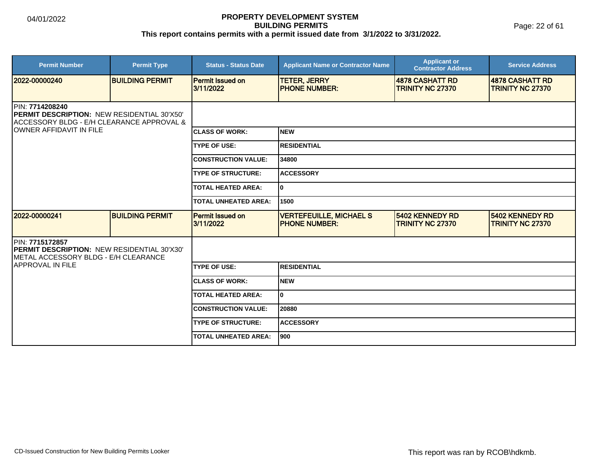Page: 22 of 61

| <b>Permit Number</b>                                                                                               | <b>Permit Type</b>     | <b>Status - Status Date</b>          | <b>Applicant Name or Contractor Name</b>                | <b>Applicant or</b><br><b>Contractor Address</b> | <b>Service Address</b>                            |  |
|--------------------------------------------------------------------------------------------------------------------|------------------------|--------------------------------------|---------------------------------------------------------|--------------------------------------------------|---------------------------------------------------|--|
| 2022-00000240                                                                                                      | <b>BUILDING PERMIT</b> | <b>Permit Issued on</b><br>3/11/2022 | <b>TETER, JERRY</b><br><b>IPHONE NUMBER:</b>            | 4878 CASHATT RD<br><b>TRINITY NC 27370</b>       | <b>4878 CASHATT RD</b><br><b>TRINITY NC 27370</b> |  |
| PIN: 7714208240<br><b>PERMIT DESCRIPTION: NEW RESIDENTIAL 30'X50'</b><br>ACCESSORY BLDG - E/H CLEARANCE APPROVAL & |                        |                                      |                                                         |                                                  |                                                   |  |
| <b>JOWNER AFFIDAVIT IN FILE</b>                                                                                    |                        | <b>ICLASS OF WORK:</b>               | <b>INEW</b>                                             |                                                  |                                                   |  |
|                                                                                                                    |                        | <b>TYPE OF USE:</b>                  | <b>RESIDENTIAL</b>                                      |                                                  |                                                   |  |
|                                                                                                                    |                        | <b>CONSTRUCTION VALUE:</b>           | 34800                                                   |                                                  |                                                   |  |
|                                                                                                                    |                        | <b>TYPE OF STRUCTURE:</b>            | <b>ACCESSORY</b>                                        |                                                  |                                                   |  |
|                                                                                                                    |                        | <b>TOTAL HEATED AREA:</b>            | lo.                                                     |                                                  |                                                   |  |
|                                                                                                                    |                        | <b>TOTAL UNHEATED AREA:</b>          | 1500                                                    |                                                  |                                                   |  |
| 2022-00000241                                                                                                      | <b>BUILDING PERMIT</b> | Permit Issued on<br>3/11/2022        | <b>VERTEFEUILLE, MICHAEL S</b><br><b>IPHONE NUMBER:</b> | 5402 KENNEDY RD<br><b>TRINITY NC 27370</b>       | 5402 KENNEDY RD<br><b>TRINITY NC 27370</b>        |  |
| PIN: 7715172857<br><b>IPERMIT DESCRIPTION: NEW RESIDENTIAL 30'X30'</b><br>METAL ACCESSORY BLDG - E/H CLEARANCE     |                        |                                      |                                                         |                                                  |                                                   |  |
| <b>APPROVAL IN FILE</b>                                                                                            |                        | <b>TYPE OF USE:</b>                  | <b>RESIDENTIAL</b>                                      |                                                  |                                                   |  |
|                                                                                                                    |                        | <b>CLASS OF WORK:</b>                | <b>NEW</b>                                              |                                                  |                                                   |  |
|                                                                                                                    |                        | <b>TOTAL HEATED AREA:</b>            | lo.                                                     |                                                  |                                                   |  |
|                                                                                                                    |                        | <b>CONSTRUCTION VALUE:</b>           | 20880                                                   |                                                  |                                                   |  |
|                                                                                                                    |                        | <b>TYPE OF STRUCTURE:</b>            | <b>ACCESSORY</b>                                        |                                                  |                                                   |  |
|                                                                                                                    |                        | <b>TOTAL UNHEATED AREA:</b>          | 900                                                     |                                                  |                                                   |  |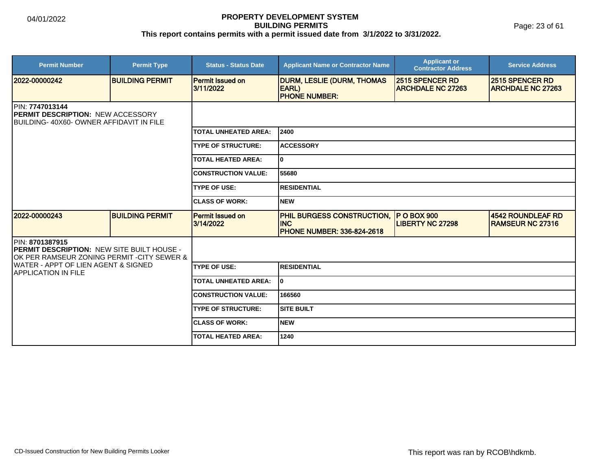Page: 23 of 61

| <b>Permit Number</b>                                                                                                       | <b>Permit Type</b>     | <b>Status - Status Date</b>          | <b>Applicant Name or Contractor Name</b>                                             | <b>Applicant or</b><br><b>Contractor Address</b>   | <b>Service Address</b>                       |  |  |
|----------------------------------------------------------------------------------------------------------------------------|------------------------|--------------------------------------|--------------------------------------------------------------------------------------|----------------------------------------------------|----------------------------------------------|--|--|
| 2022-00000242                                                                                                              | <b>BUILDING PERMIT</b> | <b>Permit Issued on</b><br>3/11/2022 | <b>DURM, LESLIE (DURM, THOMAS</b><br>EARL)<br><b>PHONE NUMBER:</b>                   | <b>2515 SPENCER RD</b><br><b>ARCHDALE NC 27263</b> | 2515 SPENCER RD<br><b>ARCHDALE NC 27263</b>  |  |  |
| PIN: 7747013144<br><b>PERMIT DESCRIPTION: NEW ACCESSORY</b><br>BUILDING-40X60-OWNER AFFIDAVIT IN FILE                      |                        |                                      |                                                                                      |                                                    |                                              |  |  |
|                                                                                                                            |                        | <b>TOTAL UNHEATED AREA:</b>          | 2400                                                                                 |                                                    |                                              |  |  |
|                                                                                                                            |                        | <b>TYPE OF STRUCTURE:</b>            | <b>ACCESSORY</b>                                                                     |                                                    |                                              |  |  |
|                                                                                                                            |                        | <b>TOTAL HEATED AREA:</b>            | lo.                                                                                  |                                                    |                                              |  |  |
|                                                                                                                            |                        | <b>CONSTRUCTION VALUE:</b>           | 55680                                                                                |                                                    |                                              |  |  |
|                                                                                                                            |                        | <b>TYPE OF USE:</b>                  | <b>RESIDENTIAL</b>                                                                   |                                                    |                                              |  |  |
|                                                                                                                            |                        | <b>CLASS OF WORK:</b>                | <b>INEW</b>                                                                          |                                                    |                                              |  |  |
| 12022-00000243                                                                                                             | <b>BUILDING PERMIT</b> | Permit Issued on<br>3/14/2022        | <b>PHIL BURGESS CONSTRUCTION,</b><br><b>INC</b><br><b>PHONE NUMBER: 336-824-2618</b> | <b>P O BOX 900</b><br><b>LIBERTY NC 27298</b>      | 4542 ROUNDLEAF RD<br><b>RAMSEUR NC 27316</b> |  |  |
| <b>IPIN: 8701387915</b><br><b>PERMIT DESCRIPTION: NEW SITE BUILT HOUSE -</b><br>OK PER RAMSEUR ZONING PERMIT -CITY SEWER & |                        |                                      |                                                                                      |                                                    |                                              |  |  |
| IWATER - APPT OF LIEN AGENT & SIGNED<br><b>IAPPLICATION IN FILE</b>                                                        |                        | <b>TYPE OF USE:</b>                  | <b>RESIDENTIAL</b>                                                                   |                                                    |                                              |  |  |
|                                                                                                                            |                        | <b>TOTAL UNHEATED AREA:</b>          | I٥                                                                                   |                                                    |                                              |  |  |
|                                                                                                                            |                        | <b>CONSTRUCTION VALUE:</b>           | 166560                                                                               |                                                    |                                              |  |  |
|                                                                                                                            |                        | <b>TYPE OF STRUCTURE:</b>            | <b>SITE BUILT</b>                                                                    |                                                    |                                              |  |  |
|                                                                                                                            |                        | <b>CLASS OF WORK:</b>                | <b>NEW</b>                                                                           |                                                    |                                              |  |  |
|                                                                                                                            |                        | <b>TOTAL HEATED AREA:</b>            | 1240                                                                                 |                                                    |                                              |  |  |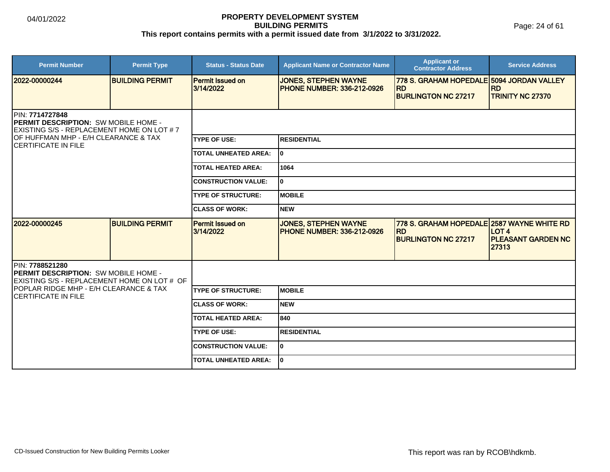Page: 24 of 61

| <b>Permit Number</b>                                                                                         | <b>Permit Type</b>     | <b>Status - Status Date</b>          | <b>Applicant Name or Contractor Name</b>                         | <b>Applicant or</b><br><b>Contractor Address</b>                                      | <b>Service Address</b>                             |
|--------------------------------------------------------------------------------------------------------------|------------------------|--------------------------------------|------------------------------------------------------------------|---------------------------------------------------------------------------------------|----------------------------------------------------|
| 2022-00000244                                                                                                | <b>BUILDING PERMIT</b> | <b>Permit Issued on</b><br>3/14/2022 | <b>JONES, STEPHEN WAYNE</b><br><b>PHONE NUMBER: 336-212-0926</b> | 778 S. GRAHAM HOPEDALE 5094 JORDAN VALLEY<br><b>RD</b><br><b>BURLINGTON NC 27217</b>  | <b>RD</b><br><b>TRINITY NC 27370</b>               |
| PIN: 7714727848<br><b>PERMIT DESCRIPTION: SW MOBILE HOME -</b><br>EXISTING S/S - REPLACEMENT HOME ON LOT # 7 |                        |                                      |                                                                  |                                                                                       |                                                    |
| OF HUFFMAN MHP - E/H CLEARANCE & TAX<br><b>CERTIFICATE IN FILE</b>                                           |                        | <b>TYPE OF USE:</b>                  | <b>RESIDENTIAL</b>                                               |                                                                                       |                                                    |
|                                                                                                              |                        | <b>TOTAL UNHEATED AREA:</b>          | I٥                                                               |                                                                                       |                                                    |
|                                                                                                              |                        | <b>TOTAL HEATED AREA:</b>            | 1064                                                             |                                                                                       |                                                    |
|                                                                                                              |                        | <b>CONSTRUCTION VALUE:</b>           | ١o                                                               |                                                                                       |                                                    |
|                                                                                                              |                        | <b>TYPE OF STRUCTURE:</b>            | <b>MOBILE</b>                                                    |                                                                                       |                                                    |
|                                                                                                              |                        | <b>CLASS OF WORK:</b>                | <b>NEW</b>                                                       |                                                                                       |                                                    |
| 2022-00000245                                                                                                | <b>BUILDING PERMIT</b> | <b>Permit Issued on</b><br>3/14/2022 | <b>JONES, STEPHEN WAYNE</b><br><b>PHONE NUMBER: 336-212-0926</b> | 778 S. GRAHAM HOPEDALE 2587 WAYNE WHITE RD<br><b>RD</b><br><b>BURLINGTON NC 27217</b> | <b>LOT 4</b><br><b>PLEASANT GARDEN NC</b><br>27313 |
| PIN: 7788521280<br>PERMIT DESCRIPTION: SW MOBILE HOME -<br>EXISTING S/S - REPLACEMENT HOME ON LOT # OF       |                        |                                      |                                                                  |                                                                                       |                                                    |
| POPLAR RIDGE MHP - E/H CLEARANCE & TAX<br><b>CERTIFICATE IN FILE</b>                                         |                        | <b>TYPE OF STRUCTURE:</b>            | <b>MOBILE</b>                                                    |                                                                                       |                                                    |
|                                                                                                              |                        | <b>CLASS OF WORK:</b>                | <b>NEW</b>                                                       |                                                                                       |                                                    |
|                                                                                                              |                        | <b>TOTAL HEATED AREA:</b>            | 840                                                              |                                                                                       |                                                    |
|                                                                                                              |                        | <b>TYPE OF USE:</b>                  | <b>RESIDENTIAL</b>                                               |                                                                                       |                                                    |
|                                                                                                              |                        | <b>CONSTRUCTION VALUE:</b>           | lo.                                                              |                                                                                       |                                                    |
|                                                                                                              |                        | <b>TOTAL UNHEATED AREA:</b>          | I٥                                                               |                                                                                       |                                                    |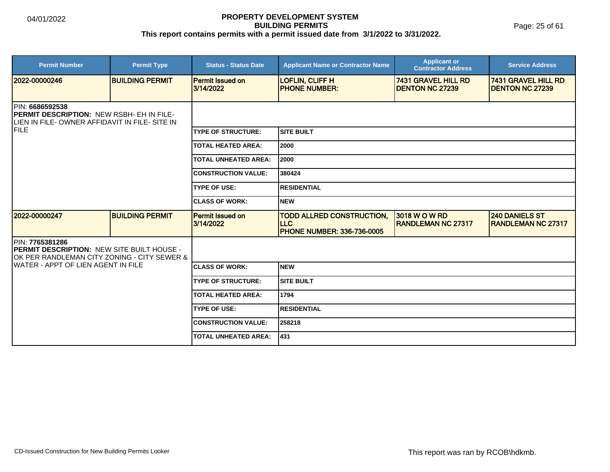Page: 25 of 61

| <b>Permit Number</b>                                                                                                         | <b>Permit Type</b>     | <b>Status - Status Date</b>          | <b>Applicant Name or Contractor Name</b>                                            | <b>Applicant or</b><br><b>Contractor Address</b> | <b>Service Address</b>                               |  |  |
|------------------------------------------------------------------------------------------------------------------------------|------------------------|--------------------------------------|-------------------------------------------------------------------------------------|--------------------------------------------------|------------------------------------------------------|--|--|
| 2022-00000246                                                                                                                | <b>BUILDING PERMIT</b> | <b>Permit Issued on</b><br>3/14/2022 | <b>LOFLIN, CLIFF H</b><br><b>PHONE NUMBER:</b>                                      | 7431 GRAVEL HILL RD<br><b>DENTON NC 27239</b>    | <b>7431 GRAVEL HILL RD</b><br><b>DENTON NC 27239</b> |  |  |
| <b>IPIN: 6686592538</b><br><b>PERMIT DESCRIPTION: NEW RSBH- EH IN FILE-</b><br>LIEN IN FILE-OWNER AFFIDAVIT IN FILE- SITE IN |                        |                                      |                                                                                     |                                                  |                                                      |  |  |
| <b>IFILE</b>                                                                                                                 |                        | <b>TYPE OF STRUCTURE:</b>            | Isite built                                                                         |                                                  |                                                      |  |  |
|                                                                                                                              |                        | <b>TOTAL HEATED AREA:</b>            | 2000                                                                                |                                                  |                                                      |  |  |
|                                                                                                                              |                        | <b>TOTAL UNHEATED AREA:</b>          | 2000                                                                                |                                                  |                                                      |  |  |
|                                                                                                                              |                        | <b>CONSTRUCTION VALUE:</b>           | 380424                                                                              |                                                  |                                                      |  |  |
|                                                                                                                              |                        | <b>TYPE OF USE:</b>                  | <b>RESIDENTIAL</b>                                                                  |                                                  |                                                      |  |  |
|                                                                                                                              |                        | <b>CLASS OF WORK:</b>                | <b>NEW</b>                                                                          |                                                  |                                                      |  |  |
| 2022-00000247                                                                                                                | <b>BUILDING PERMIT</b> | <b>Permit Issued on</b><br>3/14/2022 | <b>TODD ALLRED CONSTRUCTION,</b><br><b>LLC</b><br><b>PHONE NUMBER: 336-736-0005</b> | 3018 W O W RD<br><b>RANDLEMAN NC 27317</b>       | <b>240 DANIELS ST</b><br><b>RANDLEMAN NC 27317</b>   |  |  |
| PIN: 7765381286<br>PERMIT DESCRIPTION: NEW SITE BUILT HOUSE -<br>OK PER RANDLEMAN CITY ZONING - CITY SEWER &                 |                        |                                      |                                                                                     |                                                  |                                                      |  |  |
| IWATER - APPT OF LIEN AGENT IN FILE                                                                                          |                        | <b>CLASS OF WORK:</b>                | <b>NEW</b>                                                                          |                                                  |                                                      |  |  |
|                                                                                                                              |                        | <b>TYPE OF STRUCTURE:</b>            | <b>SITE BUILT</b>                                                                   |                                                  |                                                      |  |  |
|                                                                                                                              |                        | <b>TOTAL HEATED AREA:</b>            | 1794                                                                                |                                                  |                                                      |  |  |
|                                                                                                                              |                        | <b>TYPE OF USE:</b>                  | <b>RESIDENTIAL</b>                                                                  |                                                  |                                                      |  |  |
|                                                                                                                              |                        | <b>CONSTRUCTION VALUE:</b>           | 258218                                                                              |                                                  |                                                      |  |  |
|                                                                                                                              |                        | <b>TOTAL UNHEATED AREA:</b>          | 431                                                                                 |                                                  |                                                      |  |  |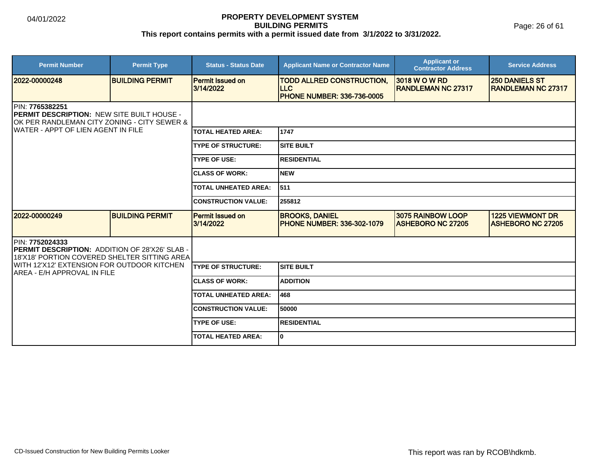Page: 26 of 61

| <b>Permit Number</b>                                                                                                                                                      | <b>Permit Type</b>     | <b>Status - Status Date</b>          | <b>Applicant Name or Contractor Name</b>                                             | <b>Applicant or</b><br><b>Contractor Address</b> | <b>Service Address</b>                              |  |
|---------------------------------------------------------------------------------------------------------------------------------------------------------------------------|------------------------|--------------------------------------|--------------------------------------------------------------------------------------|--------------------------------------------------|-----------------------------------------------------|--|
| 2022-00000248                                                                                                                                                             | <b>BUILDING PERMIT</b> | <b>Permit Issued on</b><br>3/14/2022 | <b>TODD ALLRED CONSTRUCTION,</b><br><b>ILLC</b><br><b>PHONE NUMBER: 336-736-0005</b> | 3018 W O W RD<br><b>RANDLEMAN NC 27317</b>       | <b>250 DANIELS ST</b><br><b>IRANDLEMAN NC 27317</b> |  |
| <b>IPIN: 7765382251</b><br><b>PERMIT DESCRIPTION: NEW SITE BUILT HOUSE -</b><br>OK PER RANDLEMAN CITY ZONING - CITY SEWER &<br><b>IWATER - APPT OF LIEN AGENT IN FILE</b> |                        |                                      |                                                                                      |                                                  |                                                     |  |
|                                                                                                                                                                           |                        | <b>TOTAL HEATED AREA:</b>            | 1747                                                                                 |                                                  |                                                     |  |
|                                                                                                                                                                           |                        | <b>TYPE OF STRUCTURE:</b>            | ISITE BUILT                                                                          |                                                  |                                                     |  |
|                                                                                                                                                                           |                        | <b>TYPE OF USE:</b>                  | <b>IRESIDENTIAL</b>                                                                  |                                                  |                                                     |  |
|                                                                                                                                                                           |                        | <b>CLASS OF WORK:</b>                | <b>NEW</b>                                                                           |                                                  |                                                     |  |
|                                                                                                                                                                           |                        | <b>TOTAL UNHEATED AREA:</b>          | 511                                                                                  |                                                  |                                                     |  |
|                                                                                                                                                                           |                        | <b>CONSTRUCTION VALUE:</b>           | 255812                                                                               |                                                  |                                                     |  |
| 2022-00000249                                                                                                                                                             | <b>BUILDING PERMIT</b> | <b>Permit Issued on</b><br>3/14/2022 | <b>BROOKS, DANIEL</b><br><b>PHONE NUMBER: 336-302-1079</b>                           | 3075 RAINBOW LOOP<br><b>ASHEBORO NC 27205</b>    | <b>1225 VIEWMONT DR</b><br><b>ASHEBORO NC 27205</b> |  |
| PIN: 7752024333<br><b>PERMIT DESCRIPTION: ADDITION OF 28'X26' SLAB -</b><br>18'X18' PORTION COVERED SHELTER SITTING AREA                                                  |                        |                                      |                                                                                      |                                                  |                                                     |  |
| WITH 12'X12' EXTENSION FOR OUTDOOR KITCHEN<br>IAREA - E/H APPROVAL IN FILE                                                                                                |                        | <b>TYPE OF STRUCTURE:</b>            | <b>SITE BUILT</b>                                                                    |                                                  |                                                     |  |
|                                                                                                                                                                           |                        | <b>CLASS OF WORK:</b>                | <b>ADDITION</b>                                                                      |                                                  |                                                     |  |
|                                                                                                                                                                           |                        | <b>TOTAL UNHEATED AREA:</b>          | 468                                                                                  |                                                  |                                                     |  |
|                                                                                                                                                                           |                        | <b>CONSTRUCTION VALUE:</b>           | 50000                                                                                |                                                  |                                                     |  |
|                                                                                                                                                                           |                        | <b>TYPE OF USE:</b>                  | <b>RESIDENTIAL</b>                                                                   |                                                  |                                                     |  |
|                                                                                                                                                                           |                        | <b>TOTAL HEATED AREA:</b>            | lo.                                                                                  |                                                  |                                                     |  |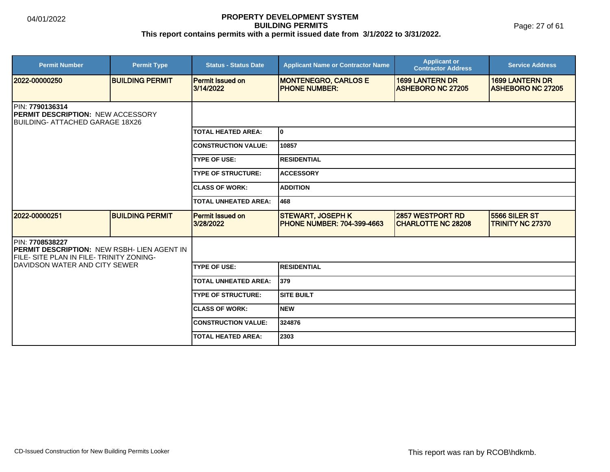Page: 27 of 61

| <b>Permit Number</b>                                                                                                      | <b>Permit Type</b>     | <b>Status - Status Date</b>          | <b>Applicant Name or Contractor Name</b>                      | <b>Applicant or</b><br><b>Contractor Address</b>   | <b>Service Address</b>                             |
|---------------------------------------------------------------------------------------------------------------------------|------------------------|--------------------------------------|---------------------------------------------------------------|----------------------------------------------------|----------------------------------------------------|
| 2022-00000250                                                                                                             | <b>BUILDING PERMIT</b> | <b>Permit Issued on</b><br>3/14/2022 | <b>MONTENEGRO, CARLOS E</b><br><b>PHONE NUMBER:</b>           | <b>1699 LANTERN DR</b><br><b>ASHEBORO NC 27205</b> | <b>1699 LANTERN DR</b><br><b>ASHEBORO NC 27205</b> |
| PIN: 7790136314<br><b>PERMIT DESCRIPTION: NEW ACCESSORY</b><br><b>BUILDING- ATTACHED GARAGE 18X26</b>                     |                        |                                      |                                                               |                                                    |                                                    |
|                                                                                                                           |                        | <b>TOTAL HEATED AREA:</b>            | I٥                                                            |                                                    |                                                    |
|                                                                                                                           |                        | <b>CONSTRUCTION VALUE:</b>           | 10857                                                         |                                                    |                                                    |
|                                                                                                                           |                        | <b>TYPE OF USE:</b>                  | <b>IRESIDENTIAL</b>                                           |                                                    |                                                    |
|                                                                                                                           |                        | <b>TYPE OF STRUCTURE:</b>            | <b>ACCESSORY</b>                                              |                                                    |                                                    |
|                                                                                                                           |                        | <b>CLASS OF WORK:</b>                | <b>ADDITION</b>                                               |                                                    |                                                    |
|                                                                                                                           |                        | <b>TOTAL UNHEATED AREA:</b>          | 1468                                                          |                                                    |                                                    |
| 2022-00000251                                                                                                             | <b>BUILDING PERMIT</b> | <b>Permit Issued on</b><br>3/28/2022 | <b>STEWART, JOSEPH K</b><br><b>PHONE NUMBER: 704-399-4663</b> | 2857 WESTPORT RD<br><b>CHARLOTTE NC 28208</b>      | 5566 SILER ST<br><b>TRINITY NC 27370</b>           |
| <b>IPIN: 7708538227</b><br><b>PERMIT DESCRIPTION: NEW RSBH- LIEN AGENT IN</b><br>FILE- SITE PLAN IN FILE- TRINITY ZONING- |                        |                                      |                                                               |                                                    |                                                    |
| <b>IDAVIDSON WATER AND CITY SEWER</b>                                                                                     |                        | <b>TYPE OF USE:</b>                  | RESIDENTIAL                                                   |                                                    |                                                    |
|                                                                                                                           |                        | <b>TOTAL UNHEATED AREA:</b>          | 379                                                           |                                                    |                                                    |
|                                                                                                                           |                        | <b>TYPE OF STRUCTURE:</b>            | ISITE BUILT                                                   |                                                    |                                                    |
|                                                                                                                           |                        | <b>CLASS OF WORK:</b>                | Inew                                                          |                                                    |                                                    |
|                                                                                                                           |                        | <b>CONSTRUCTION VALUE:</b>           | 324876                                                        |                                                    |                                                    |
|                                                                                                                           |                        | <b>TOTAL HEATED AREA:</b>            | 2303                                                          |                                                    |                                                    |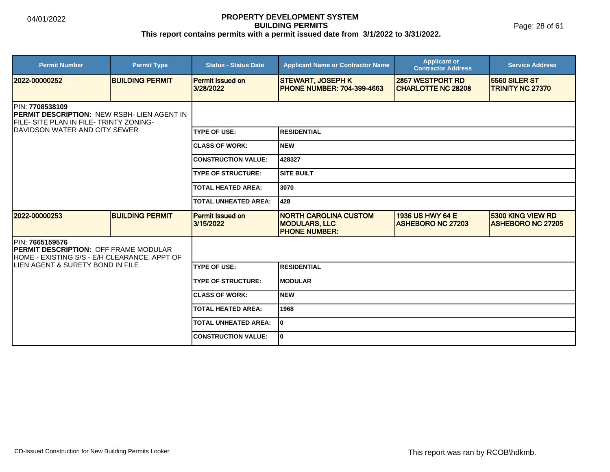Page: 28 of 61

| <b>Permit Number</b>                                                                                                                                        | <b>Permit Type</b>     | <b>Status - Status Date</b>          | <b>Applicant Name or Contractor Name</b>                                     | <b>Applicant or</b><br><b>Contractor Address</b>    | <b>Service Address</b>                               |  |  |
|-------------------------------------------------------------------------------------------------------------------------------------------------------------|------------------------|--------------------------------------|------------------------------------------------------------------------------|-----------------------------------------------------|------------------------------------------------------|--|--|
| 2022-00000252                                                                                                                                               | <b>BUILDING PERMIT</b> | <b>Permit Issued on</b><br>3/28/2022 | <b>STEWART, JOSEPH K</b><br><b>PHONE NUMBER: 704-399-4663</b>                | 2857 WESTPORT RD<br><b>CHARLOTTE NC 28208</b>       | <b>15560 SILER ST</b><br><b>TRINITY NC 27370</b>     |  |  |
| <b>IPIN: 7708538109</b><br><b>IPERMIT DESCRIPTION: NEW RSBH- LIEN AGENT IN</b><br>FILE- SITE PLAN IN FILE- TRINTY ZONING-<br>IDAVIDSON WATER AND CITY SEWER |                        |                                      |                                                                              |                                                     |                                                      |  |  |
|                                                                                                                                                             |                        | <b>TYPE OF USE:</b>                  | <b>RESIDENTIAL</b>                                                           |                                                     |                                                      |  |  |
|                                                                                                                                                             |                        | <b>CLASS OF WORK:</b>                | <b>NEW</b>                                                                   |                                                     |                                                      |  |  |
|                                                                                                                                                             |                        | <b>CONSTRUCTION VALUE:</b>           | 428327                                                                       |                                                     |                                                      |  |  |
|                                                                                                                                                             |                        | <b>TYPE OF STRUCTURE:</b>            | <b>SITE BUILT</b>                                                            |                                                     |                                                      |  |  |
|                                                                                                                                                             |                        | <b>TOTAL HEATED AREA:</b>            | 3070                                                                         |                                                     |                                                      |  |  |
|                                                                                                                                                             |                        | TOTAL UNHEATED AREA:                 | 428                                                                          |                                                     |                                                      |  |  |
| 2022-00000253                                                                                                                                               | <b>BUILDING PERMIT</b> | <b>Permit Issued on</b><br>3/15/2022 | <b>NORTH CAROLINA CUSTOM</b><br><b>MODULARS, LLC</b><br><b>PHONE NUMBER:</b> | <b>1936 US HWY 64 E</b><br><b>ASHEBORO NC 27203</b> | <b>5300 KING VIEW RD</b><br><b>ASHEBORO NC 27205</b> |  |  |
| PIN: 7665159576<br><b>PERMIT DESCRIPTION: OFF FRAME MODULAR</b><br>HOME - EXISTING S/S - E/H CLEARANCE, APPT OF                                             |                        |                                      |                                                                              |                                                     |                                                      |  |  |
| LIEN AGENT & SURETY BOND IN FILE                                                                                                                            |                        | <b>TYPE OF USE:</b>                  | <b>RESIDENTIAL</b>                                                           |                                                     |                                                      |  |  |
|                                                                                                                                                             |                        | <b>TYPE OF STRUCTURE:</b>            | <b>MODULAR</b>                                                               |                                                     |                                                      |  |  |
|                                                                                                                                                             |                        | <b>CLASS OF WORK:</b>                | <b>NEW</b>                                                                   |                                                     |                                                      |  |  |
|                                                                                                                                                             |                        | <b>TOTAL HEATED AREA:</b>            | 1968                                                                         |                                                     |                                                      |  |  |
|                                                                                                                                                             |                        | <b>TOTAL UNHEATED AREA:</b>          | I٥                                                                           |                                                     |                                                      |  |  |
|                                                                                                                                                             |                        | <b>CONSTRUCTION VALUE:</b>           | I٥                                                                           |                                                     |                                                      |  |  |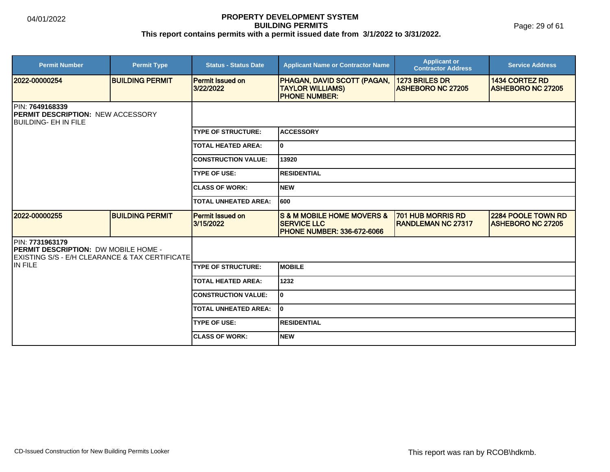Page: 29 of 61

| <b>Permit Number</b>                                                                                               | <b>Permit Type</b>     | <b>Status - Status Date</b>          | <b>Applicant Name or Contractor Name</b>                                                      | <b>Applicant or</b><br><b>Contractor Address</b>      | <b>Service Address</b>                          |  |  |
|--------------------------------------------------------------------------------------------------------------------|------------------------|--------------------------------------|-----------------------------------------------------------------------------------------------|-------------------------------------------------------|-------------------------------------------------|--|--|
| 2022-00000254                                                                                                      | <b>BUILDING PERMIT</b> | <b>Permit Issued on</b><br>3/22/2022 | <b>PHAGAN, DAVID SCOTT (PAGAN,</b><br><b>TAYLOR WILLIAMS)</b><br><b>PHONE NUMBER:</b>         | 1273 BRILES DR<br><b>ASHEBORO NC 27205</b>            | 1434 CORTEZ RD<br><b>ASHEBORO NC 27205</b>      |  |  |
| PIN: 7649168339<br><b>PERMIT DESCRIPTION: NEW ACCESSORY</b><br>IBUILDING- EH IN FILE                               |                        |                                      |                                                                                               |                                                       |                                                 |  |  |
|                                                                                                                    |                        | <b>TYPE OF STRUCTURE:</b>            | <b>ACCESSORY</b>                                                                              |                                                       |                                                 |  |  |
|                                                                                                                    |                        | <b>TOTAL HEATED AREA:</b>            | lo.                                                                                           |                                                       |                                                 |  |  |
|                                                                                                                    |                        | <b>CONSTRUCTION VALUE:</b>           | 13920                                                                                         |                                                       |                                                 |  |  |
|                                                                                                                    |                        | <b>ITYPE OF USE:</b>                 | <b>RESIDENTIAL</b>                                                                            |                                                       |                                                 |  |  |
|                                                                                                                    |                        | <b>ICLASS OF WORK:</b>               | Inew                                                                                          |                                                       |                                                 |  |  |
|                                                                                                                    |                        | <b>TOTAL UNHEATED AREA:</b>          | 1600                                                                                          |                                                       |                                                 |  |  |
| 2022-00000255                                                                                                      | <b>BUILDING PERMIT</b> | <b>Permit Issued on</b><br>3/15/2022 | <b>S &amp; M MOBILE HOME MOVERS &amp;</b><br><b>SERVICE LLC</b><br>PHONE NUMBER: 336-672-6066 | <b>701 HUB MORRIS RD</b><br><b>RANDLEMAN NC 27317</b> | 2284 POOLE TOWN RD<br><b>IASHEBORO NC 27205</b> |  |  |
| PIN: 7731963179<br><b>PERMIT DESCRIPTION: DW MOBILE HOME -</b><br>IEXISTING S/S - E/H CLEARANCE & TAX CERTIFICATEI |                        |                                      |                                                                                               |                                                       |                                                 |  |  |
| IIN FILE                                                                                                           |                        | <b>TYPE OF STRUCTURE:</b>            | <b>IMOBILE</b>                                                                                |                                                       |                                                 |  |  |
|                                                                                                                    |                        | <b>TOTAL HEATED AREA:</b>            | 1232                                                                                          |                                                       |                                                 |  |  |
|                                                                                                                    |                        | <b>CONSTRUCTION VALUE:</b>           | lo.                                                                                           |                                                       |                                                 |  |  |
|                                                                                                                    |                        | <b>TOTAL UNHEATED AREA:</b>          | I٥                                                                                            |                                                       |                                                 |  |  |
|                                                                                                                    |                        | <b>TYPE OF USE:</b>                  | <b>IRESIDENTIAL</b>                                                                           |                                                       |                                                 |  |  |
|                                                                                                                    |                        | <b>ICLASS OF WORK:</b>               | <b>NEW</b>                                                                                    |                                                       |                                                 |  |  |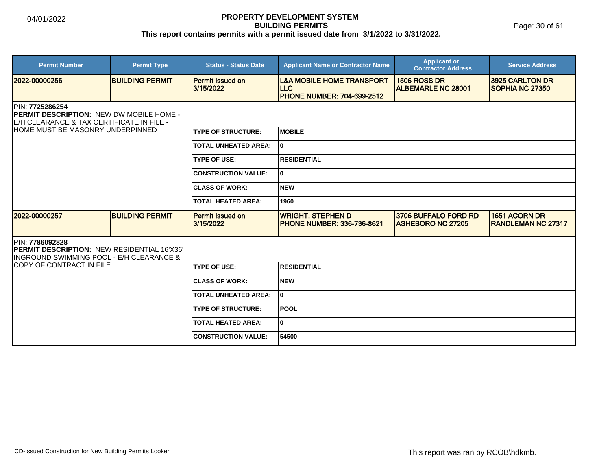Page: 30 of 61

| <b>Permit Number</b>                                                                                                                                         | <b>Permit Type</b>     | <b>Status - Status Date</b>          | <b>Applicant Name or Contractor Name</b>                                                | <b>Applicant or</b><br><b>Contractor Address</b> | <b>Service Address</b>                     |  |
|--------------------------------------------------------------------------------------------------------------------------------------------------------------|------------------------|--------------------------------------|-----------------------------------------------------------------------------------------|--------------------------------------------------|--------------------------------------------|--|
| 2022-00000256                                                                                                                                                | <b>BUILDING PERMIT</b> | <b>Permit Issued on</b><br>3/15/2022 | <b>L&amp;A MOBILE HOME TRANSPORT</b><br><b>LLC</b><br><b>PHONE NUMBER: 704-699-2512</b> | <b>1506 ROSS DR</b><br><b>ALBEMARLE NC 28001</b> | 3925 CARLTON DR<br><b>ISOPHIA NC 27350</b> |  |
| <b>IPIN: 7725286254</b><br><b>IPERMIT DESCRIPTION: NEW DW MOBILE HOME -</b><br>E/H CLEARANCE & TAX CERTIFICATE IN FILE -<br>HOME MUST BE MASONRY UNDERPINNED |                        |                                      |                                                                                         |                                                  |                                            |  |
|                                                                                                                                                              |                        | <b>TYPE OF STRUCTURE:</b>            | <b>IMOBILE</b>                                                                          |                                                  |                                            |  |
|                                                                                                                                                              |                        | <b>TOTAL UNHEATED AREA:</b>          | l0                                                                                      |                                                  |                                            |  |
|                                                                                                                                                              |                        | <b>TYPE OF USE:</b>                  | <b>RESIDENTIAL</b>                                                                      |                                                  |                                            |  |
|                                                                                                                                                              |                        | <b>CONSTRUCTION VALUE:</b>           | I٥                                                                                      |                                                  |                                            |  |
|                                                                                                                                                              |                        | <b>CLASS OF WORK:</b>                | Inew                                                                                    |                                                  |                                            |  |
|                                                                                                                                                              |                        | TOTAL HEATED AREA:                   | 1960                                                                                    |                                                  |                                            |  |
| 2022-00000257                                                                                                                                                | <b>BUILDING PERMIT</b> | <b>Permit Issued on</b><br>3/15/2022 | <b>WRIGHT, STEPHEN D</b><br><b>IPHONE NUMBER: 336-736-8621</b>                          | 3706 BUFFALO FORD RD<br><b>ASHEBORO NC 27205</b> | 1651 ACORN DR<br><b>RANDLEMAN NC 27317</b> |  |
| PIN: 7786092828<br>PERMIT DESCRIPTION: NEW RESIDENTIAL 16'X36'<br>INGROUND SWIMMING POOL - E/H CLEARANCE &                                                   |                        |                                      |                                                                                         |                                                  |                                            |  |
| COPY OF CONTRACT IN FILE                                                                                                                                     |                        | <b>TYPE OF USE:</b>                  | <b>RESIDENTIAL</b>                                                                      |                                                  |                                            |  |
|                                                                                                                                                              |                        | <b>ICLASS OF WORK:</b>               | Inew                                                                                    |                                                  |                                            |  |
|                                                                                                                                                              |                        | <b>TOTAL UNHEATED AREA:</b>          | I٥                                                                                      |                                                  |                                            |  |
|                                                                                                                                                              |                        | <b>TYPE OF STRUCTURE:</b>            | <b>POOL</b>                                                                             |                                                  |                                            |  |
|                                                                                                                                                              |                        | <b>TOTAL HEATED AREA:</b>            | lo.                                                                                     |                                                  |                                            |  |
|                                                                                                                                                              |                        | <b>CONSTRUCTION VALUE:</b>           | 54500                                                                                   |                                                  |                                            |  |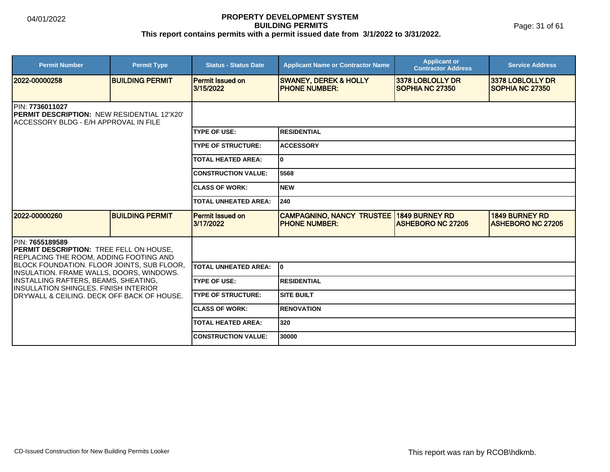Page: 31 of 61

| <b>Permit Number</b>                                                                                                    | <b>Permit Type</b>     | <b>Status - Status Date</b>          | <b>Applicant Name or Contractor Name</b>                                | <b>Applicant or</b><br><b>Contractor Address</b> | <b>Service Address</b>                            |  |  |
|-------------------------------------------------------------------------------------------------------------------------|------------------------|--------------------------------------|-------------------------------------------------------------------------|--------------------------------------------------|---------------------------------------------------|--|--|
| 12022-00000258                                                                                                          | <b>BUILDING PERMIT</b> | <b>Permit Issued on</b><br>3/15/2022 | <b>SWANEY, DEREK &amp; HOLLY</b><br><b>PHONE NUMBER:</b>                | 3378 LOBLOLLY DR<br><b>SOPHIA NC 27350</b>       | 3378 LOBLOLLY DR<br><b>SOPHIA NC 27350</b>        |  |  |
| <b>IPIN: 7736011027</b><br><b>IPERMIT DESCRIPTION: NEW RESIDENTIAL 12'X20'</b><br>ACCESSORY BLDG - E/H APPROVAL IN FILE |                        |                                      |                                                                         |                                                  |                                                   |  |  |
|                                                                                                                         |                        | <b>TYPE OF USE:</b>                  | <b>RESIDENTIAL</b>                                                      |                                                  |                                                   |  |  |
|                                                                                                                         |                        | <b>TYPE OF STRUCTURE:</b>            | <b>ACCESSORY</b>                                                        |                                                  |                                                   |  |  |
|                                                                                                                         |                        | <b>TOTAL HEATED AREA:</b>            | 0                                                                       |                                                  |                                                   |  |  |
|                                                                                                                         |                        | <b>CONSTRUCTION VALUE:</b>           | 5568                                                                    |                                                  |                                                   |  |  |
|                                                                                                                         |                        | <b>CLASS OF WORK:</b>                | <b>NEW</b>                                                              |                                                  |                                                   |  |  |
|                                                                                                                         |                        | <b>TOTAL UNHEATED AREA:</b>          | 240                                                                     |                                                  |                                                   |  |  |
| 2022-00000260                                                                                                           | <b>BUILDING PERMIT</b> | Permit Issued on<br>3/17/2022        | <b>CAMPAGNINO, NANCY TRUSTEE 1849 BURNEY RD</b><br><b>PHONE NUMBER:</b> | <b>ASHEBORO NC 27205</b>                         | <b>1849 BURNEY RD</b><br><b>ASHEBORO NC 27205</b> |  |  |
| PIN: 7655189589<br><b>PERMIT DESCRIPTION: TREE FELL ON HOUSE,</b><br><b>REPLACING THE ROOM, ADDING FOOTING AND</b>      |                        |                                      |                                                                         |                                                  |                                                   |  |  |
| <b>BLOCK FOUNDATION. FLOOR JOINTS, SUB FLOOR,</b><br>INSULATION. FRAME WALLS, DOORS, WINDOWS.                           |                        | <b>TOTAL UNHEATED AREA:</b>          | I٥                                                                      |                                                  |                                                   |  |  |
| INSTALLING RAFTERS, BEAMS, SHEATING,<br><b>IINSULLATION SHINGLES, FINISH INTERIOR</b>                                   |                        | <b>TYPE OF USE:</b>                  | <b>RESIDENTIAL</b>                                                      |                                                  |                                                   |  |  |
| IDRYWALL & CEILING. DECK OFF BACK OF HOUSE.                                                                             |                        | <b>TYPE OF STRUCTURE:</b>            | <b>SITE BUILT</b>                                                       |                                                  |                                                   |  |  |
|                                                                                                                         |                        | <b>ICLASS OF WORK:</b>               | <b>RENOVATION</b>                                                       |                                                  |                                                   |  |  |
|                                                                                                                         |                        | <b>TOTAL HEATED AREA:</b>            | 320                                                                     |                                                  |                                                   |  |  |
|                                                                                                                         |                        | <b>CONSTRUCTION VALUE:</b>           | 30000                                                                   |                                                  |                                                   |  |  |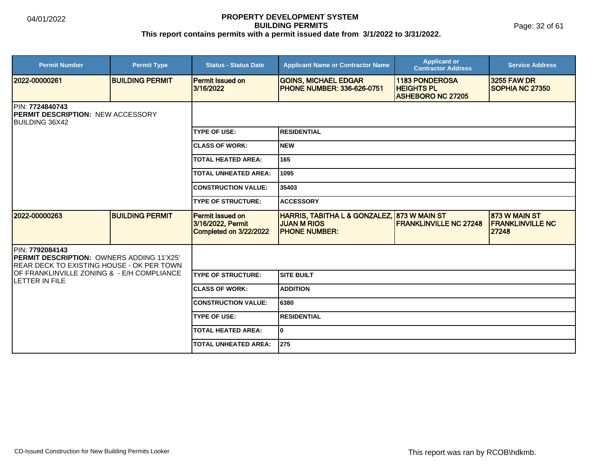Page: 32 of 61

| <b>Permit Number</b>                                                                                             | <b>Permit Type</b>     | <b>Status - Status Date</b>                                            | <b>Applicant Name or Contractor Name</b>                                                   | <b>Applicant or</b><br><b>Contractor Address</b>                       | <b>Service Address</b>                            |  |  |
|------------------------------------------------------------------------------------------------------------------|------------------------|------------------------------------------------------------------------|--------------------------------------------------------------------------------------------|------------------------------------------------------------------------|---------------------------------------------------|--|--|
| 2022-00000261                                                                                                    | <b>BUILDING PERMIT</b> | <b>Permit Issued on</b><br>3/16/2022                                   | <b>GOINS, MICHAEL EDGAR</b><br><b>IPHONE NUMBER: 336-626-0751</b>                          | <b>1183 PONDEROSA</b><br><b>HEIGHTS PL</b><br><b>ASHEBORO NC 27205</b> | <b>3255 FAW DR</b><br>SOPHIA NC 27350             |  |  |
| PIN: 7724840743<br><b>PERMIT DESCRIPTION: NEW ACCESSORY</b><br><b>BUILDING 36X42</b>                             |                        |                                                                        |                                                                                            |                                                                        |                                                   |  |  |
|                                                                                                                  |                        | <b>TYPE OF USE:</b>                                                    | <b>RESIDENTIAL</b>                                                                         |                                                                        |                                                   |  |  |
|                                                                                                                  |                        | <b>CLASS OF WORK:</b>                                                  | <b>NEW</b>                                                                                 |                                                                        |                                                   |  |  |
|                                                                                                                  |                        | <b>TOTAL HEATED AREA:</b>                                              | 165                                                                                        |                                                                        |                                                   |  |  |
|                                                                                                                  |                        | <b>TOTAL UNHEATED AREA:</b>                                            | 1095                                                                                       |                                                                        |                                                   |  |  |
|                                                                                                                  |                        | <b>CONSTRUCTION VALUE:</b>                                             | 35403                                                                                      |                                                                        |                                                   |  |  |
|                                                                                                                  |                        | <b>TYPE OF STRUCTURE:</b>                                              | <b>ACCESSORY</b>                                                                           |                                                                        |                                                   |  |  |
| 2022-00000263                                                                                                    | <b>BUILDING PERMIT</b> | <b>Permit Issued on</b><br>3/16/2022, Permit<br>Completed on 3/22/2022 | HARRIS, TABITHA L & GONZALEZ, 873 W MAIN ST<br><b>JUAN M RIOS</b><br><b>IPHONE NUMBER:</b> | <b>FRANKLINVILLE NC 27248</b>                                          | 873 W MAIN ST<br><b>FRANKLINVILLE NC</b><br>27248 |  |  |
| PIN: 7792084143<br><b>PERMIT DESCRIPTION: OWNERS ADDING 11'X25'</b><br>REAR DECK TO EXISTING HOUSE - OK PER TOWN |                        |                                                                        |                                                                                            |                                                                        |                                                   |  |  |
| OF FRANKLINVILLE ZONING & - E/H COMPLIANCE<br>LETTER IN FILE                                                     |                        | <b>ITYPE OF STRUCTURE:</b>                                             | Isite built                                                                                |                                                                        |                                                   |  |  |
|                                                                                                                  |                        | <b>CLASS OF WORK:</b>                                                  | <b>ADDITION</b>                                                                            |                                                                        |                                                   |  |  |
|                                                                                                                  |                        | <b>CONSTRUCTION VALUE:</b>                                             | 6380                                                                                       |                                                                        |                                                   |  |  |
|                                                                                                                  |                        | <b>TYPE OF USE:</b>                                                    | <b>RESIDENTIAL</b>                                                                         |                                                                        |                                                   |  |  |
|                                                                                                                  |                        | <b>TOTAL HEATED AREA:</b>                                              | lo.                                                                                        |                                                                        |                                                   |  |  |
|                                                                                                                  |                        | <b>TOTAL UNHEATED AREA:</b>                                            | 275                                                                                        |                                                                        |                                                   |  |  |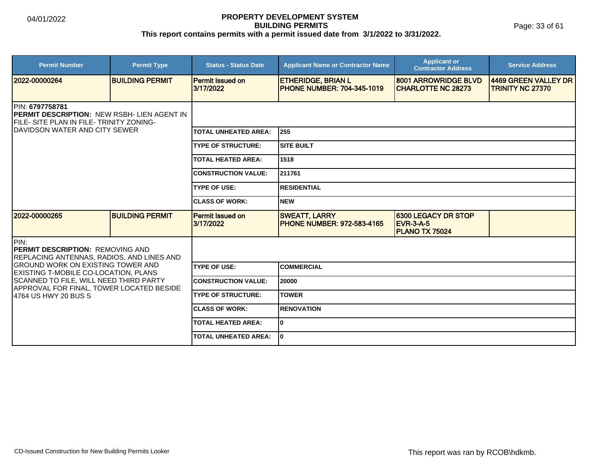Page: 33 of 61

| <b>Permit Number</b>                                                                                       | <b>Permit Type</b>     | <b>Status - Status Date</b>          | <b>Applicant Name or Contractor Name</b>                       | <b>Applicant or</b><br><b>Contractor Address</b>                        | <b>Service Address</b>                          |  |
|------------------------------------------------------------------------------------------------------------|------------------------|--------------------------------------|----------------------------------------------------------------|-------------------------------------------------------------------------|-------------------------------------------------|--|
| 2022-00000264                                                                                              | <b>BUILDING PERMIT</b> | <b>Permit Issued on</b><br>3/17/2022 | <b>ETHERIDGE, BRIAN L</b><br><b>PHONE NUMBER: 704-345-1019</b> | 8001 ARROWRIDGE BLVD<br><b>CHARLOTTE NC 28273</b>                       | 4469 GREEN VALLEY DR<br><b>TRINITY NC 27370</b> |  |
| PIN: 6797758781<br>PERMIT DESCRIPTION: NEW RSBH- LIEN AGENT IN<br>FILE- SITE PLAN IN FILE- TRINITY ZONING- |                        |                                      |                                                                |                                                                         |                                                 |  |
| IDAVIDSON WATER AND CITY SEWER                                                                             |                        | <b>TOTAL UNHEATED AREA:</b>          | 255                                                            |                                                                         |                                                 |  |
|                                                                                                            |                        | <b>TYPE OF STRUCTURE:</b>            | <b>SITE BUILT</b>                                              |                                                                         |                                                 |  |
|                                                                                                            |                        | <b>TOTAL HEATED AREA:</b>            | 1518                                                           |                                                                         |                                                 |  |
|                                                                                                            |                        | <b>CONSTRUCTION VALUE:</b>           | 211761                                                         |                                                                         |                                                 |  |
|                                                                                                            |                        | <b>TYPE OF USE:</b>                  | <b>RESIDENTIAL</b>                                             |                                                                         |                                                 |  |
|                                                                                                            |                        | <b>CLASS OF WORK:</b>                | <b>NEW</b>                                                     |                                                                         |                                                 |  |
| 2022-00000265                                                                                              | <b>BUILDING PERMIT</b> | <b>Permit Issued on</b><br>3/17/2022 | <b>SWEATT, LARRY</b><br><b>PHONE NUMBER: 972-583-4165</b>      | <b>6300 LEGACY DR STOP</b><br><b>EVR-3-A-5</b><br><b>PLANO TX 75024</b> |                                                 |  |
| IPIN:<br><b>IPERMIT DESCRIPTION: REMOVING AND</b><br>REPLACING ANTENNAS, RADIOS, AND LINES AND             |                        |                                      |                                                                |                                                                         |                                                 |  |
| <b>GROUND WORK ON EXISTING TOWER AND</b><br>EXISTING T-MOBILE CO-LOCATION, PLANS                           |                        | <b>TYPE OF USE:</b>                  | <b>COMMERCIAL</b>                                              |                                                                         |                                                 |  |
| SCANNED TO FILE, WILL NEED THIRD PARTY<br>APPROVAL FOR FINAL, TOWER LOCATED BESIDE                         |                        | <b>CONSTRUCTION VALUE:</b>           | 20000                                                          |                                                                         |                                                 |  |
| 4764 US HWY 20 BUS S                                                                                       |                        | <b>TYPE OF STRUCTURE:</b>            | <b>TOWER</b>                                                   |                                                                         |                                                 |  |
|                                                                                                            |                        | <b>CLASS OF WORK:</b>                | <b>RENOVATION</b>                                              |                                                                         |                                                 |  |
|                                                                                                            |                        | <b>TOTAL HEATED AREA:</b>            | $\mathbf{0}$                                                   |                                                                         |                                                 |  |
|                                                                                                            |                        | <b>TOTAL UNHEATED AREA:</b>          | I٥                                                             |                                                                         |                                                 |  |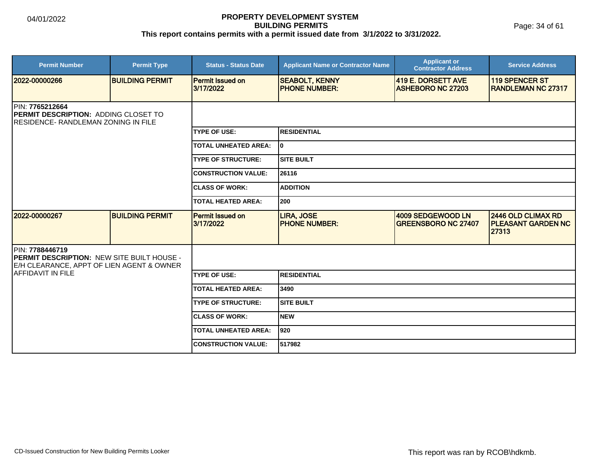Page: 34 of 61

| <b>Permit Number</b>                                                                                              | <b>Permit Type</b>                                                                                     | <b>Status - Status Date</b>          | <b>Applicant Name or Contractor Name</b>      | <b>Applicant or</b><br><b>Contractor Address</b> | <b>Service Address</b>                                          |  |
|-------------------------------------------------------------------------------------------------------------------|--------------------------------------------------------------------------------------------------------|--------------------------------------|-----------------------------------------------|--------------------------------------------------|-----------------------------------------------------------------|--|
| 2022-00000266                                                                                                     | <b>BUILDING PERMIT</b>                                                                                 | <b>Permit Issued on</b><br>3/17/2022 | <b>SEABOLT, KENNY</b><br><b>PHONE NUMBER:</b> | 419 E. DORSETT AVE<br><b>ASHEBORO NC 27203</b>   | <b>119 SPENCER ST</b><br><b>IRANDLEMAN NC 27317</b>             |  |
| <b>IPIN: 7765212664</b><br>PERMIT DESCRIPTION: ADDING CLOSET TO<br><b>IRESIDENCE- RANDLEMAN ZONING IN FILE</b>    |                                                                                                        |                                      |                                               |                                                  |                                                                 |  |
|                                                                                                                   |                                                                                                        | <b>TYPE OF USE:</b>                  | <b>RESIDENTIAL</b>                            |                                                  |                                                                 |  |
|                                                                                                                   |                                                                                                        | <b>TOTAL UNHEATED AREA:</b>          | I٥                                            |                                                  |                                                                 |  |
|                                                                                                                   |                                                                                                        | <b>TYPE OF STRUCTURE:</b>            | <b>SITE BUILT</b>                             |                                                  |                                                                 |  |
|                                                                                                                   |                                                                                                        | <b>CONSTRUCTION VALUE:</b>           | 26116                                         |                                                  |                                                                 |  |
|                                                                                                                   |                                                                                                        | <b>ICLASS OF WORK:</b>               | <b>ADDITION</b>                               |                                                  |                                                                 |  |
|                                                                                                                   |                                                                                                        | <b>TOTAL HEATED AREA:</b>            | 200                                           |                                                  |                                                                 |  |
| 2022-00000267                                                                                                     | <b>BUILDING PERMIT</b>                                                                                 | <b>Permit Issued on</b><br>3/17/2022 | <b>LIRA, JOSE</b><br><b>IPHONE NUMBER:</b>    | 4009 SEDGEWOOD LN<br><b>GREENSBORO NC 27407</b>  | <b>2446 OLD CLIMAX RD</b><br><b>PLEASANT GARDEN NC</b><br>27313 |  |
| PIN: 7788446719<br><b>PERMIT DESCRIPTION: NEW SITE BUILT HOUSE -</b><br>E/H CLEARANCE, APPT OF LIEN AGENT & OWNER |                                                                                                        |                                      |                                               |                                                  |                                                                 |  |
| AFFIDAVIT IN FILE                                                                                                 | <b>TYPE OF USE:</b><br><b>TOTAL HEATED AREA:</b><br><b>TYPE OF STRUCTURE:</b><br><b>CLASS OF WORK:</b> |                                      | <b>RESIDENTIAL</b>                            |                                                  |                                                                 |  |
|                                                                                                                   |                                                                                                        |                                      | 3490                                          |                                                  |                                                                 |  |
|                                                                                                                   |                                                                                                        |                                      | <b>SITE BUILT</b>                             |                                                  |                                                                 |  |
|                                                                                                                   |                                                                                                        |                                      | <b>NEW</b>                                    |                                                  |                                                                 |  |
|                                                                                                                   |                                                                                                        | <b>TOTAL UNHEATED AREA:</b>          | 1920                                          |                                                  |                                                                 |  |
|                                                                                                                   |                                                                                                        | <b>CONSTRUCTION VALUE:</b>           | 517982                                        |                                                  |                                                                 |  |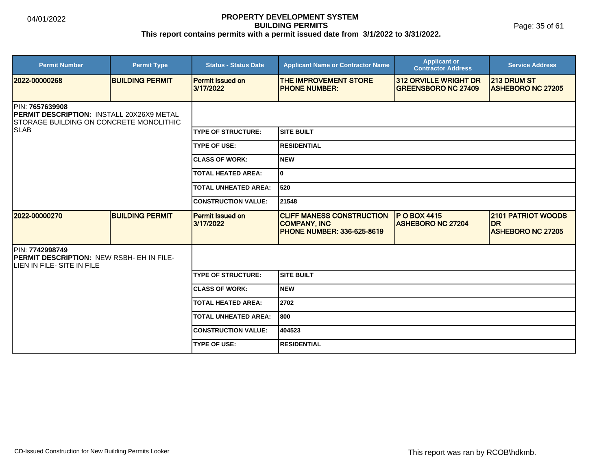Page: 35 of 61

| <b>Permit Number</b>                                                                                                     | <b>Permit Type</b>     | <b>Status - Status Date</b>          | <b>Applicant Name or Contractor Name</b>                                                      | <b>Applicant or</b><br><b>Contractor Address</b>           | <b>Service Address</b>                                             |  |
|--------------------------------------------------------------------------------------------------------------------------|------------------------|--------------------------------------|-----------------------------------------------------------------------------------------------|------------------------------------------------------------|--------------------------------------------------------------------|--|
| 2022-00000268                                                                                                            | <b>BUILDING PERMIT</b> | Permit Issued on<br>3/17/2022        | THE IMPROVEMENT STORE<br><b>PHONE NUMBER:</b>                                                 | <b>312 ORVILLE WRIGHT DR</b><br><b>GREENSBORO NC 27409</b> | <b>213 DRUM ST</b><br><b>ASHEBORO NC 27205</b>                     |  |
| IPIN: 7657639908<br><b>IPERMIT DESCRIPTION: INSTALL 20X26X9 METAL</b><br><b>ISTORAGE BUILDING ON CONCRETE MONOLITHIC</b> |                        |                                      |                                                                                               |                                                            |                                                                    |  |
| <b>SLAB</b>                                                                                                              |                        | <b>ITYPE OF STRUCTURE:</b>           | <b>ISITE BUILT</b>                                                                            |                                                            |                                                                    |  |
|                                                                                                                          |                        | <b>TYPE OF USE:</b>                  | <b>RESIDENTIAL</b>                                                                            |                                                            |                                                                    |  |
|                                                                                                                          |                        | <b>ICLASS OF WORK:</b>               | Inew                                                                                          |                                                            |                                                                    |  |
|                                                                                                                          |                        | <b>TOTAL HEATED AREA:</b>            | lo                                                                                            |                                                            |                                                                    |  |
|                                                                                                                          |                        | <b>TOTAL UNHEATED AREA:</b>          | 520                                                                                           |                                                            |                                                                    |  |
|                                                                                                                          |                        | <b>CONSTRUCTION VALUE:</b>           | 21548                                                                                         |                                                            |                                                                    |  |
| 2022-00000270                                                                                                            | <b>BUILDING PERMIT</b> | <b>Permit Issued on</b><br>3/17/2022 | <b>CLIFF MANESS CONSTRUCTION</b><br><b>COMPANY, INC</b><br><b>IPHONE NUMBER: 336-625-8619</b> | <b>P O BOX 4415</b><br><b>ASHEBORO NC 27204</b>            | <b>2101 PATRIOT WOODS</b><br><b>DR</b><br><b>ASHEBORO NC 27205</b> |  |
| PIN: 7742998749<br>PERMIT DESCRIPTION: NEW RSBH- EH IN FILE-<br>LIEN IN FILE- SITE IN FILE                               |                        |                                      |                                                                                               |                                                            |                                                                    |  |
|                                                                                                                          |                        | <b>TYPE OF STRUCTURE:</b>            | Isite built                                                                                   |                                                            |                                                                    |  |
|                                                                                                                          |                        | <b>ICLASS OF WORK:</b>               | <b>NEW</b>                                                                                    |                                                            |                                                                    |  |
|                                                                                                                          |                        | <b>TOTAL HEATED AREA:</b>            | 2702                                                                                          |                                                            |                                                                    |  |
|                                                                                                                          |                        | <b>TOTAL UNHEATED AREA:</b>          | 1800                                                                                          |                                                            |                                                                    |  |
|                                                                                                                          |                        | <b>CONSTRUCTION VALUE:</b>           | 404523                                                                                        |                                                            |                                                                    |  |
|                                                                                                                          |                        | <b>TYPE OF USE:</b>                  | <b>RESIDENTIAL</b>                                                                            |                                                            |                                                                    |  |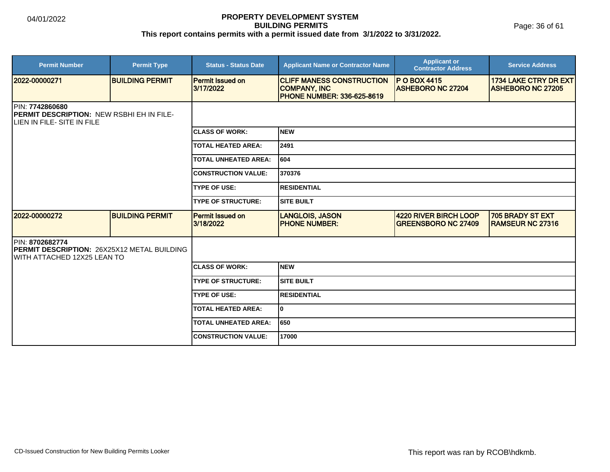Page: 36 of 61

| <b>Permit Number</b>                                                                                      | <b>Permit Type</b>     | <b>Status - Status Date</b>          | <b>Applicant Name or Contractor Name</b>                                                     | <b>Applicant or</b><br><b>Contractor Address</b>           | <b>Service Address</b>                            |
|-----------------------------------------------------------------------------------------------------------|------------------------|--------------------------------------|----------------------------------------------------------------------------------------------|------------------------------------------------------------|---------------------------------------------------|
| 2022-00000271                                                                                             | <b>BUILDING PERMIT</b> | <b>Permit Issued on</b><br>3/17/2022 | <b>CLIFF MANESS CONSTRUCTION</b><br><b>COMPANY, INC</b><br><b>PHONE NUMBER: 336-625-8619</b> | <b>P O BOX 4415</b><br><b>ASHEBORO NC 27204</b>            | 1734 LAKE CTRY DR EXT<br><b>ASHEBORO NC 27205</b> |
| <b>IPIN: 7742860680</b><br><b>PERMIT DESCRIPTION: NEW RSBHI EH IN FILE-</b><br>LIEN IN FILE- SITE IN FILE |                        |                                      |                                                                                              |                                                            |                                                   |
|                                                                                                           |                        | <b>CLASS OF WORK:</b>                | Inew                                                                                         |                                                            |                                                   |
|                                                                                                           |                        | <b>TOTAL HEATED AREA:</b>            | 2491                                                                                         |                                                            |                                                   |
|                                                                                                           |                        | <b>TOTAL UNHEATED AREA:</b>          | 604                                                                                          |                                                            |                                                   |
|                                                                                                           |                        | <b>CONSTRUCTION VALUE:</b>           | 370376                                                                                       |                                                            |                                                   |
|                                                                                                           |                        | <b>TYPE OF USE:</b>                  | <b>RESIDENTIAL</b>                                                                           |                                                            |                                                   |
|                                                                                                           |                        | <b>TYPE OF STRUCTURE:</b>            | <b>SITE BUILT</b>                                                                            |                                                            |                                                   |
| 12022-00000272                                                                                            | <b>BUILDING PERMIT</b> | <b>Permit Issued on</b><br>3/18/2022 | <b>LANGLOIS, JASON</b><br><b>PHONE NUMBER:</b>                                               | <b>4220 RIVER BIRCH LOOP</b><br><b>GREENSBORO NC 27409</b> | 705 BRADY ST EXT<br><b>IRAMSEUR NC 27316</b>      |
| IPIN: 8702682774<br>PERMIT DESCRIPTION: 26X25X12 METAL BUILDING<br>IWITH ATTACHED 12X25 LEAN TO           |                        |                                      |                                                                                              |                                                            |                                                   |
|                                                                                                           |                        | <b>CLASS OF WORK:</b>                | Inew                                                                                         |                                                            |                                                   |
|                                                                                                           |                        | <b>TYPE OF STRUCTURE:</b>            | <b>SITE BUILT</b>                                                                            |                                                            |                                                   |
|                                                                                                           |                        | <b>TYPE OF USE:</b>                  | <b>RESIDENTIAL</b>                                                                           |                                                            |                                                   |
|                                                                                                           |                        | <b>TOTAL HEATED AREA:</b>            | lo                                                                                           |                                                            |                                                   |
|                                                                                                           |                        | <b>TOTAL UNHEATED AREA:</b>          | 650                                                                                          |                                                            |                                                   |
|                                                                                                           |                        | <b>CONSTRUCTION VALUE:</b>           | 17000                                                                                        |                                                            |                                                   |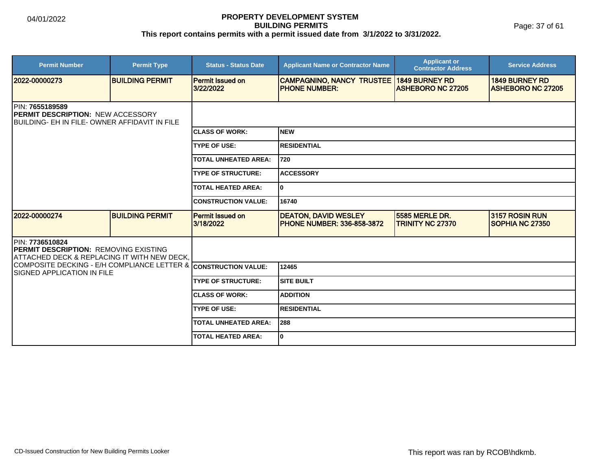Page: 37 of 61

| <b>Permit Number</b>                                                                                                 | <b>Permit Type</b>     | <b>Status - Status Date</b>          | <b>Applicant Name or Contractor Name</b>                         | <b>Applicant or</b><br><b>Contractor Address</b>  | <b>Service Address</b>                            |  |  |
|----------------------------------------------------------------------------------------------------------------------|------------------------|--------------------------------------|------------------------------------------------------------------|---------------------------------------------------|---------------------------------------------------|--|--|
| 2022-00000273                                                                                                        | <b>BUILDING PERMIT</b> | <b>Permit Issued on</b><br>3/22/2022 | <b>CAMPAGNINO, NANCY TRUSTEE</b><br><b>PHONE NUMBER:</b>         | <b>1849 BURNEY RD</b><br><b>ASHEBORO NC 27205</b> | <b>1849 BURNEY RD</b><br><b>ASHEBORO NC 27205</b> |  |  |
| <b>IPIN: 7655189589</b><br><b>PERMIT DESCRIPTION: NEW ACCESSORY</b><br>BUILDING- EH IN FILE- OWNER AFFIDAVIT IN FILE |                        |                                      |                                                                  |                                                   |                                                   |  |  |
|                                                                                                                      |                        | <b>CLASS OF WORK:</b>                | <b>NEW</b>                                                       |                                                   |                                                   |  |  |
|                                                                                                                      |                        | <b>TYPE OF USE:</b>                  | <b>RESIDENTIAL</b>                                               |                                                   |                                                   |  |  |
|                                                                                                                      |                        | <b>TOTAL UNHEATED AREA:</b>          | 720                                                              |                                                   |                                                   |  |  |
|                                                                                                                      |                        | <b>TYPE OF STRUCTURE:</b>            | <b>ACCESSORY</b>                                                 |                                                   |                                                   |  |  |
|                                                                                                                      |                        | <b>TOTAL HEATED AREA:</b>            | $\mathbf{0}$                                                     |                                                   |                                                   |  |  |
|                                                                                                                      |                        | <b>CONSTRUCTION VALUE:</b>           | 16740                                                            |                                                   |                                                   |  |  |
| 2022-00000274                                                                                                        | <b>BUILDING PERMIT</b> | Permit Issued on<br>3/18/2022        | <b>DEATON, DAVID WESLEY</b><br><b>PHONE NUMBER: 336-858-3872</b> | 5585 MERLE DR.<br><b>TRINITY NC 27370</b>         | 3157 ROSIN RUN<br>SOPHIA NC 27350                 |  |  |
| PIN: 7736510824<br><b>IPERMIT DESCRIPTION: REMOVING EXISTING</b><br>ATTACHED DECK & REPLACING IT WITH NEW DECK,      |                        |                                      |                                                                  |                                                   |                                                   |  |  |
| COMPOSITE DECKING - E/H COMPLIANCE LETTER & CONSTRUCTION VALUE:<br>ISIGNED APPLICATION IN FILE                       |                        |                                      | 12465                                                            |                                                   |                                                   |  |  |
|                                                                                                                      |                        | <b>TYPE OF STRUCTURE:</b>            | <b>SITE BUILT</b>                                                |                                                   |                                                   |  |  |
|                                                                                                                      |                        | <b>ICLASS OF WORK:</b>               | <b>ADDITION</b>                                                  |                                                   |                                                   |  |  |
|                                                                                                                      |                        | <b>TYPE OF USE:</b>                  | <b>RESIDENTIAL</b>                                               |                                                   |                                                   |  |  |
|                                                                                                                      |                        | <b>TOTAL UNHEATED AREA:</b>          | 288                                                              |                                                   |                                                   |  |  |
|                                                                                                                      |                        | <b>TOTAL HEATED AREA:</b>            | 0                                                                |                                                   |                                                   |  |  |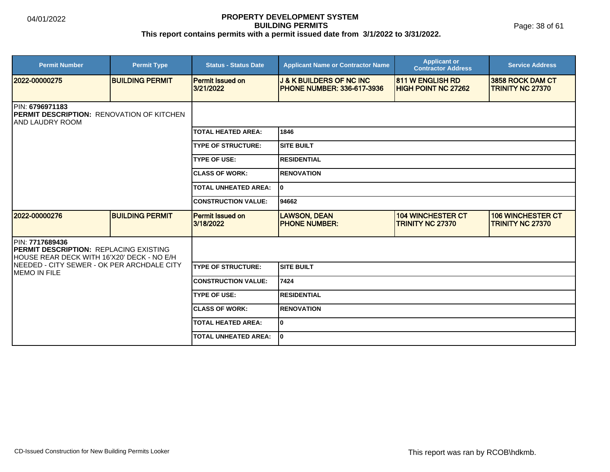Page: 38 of 61

| <b>Permit Number</b>                                                                                            | <b>Permit Type</b>     | <b>Status - Status Date</b>          | <b>Applicant Name or Contractor Name</b>                                 | <b>Applicant or</b><br><b>Contractor Address</b>      | <b>Service Address</b>                              |  |
|-----------------------------------------------------------------------------------------------------------------|------------------------|--------------------------------------|--------------------------------------------------------------------------|-------------------------------------------------------|-----------------------------------------------------|--|
| 2022-00000275                                                                                                   | <b>BUILDING PERMIT</b> | <b>Permit Issued on</b><br>3/21/2022 | <b>J &amp; K BUILDERS OF NC INC</b><br><b>PHONE NUMBER: 336-617-3936</b> | <b>811 W ENGLISH RD</b><br><b>HIGH POINT NC 27262</b> | 3858 ROCK DAM CT<br><b>TRINITY NC 27370</b>         |  |
| IPIN: 6796971183<br><b>IPERMIT DESCRIPTION: RENOVATION OF KITCHEN</b><br>IAND LAUDRY ROOM                       |                        |                                      |                                                                          |                                                       |                                                     |  |
|                                                                                                                 |                        | <b>TOTAL HEATED AREA:</b>            | 1846                                                                     |                                                       |                                                     |  |
|                                                                                                                 |                        | <b>TYPE OF STRUCTURE:</b>            | <b>SITE BUILT</b>                                                        |                                                       |                                                     |  |
|                                                                                                                 |                        | <b>TYPE OF USE:</b>                  | IRESIDENTIAL                                                             |                                                       |                                                     |  |
|                                                                                                                 |                        | <b>CLASS OF WORK:</b>                | <b>RENOVATION</b>                                                        |                                                       |                                                     |  |
|                                                                                                                 |                        | <b>TOTAL UNHEATED AREA:</b>          | I٥                                                                       |                                                       |                                                     |  |
|                                                                                                                 |                        | <b>CONSTRUCTION VALUE:</b>           | 94662                                                                    |                                                       |                                                     |  |
| 12022-00000276                                                                                                  | <b>BUILDING PERMIT</b> | <b>Permit Issued on</b><br>3/18/2022 | <b>LAWSON, DEAN</b><br><b>IPHONE NUMBER:</b>                             | <b>104 WINCHESTER CT</b><br><b>TRINITY NC 27370</b>   | <b>106 WINCHESTER CT</b><br><b>TRINITY NC 27370</b> |  |
| IPIN: 7717689436<br><b>PERMIT DESCRIPTION: REPLACING EXISTING</b><br>HOUSE REAR DECK WITH 16'X20' DECK - NO E/H |                        |                                      |                                                                          |                                                       |                                                     |  |
| INEEDED - CITY SEWER - OK PER ARCHDALE CITY<br>MEMO IN FILE                                                     |                        | <b>TYPE OF STRUCTURE:</b>            | Isite built                                                              |                                                       |                                                     |  |
|                                                                                                                 |                        | <b>CONSTRUCTION VALUE:</b>           | 7424                                                                     |                                                       |                                                     |  |
|                                                                                                                 |                        | <b>TYPE OF USE:</b>                  | IRESIDENTIAL                                                             |                                                       |                                                     |  |
|                                                                                                                 |                        | <b>CLASS OF WORK:</b>                | <b>IRENOVATION</b>                                                       |                                                       |                                                     |  |
|                                                                                                                 |                        | <b>TOTAL HEATED AREA:</b>            | lo.                                                                      |                                                       |                                                     |  |
|                                                                                                                 |                        | <b>TOTAL UNHEATED AREA:</b>          | lo.                                                                      |                                                       |                                                     |  |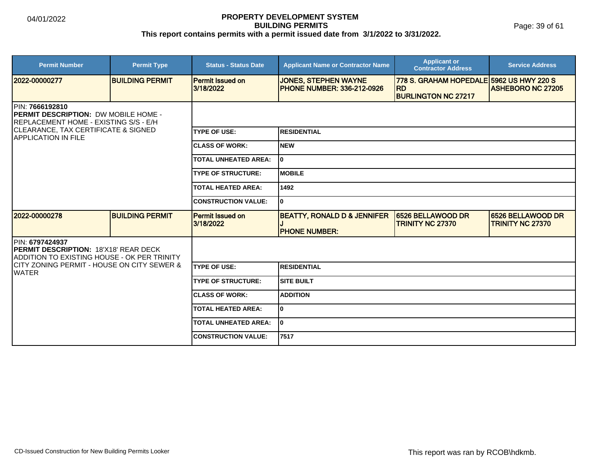Page: 39 of 61

| <b>Permit Number</b>                                                                                                                                                    | <b>Permit Type</b>     | <b>Status - Status Date</b>          | <b>Applicant Name or Contractor Name</b>                         | <b>Applicant or</b><br><b>Contractor Address</b>                                    | <b>Service Address</b>                       |  |
|-------------------------------------------------------------------------------------------------------------------------------------------------------------------------|------------------------|--------------------------------------|------------------------------------------------------------------|-------------------------------------------------------------------------------------|----------------------------------------------|--|
| 2022-00000277                                                                                                                                                           | <b>BUILDING PERMIT</b> | Permit Issued on<br>3/18/2022        | <b>JONES, STEPHEN WAYNE</b><br><b>PHONE NUMBER: 336-212-0926</b> | 778 S. GRAHAM HOPEDALE 5962 US HWY 220 S<br><b>RD</b><br><b>BURLINGTON NC 27217</b> | <b>ASHEBORO NC 27205</b>                     |  |
| IPIN: 7666192810<br>PERMIT DESCRIPTION: DW MOBILE HOME -<br>REPLACEMENT HOME - EXISTING S/S - E/H<br>CLEARANCE, TAX CERTIFICATE & SIGNED<br><b>IAPPLICATION IN FILE</b> |                        |                                      |                                                                  |                                                                                     |                                              |  |
|                                                                                                                                                                         |                        | <b>TYPE OF USE:</b>                  | <b>RESIDENTIAL</b>                                               |                                                                                     |                                              |  |
|                                                                                                                                                                         |                        | <b>CLASS OF WORK:</b>                | NEW                                                              |                                                                                     |                                              |  |
|                                                                                                                                                                         |                        | <b>TOTAL UNHEATED AREA:</b>          | l0                                                               |                                                                                     |                                              |  |
|                                                                                                                                                                         |                        | <b>TYPE OF STRUCTURE:</b>            | <b>MOBILE</b>                                                    |                                                                                     |                                              |  |
|                                                                                                                                                                         |                        | <b>TOTAL HEATED AREA:</b>            | 1492                                                             |                                                                                     |                                              |  |
|                                                                                                                                                                         |                        | <b>CONSTRUCTION VALUE:</b>           | I٥                                                               |                                                                                     |                                              |  |
| 2022-00000278                                                                                                                                                           | <b>BUILDING PERMIT</b> | <b>Permit Issued on</b><br>3/18/2022 | <b>BEATTY, RONALD D &amp; JENNIFER</b><br><b>PHONE NUMBER:</b>   | 6526 BELLAWOOD DR<br><b>TRINITY NC 27370</b>                                        | 6526 BELLAWOOD DR<br><b>TRINITY NC 27370</b> |  |
| PIN: 6797424937<br><b>PERMIT DESCRIPTION: 18'X18' REAR DECK</b><br>ADDITION TO EXISTING HOUSE - OK PER TRINITY                                                          |                        |                                      |                                                                  |                                                                                     |                                              |  |
| ICITY ZONING PERMIT - HOUSE ON CITY SEWER &<br><b>WATER</b>                                                                                                             |                        | <b>TYPE OF USE:</b>                  | <b>RESIDENTIAL</b>                                               |                                                                                     |                                              |  |
|                                                                                                                                                                         |                        | <b>TYPE OF STRUCTURE:</b>            | <b>SITE BUILT</b>                                                |                                                                                     |                                              |  |
|                                                                                                                                                                         |                        | <b>ICLASS OF WORK:</b>               | <b>ADDITION</b>                                                  |                                                                                     |                                              |  |
|                                                                                                                                                                         |                        | <b>TOTAL HEATED AREA:</b>            | I٥                                                               |                                                                                     |                                              |  |
|                                                                                                                                                                         |                        | <b>TOTAL UNHEATED AREA:</b>          | I٥                                                               |                                                                                     |                                              |  |
|                                                                                                                                                                         |                        | <b>CONSTRUCTION VALUE:</b>           | 7517                                                             |                                                                                     |                                              |  |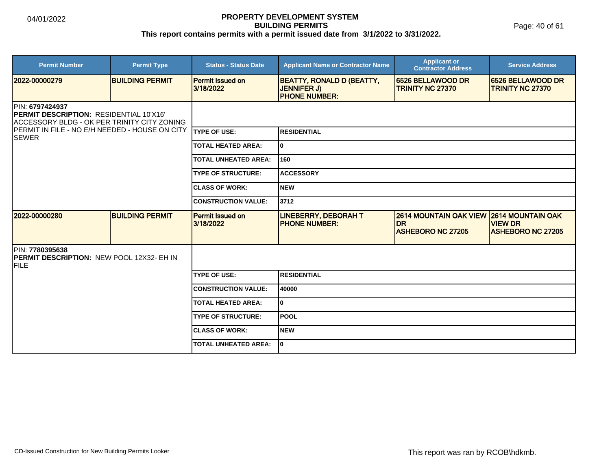Page: 40 of 61

| <b>Permit Number</b>                                                                                                                                                               | <b>Permit Type</b>     | <b>Status - Status Date</b>          | <b>Applicant Name or Contractor Name</b>                                       | <b>Applicant or</b><br><b>Contractor Address</b>                        | <b>Service Address</b>                                                 |
|------------------------------------------------------------------------------------------------------------------------------------------------------------------------------------|------------------------|--------------------------------------|--------------------------------------------------------------------------------|-------------------------------------------------------------------------|------------------------------------------------------------------------|
| 2022-00000279                                                                                                                                                                      | <b>BUILDING PERMIT</b> | Permit Issued on<br>3/18/2022        | <b>BEATTY, RONALD D (BEATTY,</b><br><b>JENNIFER J)</b><br><b>PHONE NUMBER:</b> | 6526 BELLAWOOD DR<br><b>TRINITY NC 27370</b>                            | 6526 BELLAWOOD DR<br><b>TRINITY NC 27370</b>                           |
| PIN: 6797424937<br><b>PERMIT DESCRIPTION: RESIDENTIAL 10'X16'</b><br>ACCESSORY BLDG - OK PER TRINITY CITY ZONING<br>PERMIT IN FILE - NO E/H NEEDED - HOUSE ON CITY<br><b>SEWER</b> |                        |                                      |                                                                                |                                                                         |                                                                        |
|                                                                                                                                                                                    |                        | <b>ITYPE OF USE:</b>                 | <b>IRESIDENTIAL</b>                                                            |                                                                         |                                                                        |
|                                                                                                                                                                                    |                        | <b>TOTAL HEATED AREA:</b>            | lo.                                                                            |                                                                         |                                                                        |
|                                                                                                                                                                                    |                        | <b>TOTAL UNHEATED AREA:</b>          | 160                                                                            |                                                                         |                                                                        |
|                                                                                                                                                                                    |                        | <b>TYPE OF STRUCTURE:</b>            | <b>ACCESSORY</b>                                                               |                                                                         |                                                                        |
|                                                                                                                                                                                    |                        | <b>ICLASS OF WORK:</b>               | <b>NEW</b>                                                                     |                                                                         |                                                                        |
|                                                                                                                                                                                    |                        | <b>CONSTRUCTION VALUE:</b>           | 3712                                                                           |                                                                         |                                                                        |
| 2022-00000280                                                                                                                                                                      | <b>BUILDING PERMIT</b> | <b>Permit Issued on</b><br>3/18/2022 | <b>LINEBERRY, DEBORAH T</b><br><b>PHONE NUMBER:</b>                            | <b>2614 MOUNTAIN OAK VIEW</b><br><b>IDR</b><br><b>ASHEBORO NC 27205</b> | <b>2614 MOUNTAIN OAK</b><br><b>VIEW DR</b><br><b>ASHEBORO NC 27205</b> |
| PIN: 7780395638<br><b>IPERMIT DESCRIPTION: NEW POOL 12X32- EH IN</b><br><b>FILE</b>                                                                                                |                        |                                      |                                                                                |                                                                         |                                                                        |
|                                                                                                                                                                                    |                        | <b>TYPE OF USE:</b>                  | <b>RESIDENTIAL</b>                                                             |                                                                         |                                                                        |
|                                                                                                                                                                                    |                        | <b>CONSTRUCTION VALUE:</b>           | 40000                                                                          |                                                                         |                                                                        |
|                                                                                                                                                                                    |                        | <b>TOTAL HEATED AREA:</b>            | lo.                                                                            |                                                                         |                                                                        |
|                                                                                                                                                                                    |                        | <b>TYPE OF STRUCTURE:</b>            | <b>POOL</b>                                                                    |                                                                         |                                                                        |
|                                                                                                                                                                                    |                        | <b>ICLASS OF WORK:</b>               | <b>NEW</b>                                                                     |                                                                         |                                                                        |
|                                                                                                                                                                                    |                        | <b>TOTAL UNHEATED AREA:</b>          | I٥                                                                             |                                                                         |                                                                        |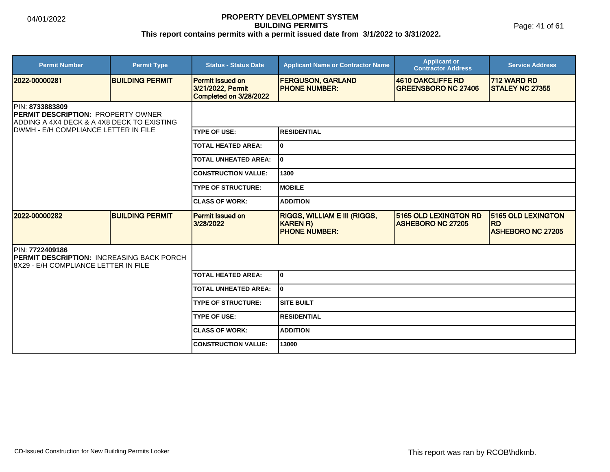Page: 41 of 61

| <b>Permit Number</b>                                                                                                                                       | <b>Permit Type</b>     | <b>Status - Status Date</b>                                            | <b>Applicant Name or Contractor Name</b>                                       | <b>Applicant or</b><br><b>Contractor Address</b>  | <b>Service Address</b>                                      |  |
|------------------------------------------------------------------------------------------------------------------------------------------------------------|------------------------|------------------------------------------------------------------------|--------------------------------------------------------------------------------|---------------------------------------------------|-------------------------------------------------------------|--|
| 2022-00000281                                                                                                                                              | <b>BUILDING PERMIT</b> | <b>Permit Issued on</b><br>3/21/2022, Permit<br>Completed on 3/28/2022 | <b>FERGUSON, GARLAND</b><br><b>PHONE NUMBER:</b>                               | 4610 OAKCLIFFE RD<br><b>GREENSBORO NC 27406</b>   | 712 WARD RD<br><b>STALEY NC 27355</b>                       |  |
| <b>PIN: 8733883809</b><br><b>PERMIT DESCRIPTION: PROPERTY OWNER</b><br>ADDING A 4X4 DECK & A 4X8 DECK TO EXISTING<br>IDWMH - E/H COMPLIANCE LETTER IN FILE |                        |                                                                        |                                                                                |                                                   |                                                             |  |
|                                                                                                                                                            |                        | <b>TYPE OF USE:</b>                                                    | <b>RESIDENTIAL</b>                                                             |                                                   |                                                             |  |
|                                                                                                                                                            |                        | <b>TOTAL HEATED AREA:</b>                                              | I٥                                                                             |                                                   |                                                             |  |
|                                                                                                                                                            |                        | <b>TOTAL UNHEATED AREA:</b>                                            | I٥                                                                             |                                                   |                                                             |  |
|                                                                                                                                                            |                        | <b>CONSTRUCTION VALUE:</b>                                             | 1300                                                                           |                                                   |                                                             |  |
|                                                                                                                                                            |                        | <b>TYPE OF STRUCTURE:</b>                                              | <b>IMOBILE</b>                                                                 |                                                   |                                                             |  |
|                                                                                                                                                            |                        | <b>CLASS OF WORK:</b>                                                  | <b>ADDITION</b>                                                                |                                                   |                                                             |  |
| 2022-00000282                                                                                                                                              | <b>BUILDING PERMIT</b> | <b>Permit Issued on</b><br>3/28/2022                                   | <b>RIGGS, WILLIAM E III (RIGGS,</b><br><b>KAREN R)</b><br><b>PHONE NUMBER:</b> | 5165 OLD LEXINGTON RD<br><b>ASHEBORO NC 27205</b> | 5165 OLD LEXINGTON<br><b>RD</b><br><b>ASHEBORO NC 27205</b> |  |
| PIN: 7722409186<br><b>PERMIT DESCRIPTION: INCREASING BACK PORCH</b><br>18X29 - E/H COMPLIANCE LETTER IN FILE                                               |                        |                                                                        |                                                                                |                                                   |                                                             |  |
|                                                                                                                                                            |                        | <b>TOTAL HEATED AREA:</b>                                              | I٥                                                                             |                                                   |                                                             |  |
|                                                                                                                                                            |                        | <b>TOTAL UNHEATED AREA:</b>                                            | I٥                                                                             |                                                   |                                                             |  |
|                                                                                                                                                            |                        | <b>TYPE OF STRUCTURE:</b>                                              | Isite built                                                                    |                                                   |                                                             |  |
|                                                                                                                                                            |                        | <b>TYPE OF USE:</b>                                                    | <b>RESIDENTIAL</b>                                                             |                                                   |                                                             |  |
|                                                                                                                                                            |                        | <b>CLASS OF WORK:</b>                                                  | <b>ADDITION</b>                                                                |                                                   |                                                             |  |
|                                                                                                                                                            |                        | <b>CONSTRUCTION VALUE:</b>                                             | 13000                                                                          |                                                   |                                                             |  |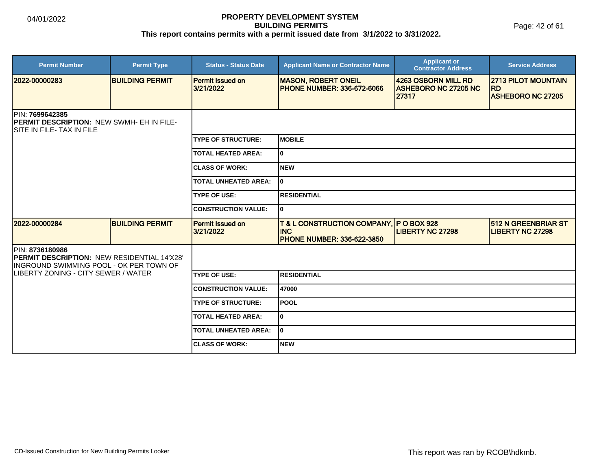Page: 42 of 61

| <b>Permit Number</b>                                                                                      | <b>Permit Type</b>     | <b>Status - Status Date</b>          | <b>Applicant Name or Contractor Name</b>                                                    | <b>Applicant or</b><br><b>Contractor Address</b>            | <b>Service Address</b>                                              |  |  |
|-----------------------------------------------------------------------------------------------------------|------------------------|--------------------------------------|---------------------------------------------------------------------------------------------|-------------------------------------------------------------|---------------------------------------------------------------------|--|--|
| 2022-00000283                                                                                             | <b>BUILDING PERMIT</b> | Permit Issued on<br>3/21/2022        | <b>MASON, ROBERT ONEIL</b><br><b>PHONE NUMBER: 336-672-6066</b>                             | 4263 OSBORN MILL RD<br><b>ASHEBORO NC 27205 NC</b><br>27317 | <b>2713 PILOT MOUNTAIN</b><br><b>RD</b><br><b>ASHEBORO NC 27205</b> |  |  |
| <b>IPIN: 7699642385</b><br><b>PERMIT DESCRIPTION: NEW SWMH- EH IN FILE-</b><br>ISITE IN FILE- TAX IN FILE |                        |                                      |                                                                                             |                                                             |                                                                     |  |  |
|                                                                                                           |                        | <b>TYPE OF STRUCTURE:</b>            | <b>IMOBILE</b>                                                                              |                                                             |                                                                     |  |  |
|                                                                                                           |                        | <b>TOTAL HEATED AREA:</b>            | I٥                                                                                          |                                                             |                                                                     |  |  |
|                                                                                                           |                        | <b>ICLASS OF WORK:</b>               | <b>NEW</b>                                                                                  |                                                             |                                                                     |  |  |
|                                                                                                           |                        | <b>TOTAL UNHEATED AREA:</b>          | I٥                                                                                          |                                                             |                                                                     |  |  |
|                                                                                                           |                        | <b>TYPE OF USE:</b>                  | <b>RESIDENTIAL</b>                                                                          |                                                             |                                                                     |  |  |
|                                                                                                           |                        | <b>CONSTRUCTION VALUE:</b>           | lo.                                                                                         |                                                             |                                                                     |  |  |
| 2022-00000284                                                                                             | <b>BUILDING PERMIT</b> | <b>Permit Issued on</b><br>3/21/2022 | T & L CONSTRUCTION COMPANY, IP O BOX 928<br><b>INC</b><br><b>PHONE NUMBER: 336-622-3850</b> | <b>LIBERTY NC 27298</b>                                     | <b>512 N GREENBRIAR ST</b><br><b>LIBERTY NC 27298</b>               |  |  |
| PIN: 8736180986<br>PERMIT DESCRIPTION: NEW RESIDENTIAL 14'X28'<br>INGROUND SWIMMING POOL - OK PER TOWN OF |                        |                                      |                                                                                             |                                                             |                                                                     |  |  |
| LIBERTY ZONING - CITY SEWER / WATER                                                                       |                        | <b>TYPE OF USE:</b>                  | <b>RESIDENTIAL</b>                                                                          |                                                             |                                                                     |  |  |
|                                                                                                           |                        | <b>CONSTRUCTION VALUE:</b>           | 47000                                                                                       |                                                             |                                                                     |  |  |
|                                                                                                           |                        | <b>TYPE OF STRUCTURE:</b>            | <b>POOL</b>                                                                                 |                                                             |                                                                     |  |  |
|                                                                                                           |                        | <b>TOTAL HEATED AREA:</b>            | I٥                                                                                          |                                                             |                                                                     |  |  |
|                                                                                                           |                        | <b>TOTAL UNHEATED AREA:</b>          | I٥                                                                                          |                                                             |                                                                     |  |  |
|                                                                                                           |                        | <b>ICLASS OF WORK:</b>               | <b>NEW</b>                                                                                  |                                                             |                                                                     |  |  |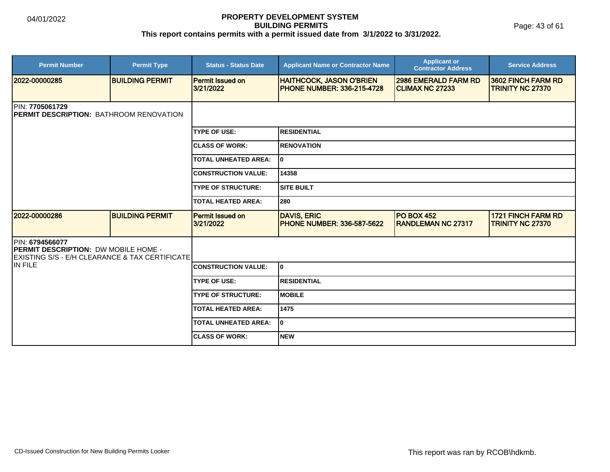Page: 43 of 61

| <b>Permit Number</b>                                                                                                    | <b>Permit Type</b>     | <b>Status - Status Date</b>          | <b>Applicant Name or Contractor Name</b>                             | <b>Applicant or</b><br><b>Contractor Address</b>      | <b>Service Address</b>                               |  |  |
|-------------------------------------------------------------------------------------------------------------------------|------------------------|--------------------------------------|----------------------------------------------------------------------|-------------------------------------------------------|------------------------------------------------------|--|--|
| 2022-00000285                                                                                                           | <b>BUILDING PERMIT</b> | <b>Permit Issued on</b><br>3/21/2022 | <b>HAITHCOCK, JASON O'BRIEN</b><br><b>PHONE NUMBER: 336-215-4728</b> | <b>2986 EMERALD FARM RD</b><br><b>CLIMAX NC 27233</b> | 3602 FINCH FARM RD<br><b>TRINITY NC 27370</b>        |  |  |
| <b>IPIN: 7705061729</b><br><b>IPERMIT DESCRIPTION: BATHROOM RENOVATION</b>                                              |                        |                                      |                                                                      |                                                       |                                                      |  |  |
|                                                                                                                         |                        | <b>TYPE OF USE:</b>                  | <b>IRESIDENTIAL</b>                                                  |                                                       |                                                      |  |  |
|                                                                                                                         |                        | <b>ICLASS OF WORK:</b>               | <b>IRENOVATION</b>                                                   |                                                       |                                                      |  |  |
|                                                                                                                         |                        | <b>TOTAL UNHEATED AREA:</b>          | I٥                                                                   |                                                       |                                                      |  |  |
|                                                                                                                         |                        | <b>CONSTRUCTION VALUE:</b>           | 14358                                                                |                                                       |                                                      |  |  |
|                                                                                                                         |                        | <b>TYPE OF STRUCTURE:</b>            | <b>SITE BUILT</b>                                                    |                                                       |                                                      |  |  |
|                                                                                                                         |                        | <b>TOTAL HEATED AREA:</b>            | 280                                                                  |                                                       |                                                      |  |  |
| 12022-00000286                                                                                                          | <b>BUILDING PERMIT</b> | <b>Permit Issued on</b><br>3/21/2022 | <b>DAVIS, ERIC</b><br><b>PHONE NUMBER: 336-587-5622</b>              | <b>PO BOX 452</b><br><b>RANDLEMAN NC 27317</b>        | <b>1721 FINCH FARM RD</b><br><b>TRINITY NC 27370</b> |  |  |
| <b>PIN: 6794566077</b><br><b>PERMIT DESCRIPTION: DW MOBILE HOME -</b><br>EXISTING S/S - E/H CLEARANCE & TAX CERTIFICATE |                        |                                      |                                                                      |                                                       |                                                      |  |  |
| IN FILE                                                                                                                 |                        | <b>CONSTRUCTION VALUE:</b>           | I٥                                                                   |                                                       |                                                      |  |  |
|                                                                                                                         |                        | <b>TYPE OF USE:</b>                  | <b>RESIDENTIAL</b>                                                   |                                                       |                                                      |  |  |
|                                                                                                                         |                        | <b>TYPE OF STRUCTURE:</b>            | <b>IMOBILE</b>                                                       |                                                       |                                                      |  |  |
|                                                                                                                         |                        | <b>TOTAL HEATED AREA:</b>            | 1475                                                                 |                                                       |                                                      |  |  |
|                                                                                                                         |                        | <b>TOTAL UNHEATED AREA:</b>          | lo.                                                                  |                                                       |                                                      |  |  |
|                                                                                                                         |                        | <b>ICLASS OF WORK:</b>               | <b>NEW</b>                                                           |                                                       |                                                      |  |  |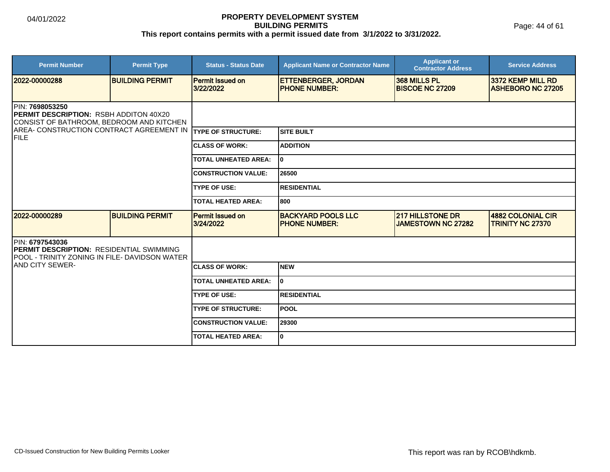Page: 44 of 61

| <b>Permit Number</b>                                                                                                                                                                         | <b>Permit Type</b>     | <b>Status - Status Date</b>          | <b>Applicant Name or Contractor Name</b>           | <b>Applicant or</b><br><b>Contractor Address</b>     | <b>Service Address</b>                        |  |  |
|----------------------------------------------------------------------------------------------------------------------------------------------------------------------------------------------|------------------------|--------------------------------------|----------------------------------------------------|------------------------------------------------------|-----------------------------------------------|--|--|
| 2022-00000288                                                                                                                                                                                | <b>BUILDING PERMIT</b> | <b>Permit Issued on</b><br>3/22/2022 | <b>ETTENBERGER, JORDAN</b><br><b>PHONE NUMBER:</b> | 368 MILLS PL<br><b>BISCOE NC 27209</b>               | 3372 KEMP MILL RD<br><b>ASHEBORO NC 27205</b> |  |  |
| <b>IPIN: 7698053250</b><br><b>IPERMIT DESCRIPTION: RSBH ADDITON 40X20</b><br>CONSIST OF BATHROOM, BEDROOM AND KITCHEN<br>AREA- CONSTRUCTION CONTRACT AGREEMENT IN TYPE OF STRUCTURE:<br>FILE |                        |                                      |                                                    |                                                      |                                               |  |  |
|                                                                                                                                                                                              |                        |                                      | <b>SITE BUILT</b>                                  |                                                      |                                               |  |  |
|                                                                                                                                                                                              |                        | <b>ICLASS OF WORK:</b>               | <b>ADDITION</b>                                    |                                                      |                                               |  |  |
|                                                                                                                                                                                              |                        | <b>TOTAL UNHEATED AREA:</b>          | 0                                                  |                                                      |                                               |  |  |
|                                                                                                                                                                                              |                        | <b>CONSTRUCTION VALUE:</b>           | 26500                                              |                                                      |                                               |  |  |
|                                                                                                                                                                                              |                        | <b>TYPE OF USE:</b>                  | <b>RESIDENTIAL</b>                                 |                                                      |                                               |  |  |
|                                                                                                                                                                                              |                        | <b>TOTAL HEATED AREA:</b>            | 800                                                |                                                      |                                               |  |  |
| 2022-00000289                                                                                                                                                                                | <b>BUILDING PERMIT</b> | Permit Issued on<br>3/24/2022        | <b>BACKYARD POOLS LLC</b><br><b>PHONE NUMBER:</b>  | <b>217 HILLSTONE DR</b><br><b>JAMESTOWN NC 27282</b> | 4882 COLONIAL CIR<br><b>TRINITY NC 27370</b>  |  |  |
| PIN: 6797543036<br><b>IPERMIT DESCRIPTION: RESIDENTIAL SWIMMING</b><br>IPOOL - TRINITY ZONING IN FILE- DAVIDSON WATER                                                                        |                        |                                      |                                                    |                                                      |                                               |  |  |
| <b>IAND CITY SEWER-</b>                                                                                                                                                                      |                        | <b>ICLASS OF WORK:</b>               | <b>NEW</b>                                         |                                                      |                                               |  |  |
|                                                                                                                                                                                              |                        | <b>TOTAL UNHEATED AREA:</b>          | $\mathbf{0}$                                       |                                                      |                                               |  |  |
|                                                                                                                                                                                              |                        | <b>TYPE OF USE:</b>                  | <b>RESIDENTIAL</b>                                 |                                                      |                                               |  |  |
|                                                                                                                                                                                              |                        | <b>TYPE OF STRUCTURE:</b>            | POOL                                               |                                                      |                                               |  |  |
|                                                                                                                                                                                              |                        | <b>CONSTRUCTION VALUE:</b>           | 29300                                              |                                                      |                                               |  |  |
|                                                                                                                                                                                              |                        | <b>TOTAL HEATED AREA:</b>            | 0                                                  |                                                      |                                               |  |  |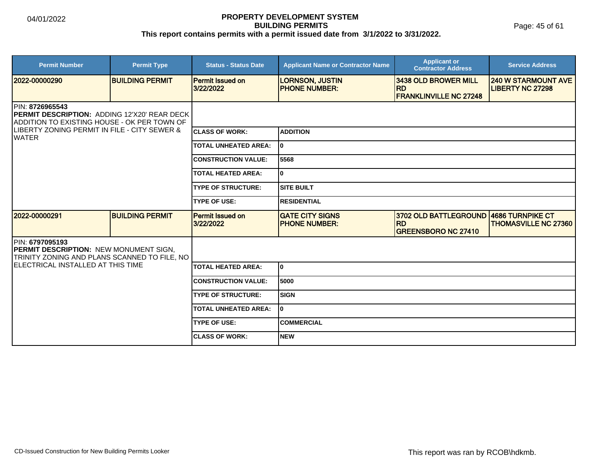Page: 45 of 61

| <b>Permit Number</b>                                                                                                   | <b>Permit Type</b>     | <b>Status - Status Date</b>          | <b>Applicant Name or Contractor Name</b>       | <b>Applicant or</b><br><b>Contractor Address</b>                   | <b>Service Address</b>                                |
|------------------------------------------------------------------------------------------------------------------------|------------------------|--------------------------------------|------------------------------------------------|--------------------------------------------------------------------|-------------------------------------------------------|
| 2022-00000290                                                                                                          | <b>BUILDING PERMIT</b> | <b>Permit Issued on</b><br>3/22/2022 | <b>LORNSON, JUSTIN</b><br><b>PHONE NUMBER:</b> | 3438 OLD BROWER MILL<br><b>RD</b><br><b>FRANKLINVILLE NC 27248</b> | <b>240 W STARMOUNT AVE</b><br><b>LIBERTY NC 27298</b> |
| <b>IPIN: 8726965543</b><br>PERMIT DESCRIPTION: ADDING 12'X20' REAR DECK<br>ADDITION TO EXISTING HOUSE - OK PER TOWN OF |                        |                                      |                                                |                                                                    |                                                       |
| ILIBERTY ZONING PERMIT IN FILE - CITY SEWER &<br>IWATER                                                                |                        | <b>ICLASS OF WORK:</b>               | <b>ADDITION</b>                                |                                                                    |                                                       |
|                                                                                                                        |                        | <b>TOTAL UNHEATED AREA:</b>          | I٥                                             |                                                                    |                                                       |
|                                                                                                                        |                        | <b>CONSTRUCTION VALUE:</b>           | 5568                                           |                                                                    |                                                       |
|                                                                                                                        |                        | <b>TOTAL HEATED AREA:</b>            | lo.                                            |                                                                    |                                                       |
|                                                                                                                        |                        | <b>TYPE OF STRUCTURE:</b>            | ISITE BUILT                                    |                                                                    |                                                       |
|                                                                                                                        |                        | <b>TYPE OF USE:</b>                  | <b>RESIDENTIAL</b>                             |                                                                    |                                                       |
| 2022-00000291                                                                                                          | <b>BUILDING PERMIT</b> | <b>Permit Issued on</b><br>3/22/2022 | <b>GATE CITY SIGNS</b><br><b>PHONE NUMBER:</b> | 3702 OLD BATTLEGROUND<br><b>RD</b><br><b>GREENSBORO NC 27410</b>   | 4686 TURNPIKE CT<br><b>THOMASVILLE NC 27360</b>       |
| PIN: 6797095193<br>PERMIT DESCRIPTION: NEW MONUMENT SIGN,<br>TRINITY ZONING AND PLANS SCANNED TO FILE, NO              |                        |                                      |                                                |                                                                    |                                                       |
| IELECTRICAL INSTALLED AT THIS TIME                                                                                     |                        | <b>TOTAL HEATED AREA:</b>            | I٥                                             |                                                                    |                                                       |
|                                                                                                                        |                        | <b>CONSTRUCTION VALUE:</b>           | 5000                                           |                                                                    |                                                       |
|                                                                                                                        |                        | <b>TYPE OF STRUCTURE:</b>            | <b>SIGN</b>                                    |                                                                    |                                                       |
|                                                                                                                        |                        | <b>TOTAL UNHEATED AREA:</b>          | I٥                                             |                                                                    |                                                       |
|                                                                                                                        |                        | <b>TYPE OF USE:</b>                  | <b>COMMERCIAL</b>                              |                                                                    |                                                       |
|                                                                                                                        |                        | <b>CLASS OF WORK:</b>                | <b>NEW</b>                                     |                                                                    |                                                       |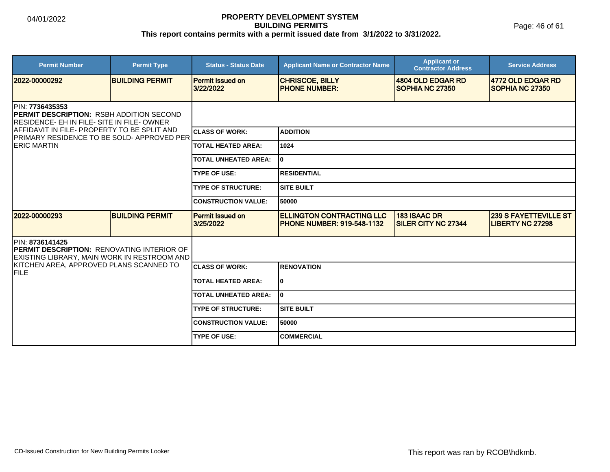| <b>Permit Number</b>                                                                                                            | <b>Permit Type</b>     | <b>Status - Status Date</b>          | <b>Applicant Name or Contractor Name</b>                              | <b>Applicant or</b><br><b>Contractor Address</b>  | <b>Service Address</b>                                  |  |
|---------------------------------------------------------------------------------------------------------------------------------|------------------------|--------------------------------------|-----------------------------------------------------------------------|---------------------------------------------------|---------------------------------------------------------|--|
| 2022-00000292                                                                                                                   | <b>BUILDING PERMIT</b> | <b>Permit Issued on</b><br>3/22/2022 | <b>CHRISCOE, BILLY</b><br><b>PHONE NUMBER:</b>                        | 4804 OLD EDGAR RD<br>SOPHIA NC 27350              | 4772 OLD EDGAR RD<br><b>SOPHIA NC 27350</b>             |  |
| <b>IPIN: 7736435353</b><br><b>PERMIT DESCRIPTION: RSBH ADDITION SECOND</b><br><b>RESIDENCE- EH IN FILE- SITE IN FILE- OWNER</b> |                        |                                      |                                                                       |                                                   |                                                         |  |
| AFFIDAVIT IN FILE- PROPERTY TO BE SPLIT AND<br><b>PRIMARY RESIDENCE TO BE SOLD- APPROVED PER</b>                                |                        | <b>CLASS OF WORK:</b>                | <b>ADDITION</b>                                                       |                                                   |                                                         |  |
| <b>IERIC MARTIN</b>                                                                                                             |                        | <b>TOTAL HEATED AREA:</b>            | 1024                                                                  |                                                   |                                                         |  |
|                                                                                                                                 |                        | <b>TOTAL UNHEATED AREA:</b>          | 10                                                                    |                                                   |                                                         |  |
|                                                                                                                                 |                        | <b>TYPE OF USE:</b>                  | <b>RESIDENTIAL</b>                                                    |                                                   |                                                         |  |
|                                                                                                                                 |                        | <b>TYPE OF STRUCTURE:</b>            | <b>SITE BUILT</b>                                                     |                                                   |                                                         |  |
|                                                                                                                                 |                        | <b>CONSTRUCTION VALUE:</b>           | 50000                                                                 |                                                   |                                                         |  |
| 2022-00000293                                                                                                                   | <b>BUILDING PERMIT</b> | <b>Permit Issued on</b><br>3/25/2022 | <b>ELLINGTON CONTRACTING LLC</b><br><b>PHONE NUMBER: 919-548-1132</b> | <b>183 ISAAC DR</b><br><b>SILER CITY NC 27344</b> | <b>239 S FAYETTEVILLE ST</b><br><b>LIBERTY NC 27298</b> |  |
| PIN: 8736141425<br><b>IPERMIT DESCRIPTION: RENOVATING INTERIOR OF</b><br>EXISTING LIBRARY, MAIN WORK IN RESTROOM AND            |                        |                                      |                                                                       |                                                   |                                                         |  |
| KITCHEN AREA, APPROVED PLANS SCANNED TO<br><b>FILE</b>                                                                          |                        | <b>ICLASS OF WORK:</b>               | <b>RENOVATION</b>                                                     |                                                   |                                                         |  |
|                                                                                                                                 |                        | <b>TOTAL HEATED AREA:</b>            | 10                                                                    |                                                   |                                                         |  |
|                                                                                                                                 |                        | <b>TOTAL UNHEATED AREA:</b>          | I٥                                                                    |                                                   |                                                         |  |
|                                                                                                                                 |                        | <b>TYPE OF STRUCTURE:</b>            | <b>SITE BUILT</b>                                                     |                                                   |                                                         |  |
|                                                                                                                                 |                        | <b>CONSTRUCTION VALUE:</b>           | 50000                                                                 |                                                   |                                                         |  |
|                                                                                                                                 |                        | <b>TYPE OF USE:</b>                  | <b>COMMERCIAL</b>                                                     |                                                   |                                                         |  |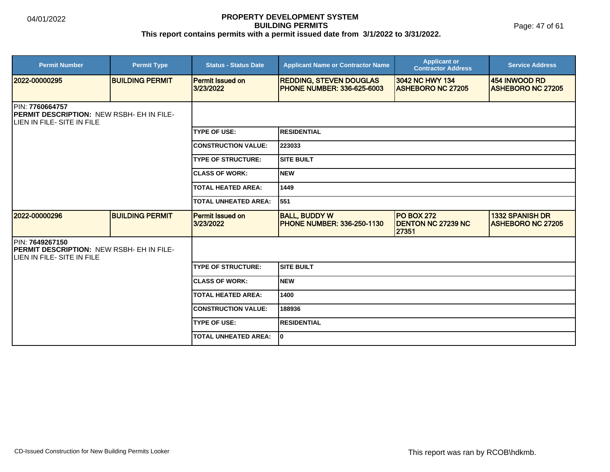Page: 47 of 61

| <b>Permit Number</b>                                                                              | <b>Permit Type</b>     | <b>Status - Status Date</b>          | <b>Applicant Name or Contractor Name</b>                            | <b>Applicant or</b><br><b>Contractor Address</b>        | <b>Service Address</b>                             |
|---------------------------------------------------------------------------------------------------|------------------------|--------------------------------------|---------------------------------------------------------------------|---------------------------------------------------------|----------------------------------------------------|
| 2022-00000295                                                                                     | <b>BUILDING PERMIT</b> | <b>Permit Issued on</b><br>3/23/2022 | <b>REDDING, STEVEN DOUGLAS</b><br><b>PHONE NUMBER: 336-625-6003</b> | 3042 NC HWY 134<br><b>ASHEBORO NC 27205</b>             | 454 INWOOD RD<br><b>ASHEBORO NC 27205</b>          |
| PIN: 7760664757<br><b>PERMIT DESCRIPTION: NEW RSBH- EH IN FILE-</b><br>LIEN IN FILE- SITE IN FILE |                        |                                      |                                                                     |                                                         |                                                    |
|                                                                                                   |                        | <b>TYPE OF USE:</b>                  | RESIDENTIAL                                                         |                                                         |                                                    |
|                                                                                                   |                        | <b>CONSTRUCTION VALUE:</b>           | 223033                                                              |                                                         |                                                    |
|                                                                                                   |                        | <b>TYPE OF STRUCTURE:</b>            | <b>SITE BUILT</b>                                                   |                                                         |                                                    |
|                                                                                                   |                        | <b>CLASS OF WORK:</b>                | <b>NEW</b>                                                          |                                                         |                                                    |
|                                                                                                   |                        | <b>TOTAL HEATED AREA:</b>            | 1449                                                                |                                                         |                                                    |
|                                                                                                   |                        | <b>TOTAL UNHEATED AREA:</b>          | 551                                                                 |                                                         |                                                    |
| 2022-00000296                                                                                     | <b>BUILDING PERMIT</b> | <b>Permit Issued on</b><br>3/23/2022 | <b>BALL, BUDDY W</b><br><b>PHONE NUMBER: 336-250-1130</b>           | <b>PO BOX 272</b><br><b>DENTON NC 27239 NC</b><br>27351 | <b>1332 SPANISH DR</b><br><b>ASHEBORO NC 27205</b> |
| PIN: 7649267150<br>PERMIT DESCRIPTION: NEW RSBH- EH IN FILE-<br>LIEN IN FILE- SITE IN FILE        |                        |                                      |                                                                     |                                                         |                                                    |
|                                                                                                   |                        | <b>TYPE OF STRUCTURE:</b>            | <b>SITE BUILT</b>                                                   |                                                         |                                                    |
|                                                                                                   |                        | <b>CLASS OF WORK:</b>                | <b>NEW</b>                                                          |                                                         |                                                    |
|                                                                                                   |                        | <b>TOTAL HEATED AREA:</b>            | 1400                                                                |                                                         |                                                    |
|                                                                                                   |                        | <b>CONSTRUCTION VALUE:</b>           | 188936                                                              |                                                         |                                                    |
|                                                                                                   |                        | <b>TYPE OF USE:</b>                  | <b>RESIDENTIAL</b>                                                  |                                                         |                                                    |
|                                                                                                   |                        | <b>TOTAL UNHEATED AREA:</b>          | I٥                                                                  |                                                         |                                                    |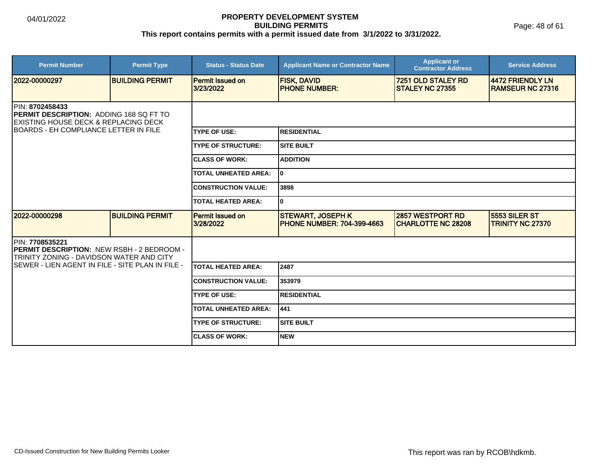Page: 48 of 61

| <b>Permit Number</b>                                                                                                                                                          | <b>Permit Type</b>     | <b>Status - Status Date</b>          | <b>Applicant Name or Contractor Name</b>                       | <b>Applicant or</b><br><b>Contractor Address</b>     | <b>Service Address</b>                      |
|-------------------------------------------------------------------------------------------------------------------------------------------------------------------------------|------------------------|--------------------------------------|----------------------------------------------------------------|------------------------------------------------------|---------------------------------------------|
| 2022-00000297                                                                                                                                                                 | <b>BUILDING PERMIT</b> | Permit Issued on<br>3/23/2022        | <b>FISK, DAVID</b><br><b>PHONE NUMBER:</b>                     | 7251 OLD STALEY RD<br><b>STALEY NC 27355</b>         | 4472 FRIENDLY LN<br><b>RAMSEUR NC 27316</b> |
| <b>IPIN: 8702458433</b><br><b>PERMIT DESCRIPTION: ADDING 168 SQ FT TO</b><br><b>EXISTING HOUSE DECK &amp; REPLACING DECK</b><br><b>IBOARDS - EH COMPLIANCE LETTER IN FILE</b> |                        |                                      |                                                                |                                                      |                                             |
|                                                                                                                                                                               |                        | <b>TYPE OF USE:</b>                  | <b>RESIDENTIAL</b>                                             |                                                      |                                             |
|                                                                                                                                                                               |                        | <b>TYPE OF STRUCTURE:</b>            | <b>SITE BUILT</b>                                              |                                                      |                                             |
|                                                                                                                                                                               |                        | <b>ICLASS OF WORK:</b>               | <b>ADDITION</b>                                                |                                                      |                                             |
|                                                                                                                                                                               |                        | <b>TOTAL UNHEATED AREA:</b>          | 0                                                              |                                                      |                                             |
|                                                                                                                                                                               |                        | <b>CONSTRUCTION VALUE:</b>           | 3898                                                           |                                                      |                                             |
|                                                                                                                                                                               |                        | <b>TOTAL HEATED AREA:</b>            | 0                                                              |                                                      |                                             |
| 2022-00000298                                                                                                                                                                 | <b>BUILDING PERMIT</b> | <b>Permit Issued on</b><br>3/28/2022 | <b>STEWART, JOSEPH K</b><br><b>IPHONE NUMBER: 704-399-4663</b> | <b>2857 WESTPORT RD</b><br><b>CHARLOTTE NC 28208</b> | 5553 SILER ST<br><b>TRINITY NC 27370</b>    |
| <b>PIN: 7708535221</b><br><b>IPERMIT DESCRIPTION: NEW RSBH - 2 BEDROOM -</b><br>TRINITY ZONING - DAVIDSON WATER AND CITY                                                      |                        |                                      |                                                                |                                                      |                                             |
| ISEWER - LIEN AGENT IN FILE - SITE PLAN IN FILE -                                                                                                                             |                        | TOTAL HEATED AREA:                   | 2487                                                           |                                                      |                                             |
|                                                                                                                                                                               |                        | <b>CONSTRUCTION VALUE:</b>           | 353979                                                         |                                                      |                                             |
|                                                                                                                                                                               |                        | <b>TYPE OF USE:</b>                  | <b>RESIDENTIAL</b>                                             |                                                      |                                             |
|                                                                                                                                                                               |                        | <b>TOTAL UNHEATED AREA:</b>          | 441                                                            |                                                      |                                             |
|                                                                                                                                                                               |                        | <b>TYPE OF STRUCTURE:</b>            | <b>SITE BUILT</b>                                              |                                                      |                                             |
|                                                                                                                                                                               |                        | <b>ICLASS OF WORK:</b>               | <b>NEW</b>                                                     |                                                      |                                             |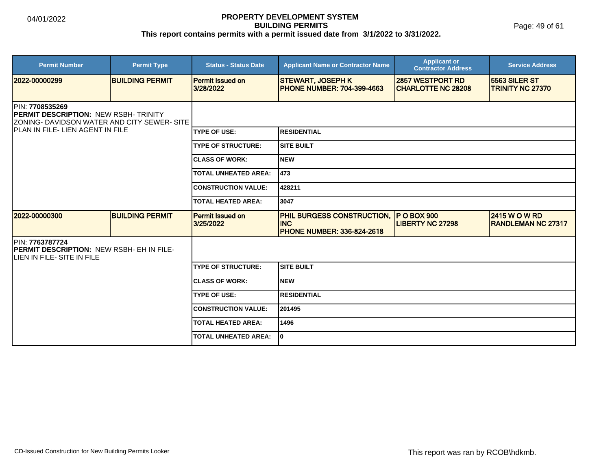Page: 49 of 61

| <b>Permit Number</b>                                                                                    | <b>Permit Type</b>     | <b>Status - Status Date</b>          | <b>Applicant Name or Contractor Name</b>                                             | <b>Applicant or</b><br><b>Contractor Address</b>     | <b>Service Address</b>                             |  |  |
|---------------------------------------------------------------------------------------------------------|------------------------|--------------------------------------|--------------------------------------------------------------------------------------|------------------------------------------------------|----------------------------------------------------|--|--|
| 2022-00000299                                                                                           | <b>BUILDING PERMIT</b> | <b>Permit Issued on</b><br>3/28/2022 | <b>STEWART, JOSEPH K</b><br><b>PHONE NUMBER: 704-399-4663</b>                        | <b>2857 WESTPORT RD</b><br><b>CHARLOTTE NC 28208</b> | 5563 SILER ST<br><b>TRINITY NC 27370</b>           |  |  |
| PIN: 7708535269<br>PERMIT DESCRIPTION: NEW RSBH- TRINITY<br>ZONING- DAVIDSON WATER AND CITY SEWER- SITE |                        |                                      |                                                                                      |                                                      |                                                    |  |  |
| <b>IPLAN IN FILE- LIEN AGENT IN FILE</b>                                                                |                        | <b>TYPE OF USE:</b>                  | <b>RESIDENTIAL</b>                                                                   |                                                      |                                                    |  |  |
|                                                                                                         |                        | <b>TYPE OF STRUCTURE:</b>            | <b>SITE BUILT</b>                                                                    |                                                      |                                                    |  |  |
|                                                                                                         |                        | <b>CLASS OF WORK:</b>                | <b>NEW</b>                                                                           |                                                      |                                                    |  |  |
|                                                                                                         |                        | <b>TOTAL UNHEATED AREA:</b>          | 1473                                                                                 |                                                      |                                                    |  |  |
|                                                                                                         |                        | <b>CONSTRUCTION VALUE:</b>           | 428211                                                                               |                                                      |                                                    |  |  |
|                                                                                                         |                        | <b>TOTAL HEATED AREA:</b>            | 3047                                                                                 |                                                      |                                                    |  |  |
| 2022-00000300                                                                                           | <b>BUILDING PERMIT</b> | <b>Permit Issued on</b><br>3/25/2022 | <b>PHIL BURGESS CONSTRUCTION,</b><br><b>INC</b><br><b>PHONE NUMBER: 336-824-2618</b> | <b>P O BOX 900</b><br><b>LIBERTY NC 27298</b>        | <b>2415 W O W RD</b><br><b>IRANDLEMAN NC 27317</b> |  |  |
| PIN: 7763787724<br>PERMIT DESCRIPTION: NEW RSBH- EH IN FILE-<br>LIEN IN FILE- SITE IN FILE              |                        |                                      |                                                                                      |                                                      |                                                    |  |  |
|                                                                                                         |                        | <b>TYPE OF STRUCTURE:</b>            | <b>SITE BUILT</b>                                                                    |                                                      |                                                    |  |  |
|                                                                                                         |                        | <b>ICLASS OF WORK:</b>               | <b>NEW</b>                                                                           |                                                      |                                                    |  |  |
|                                                                                                         |                        | <b>TYPE OF USE:</b>                  | <b>RESIDENTIAL</b>                                                                   |                                                      |                                                    |  |  |
|                                                                                                         |                        | <b>CONSTRUCTION VALUE:</b>           | 201495                                                                               |                                                      |                                                    |  |  |
|                                                                                                         |                        | <b>TOTAL HEATED AREA:</b>            | 1496                                                                                 |                                                      |                                                    |  |  |
|                                                                                                         |                        | <b>TOTAL UNHEATED AREA:</b>          | I٥                                                                                   |                                                      |                                                    |  |  |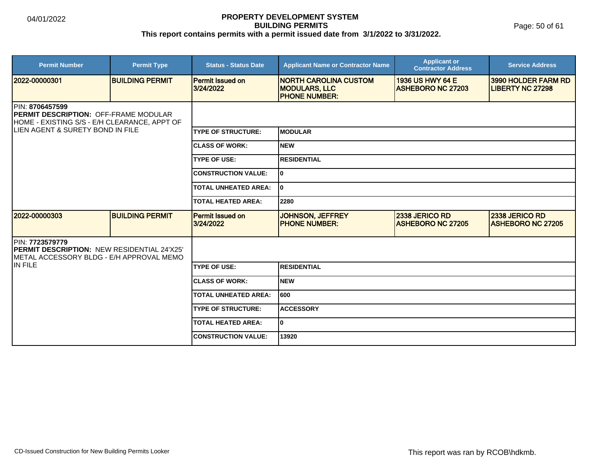Page: 50 of 61

| <b>Permit Number</b>                                                                                                                                        | <b>Permit Type</b>     | <b>Status - Status Date</b>          | <b>Applicant Name or Contractor Name</b>                                      | <b>Applicant or</b><br><b>Contractor Address</b> | <b>Service Address</b>                         |  |
|-------------------------------------------------------------------------------------------------------------------------------------------------------------|------------------------|--------------------------------------|-------------------------------------------------------------------------------|--------------------------------------------------|------------------------------------------------|--|
| 12022-00000301                                                                                                                                              | <b>BUILDING PERMIT</b> | <b>Permit Issued on</b><br>3/24/2022 | <b>INORTH CAROLINA CUSTOM</b><br><b>MODULARS, LLC</b><br><b>PHONE NUMBER:</b> | 1936 US HWY 64 E<br><b>ASHEBORO NC 27203</b>     | 3990 HOLDER FARM RD<br><b>LIBERTY NC 27298</b> |  |
| <b>IPIN: 8706457599</b><br><b>PERMIT DESCRIPTION: OFF-FRAME MODULAR</b><br>HOME - EXISTING S/S - E/H CLEARANCE, APPT OF<br>LIEN AGENT & SURETY BOND IN FILE |                        |                                      |                                                                               |                                                  |                                                |  |
|                                                                                                                                                             |                        | <b>TYPE OF STRUCTURE:</b>            | <b>IMODULAR</b>                                                               |                                                  |                                                |  |
|                                                                                                                                                             |                        | <b>CLASS OF WORK:</b>                | Inew                                                                          |                                                  |                                                |  |
|                                                                                                                                                             |                        | <b>TYPE OF USE:</b>                  | <b>IRESIDENTIAL</b>                                                           |                                                  |                                                |  |
|                                                                                                                                                             |                        | <b>CONSTRUCTION VALUE:</b>           | I٥                                                                            |                                                  |                                                |  |
|                                                                                                                                                             |                        | <b>TOTAL UNHEATED AREA:</b>          | I٥                                                                            |                                                  |                                                |  |
|                                                                                                                                                             |                        | <b>TOTAL HEATED AREA:</b>            | 2280                                                                          |                                                  |                                                |  |
| 12022-00000303                                                                                                                                              | <b>BUILDING PERMIT</b> | <b>Permit Issued on</b><br>3/24/2022 | <b>JOHNSON, JEFFREY</b><br><b>PHONE NUMBER:</b>                               | 2338 JERICO RD<br><b>ASHEBORO NC 27205</b>       | 2338 JERICO RD<br><b>ASHEBORO NC 27205</b>     |  |
| PIN: 7723579779<br><b>IPERMIT DESCRIPTION: NEW RESIDENTIAL 24'X25'</b><br>IMETAL ACCESSORY BLDG - E/H APPROVAL MEMO                                         |                        |                                      |                                                                               |                                                  |                                                |  |
| IIN FILE                                                                                                                                                    |                        | <b>TYPE OF USE:</b>                  | <b>RESIDENTIAL</b>                                                            |                                                  |                                                |  |
|                                                                                                                                                             |                        | <b>CLASS OF WORK:</b>                | <b>NEW</b>                                                                    |                                                  |                                                |  |
|                                                                                                                                                             |                        | <b>TOTAL UNHEATED AREA:</b>          | 1600                                                                          |                                                  |                                                |  |
|                                                                                                                                                             |                        | <b>TYPE OF STRUCTURE:</b>            | <b>ACCESSORY</b>                                                              |                                                  |                                                |  |
|                                                                                                                                                             |                        | <b>TOTAL HEATED AREA:</b>            | l٥                                                                            |                                                  |                                                |  |
|                                                                                                                                                             |                        | <b>CONSTRUCTION VALUE:</b>           | 13920                                                                         |                                                  |                                                |  |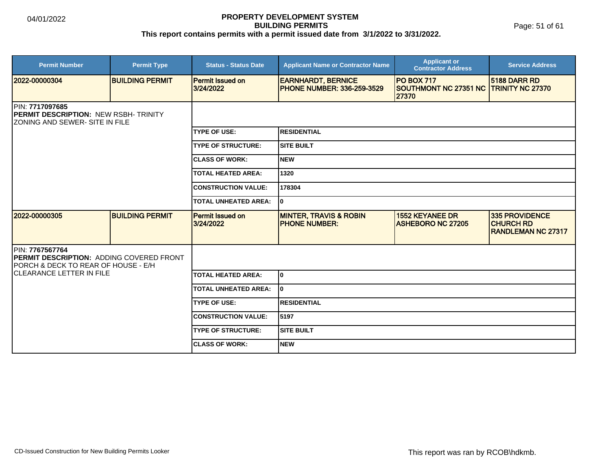Page: 51 of 61

| <b>Permit Number</b>                                                                                      | <b>Permit Type</b>     | <b>Status - Status Date</b>          | <b>Applicant Name or Contractor Name</b>                       | <b>Applicant or</b><br><b>Contractor Address</b>                     | <b>Service Address</b>                                                 |  |
|-----------------------------------------------------------------------------------------------------------|------------------------|--------------------------------------|----------------------------------------------------------------|----------------------------------------------------------------------|------------------------------------------------------------------------|--|
| 2022-00000304                                                                                             | <b>BUILDING PERMIT</b> | <b>Permit Issued on</b><br>3/24/2022 | <b>EARNHARDT, BERNICE</b><br><b>PHONE NUMBER: 336-259-3529</b> | <b>PO BOX 717</b><br>SOUTHMONT NC 27351 NC TRINITY NC 27370<br>27370 | <b>5188 DARR RD</b>                                                    |  |
| <b>IPIN: 7717097685</b><br>PERMIT DESCRIPTION: NEW RSBH- TRINITY<br><b>ZONING AND SEWER- SITE IN FILE</b> |                        |                                      |                                                                |                                                                      |                                                                        |  |
|                                                                                                           |                        | <b>TYPE OF USE:</b>                  | <b>RESIDENTIAL</b>                                             |                                                                      |                                                                        |  |
|                                                                                                           |                        | <b>TYPE OF STRUCTURE:</b>            | <b>SITE BUILT</b>                                              |                                                                      |                                                                        |  |
|                                                                                                           |                        | <b>CLASS OF WORK:</b>                | <b>NEW</b>                                                     |                                                                      |                                                                        |  |
|                                                                                                           |                        | <b>TOTAL HEATED AREA:</b>            | 1320                                                           |                                                                      |                                                                        |  |
|                                                                                                           |                        | <b>CONSTRUCTION VALUE:</b>           | 178304                                                         |                                                                      |                                                                        |  |
|                                                                                                           |                        |                                      | I٥                                                             |                                                                      |                                                                        |  |
| 2022-00000305                                                                                             | <b>BUILDING PERMIT</b> | <b>Permit Issued on</b><br>3/24/2022 | <b>MINTER, TRAVIS &amp; ROBIN</b><br><b>PHONE NUMBER:</b>      | <b>1552 KEYANEE DR</b><br><b>ASHEBORO NC 27205</b>                   | <b>335 PROVIDENCE</b><br><b>CHURCH RD</b><br><b>RANDLEMAN NC 27317</b> |  |
| PIN: 7767567764<br>PERMIT DESCRIPTION: ADDING COVERED FRONT<br>PORCH & DECK TO REAR OF HOUSE - E/H        |                        |                                      |                                                                |                                                                      |                                                                        |  |
| <b>CLEARANCE LETTER IN FILE</b>                                                                           |                        | <b>TOTAL HEATED AREA:</b>            | 0                                                              |                                                                      |                                                                        |  |
|                                                                                                           |                        | <b>TOTAL UNHEATED AREA:</b>          | I٥                                                             |                                                                      |                                                                        |  |
|                                                                                                           |                        | <b>TYPE OF USE:</b>                  | <b>RESIDENTIAL</b>                                             |                                                                      |                                                                        |  |
|                                                                                                           |                        | <b>CONSTRUCTION VALUE:</b>           | 5197                                                           |                                                                      |                                                                        |  |
|                                                                                                           |                        | <b>TYPE OF STRUCTURE:</b>            | <b>SITE BUILT</b>                                              |                                                                      |                                                                        |  |
|                                                                                                           |                        | <b>ICLASS OF WORK:</b>               | <b>NEW</b>                                                     |                                                                      |                                                                        |  |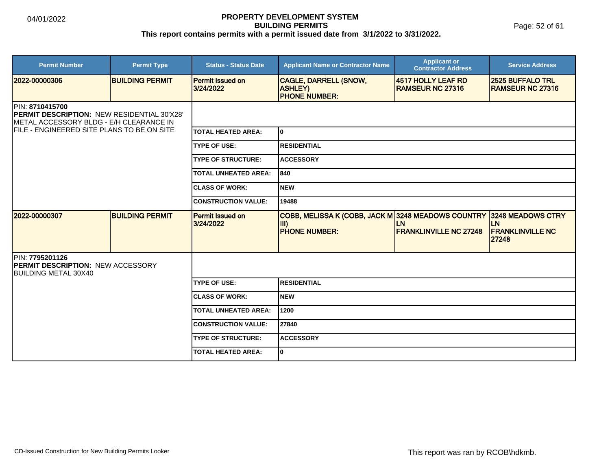Page: 52 of 61

| <b>Permit Number</b>                                                                                                                                            | <b>Permit Type</b>     | <b>Status - Status Date</b>          | <b>Applicant Name or Contractor Name</b>                                              | <b>Applicant or</b><br><b>Contractor Address</b> | <b>Service Address</b>                                             |
|-----------------------------------------------------------------------------------------------------------------------------------------------------------------|------------------------|--------------------------------------|---------------------------------------------------------------------------------------|--------------------------------------------------|--------------------------------------------------------------------|
| 2022-00000306                                                                                                                                                   | <b>BUILDING PERMIT</b> | <b>Permit Issued on</b><br>3/24/2022 | <b>CAGLE, DARRELL (SNOW,</b><br><b>ASHLEY)</b><br><b>PHONE NUMBER:</b>                | 4517 HOLLY LEAF RD<br><b>RAMSEUR NC 27316</b>    | <b>2525 BUFFALO TRL</b><br><b>RAMSEUR NC 27316</b>                 |
| <b>IPIN: 8710415700</b><br>PERMIT DESCRIPTION: NEW RESIDENTIAL 30'X28'<br>METAL ACCESSORY BLDG - E/H CLEARANCE IN<br>FILE - ENGINEERED SITE PLANS TO BE ON SITE |                        |                                      |                                                                                       |                                                  |                                                                    |
|                                                                                                                                                                 |                        | <b>TOTAL HEATED AREA:</b>            | I٥                                                                                    |                                                  |                                                                    |
|                                                                                                                                                                 |                        | <b>TYPE OF USE:</b>                  | <b>RESIDENTIAL</b>                                                                    |                                                  |                                                                    |
|                                                                                                                                                                 |                        | <b>TYPE OF STRUCTURE:</b>            | <b>ACCESSORY</b>                                                                      |                                                  |                                                                    |
|                                                                                                                                                                 |                        | <b>TOTAL UNHEATED AREA:</b>          | 1840                                                                                  |                                                  |                                                                    |
|                                                                                                                                                                 |                        | <b>CLASS OF WORK:</b>                | <b>NEW</b>                                                                            |                                                  |                                                                    |
|                                                                                                                                                                 |                        | <b>CONSTRUCTION VALUE:</b>           | 19488                                                                                 |                                                  |                                                                    |
| 2022-00000307                                                                                                                                                   | <b>BUILDING PERMIT</b> | <b>Permit Issued on</b><br>3/24/2022 | COBB, MELISSA K (COBB, JACK M 3248 MEADOWS COUNTRY<br>$\mathsf{III}$<br>PHONE NUMBER: | LN<br><b>FRANKLINVILLE NC 27248</b>              | 3248 MEADOWS CTRY<br><b>LN</b><br><b>FRANKLINVILLE NC</b><br>27248 |
| PIN: 7795201126<br><b>PERMIT DESCRIPTION: NEW ACCESSORY</b><br><b>BUILDING METAL 30X40</b>                                                                      |                        |                                      |                                                                                       |                                                  |                                                                    |
|                                                                                                                                                                 |                        | <b>TYPE OF USE:</b>                  | <b>RESIDENTIAL</b>                                                                    |                                                  |                                                                    |
|                                                                                                                                                                 |                        | <b>CLASS OF WORK:</b>                | NEW                                                                                   |                                                  |                                                                    |
|                                                                                                                                                                 |                        | <b>TOTAL UNHEATED AREA:</b>          | 1200                                                                                  |                                                  |                                                                    |
|                                                                                                                                                                 |                        | <b>CONSTRUCTION VALUE:</b>           | 27840                                                                                 |                                                  |                                                                    |
|                                                                                                                                                                 |                        | <b>TYPE OF STRUCTURE:</b>            | <b>ACCESSORY</b>                                                                      |                                                  |                                                                    |
|                                                                                                                                                                 |                        | <b>TOTAL HEATED AREA:</b>            | I٥                                                                                    |                                                  |                                                                    |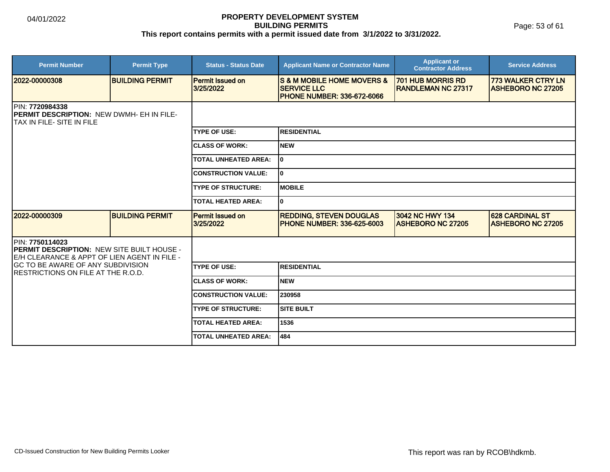Page: 53 of 61

| <b>Permit Number</b>                                                                                           | <b>Permit Type</b>     | <b>Status - Status Date</b>          | <b>Applicant Name or Contractor Name</b>                                                             | <b>Applicant or</b><br><b>Contractor Address</b>      | <b>Service Address</b>                                |
|----------------------------------------------------------------------------------------------------------------|------------------------|--------------------------------------|------------------------------------------------------------------------------------------------------|-------------------------------------------------------|-------------------------------------------------------|
| 2022-00000308                                                                                                  | <b>BUILDING PERMIT</b> | <b>Permit Issued on</b><br>3/25/2022 | <b>S &amp; M MOBILE HOME MOVERS &amp;</b><br><b>SERVICE LLC</b><br><b>PHONE NUMBER: 336-672-6066</b> | <b>701 HUB MORRIS RD</b><br><b>RANDLEMAN NC 27317</b> | <b>773 WALKER CTRY LN</b><br><b>ASHEBORO NC 27205</b> |
| <b>IPIN: 7720984338</b><br><b>IPERMIT DESCRIPTION: NEW DWMH- EH IN FILE-</b><br>ITAX IN FILE- SITE IN FILE     |                        |                                      |                                                                                                      |                                                       |                                                       |
|                                                                                                                |                        | <b>ITYPE OF USE:</b>                 | RESIDENTIAL                                                                                          |                                                       |                                                       |
|                                                                                                                |                        | <b>ICLASS OF WORK:</b>               | <b>NEW</b>                                                                                           |                                                       |                                                       |
|                                                                                                                |                        | <b>TOTAL UNHEATED AREA:</b>          | l0                                                                                                   |                                                       |                                                       |
|                                                                                                                |                        | <b>CONSTRUCTION VALUE:</b>           | I٥                                                                                                   |                                                       |                                                       |
|                                                                                                                |                        | <b>TYPE OF STRUCTURE:</b>            | <b>IMOBILE</b>                                                                                       |                                                       |                                                       |
|                                                                                                                |                        | <b>TOTAL HEATED AREA:</b>            | I٥                                                                                                   |                                                       |                                                       |
| 2022-00000309                                                                                                  | <b>BUILDING PERMIT</b> | <b>Permit Issued on</b><br>3/25/2022 | <b>REDDING, STEVEN DOUGLAS</b><br><b>PHONE NUMBER: 336-625-6003</b>                                  | 3042 NC HWY 134<br><b>IASHEBORO NC 27205</b>          | <b>628 CARDINAL ST</b><br><b>IASHEBORO NC 27205</b>   |
| PIN: 7750114023<br>PERMIT DESCRIPTION: NEW SITE BUILT HOUSE -<br>IE/H CLEARANCE & APPT OF LIEN AGENT IN FILE - |                        |                                      |                                                                                                      |                                                       |                                                       |
| <b>GC TO BE AWARE OF ANY SUBDIVISION</b><br>IRESTRICTIONS ON FILE AT THE R.O.D.                                |                        | <b>TYPE OF USE:</b>                  | <b>RESIDENTIAL</b>                                                                                   |                                                       |                                                       |
|                                                                                                                |                        | <b>CLASS OF WORK:</b>                | INEW                                                                                                 |                                                       |                                                       |
|                                                                                                                |                        | <b>CONSTRUCTION VALUE:</b>           | 230958                                                                                               |                                                       |                                                       |
|                                                                                                                |                        | <b>TYPE OF STRUCTURE:</b>            | <b>SITE BUILT</b>                                                                                    |                                                       |                                                       |
|                                                                                                                |                        | <b>TOTAL HEATED AREA:</b>            | 1536                                                                                                 |                                                       |                                                       |
|                                                                                                                |                        | <b>TOTAL UNHEATED AREA:</b>          | 484                                                                                                  |                                                       |                                                       |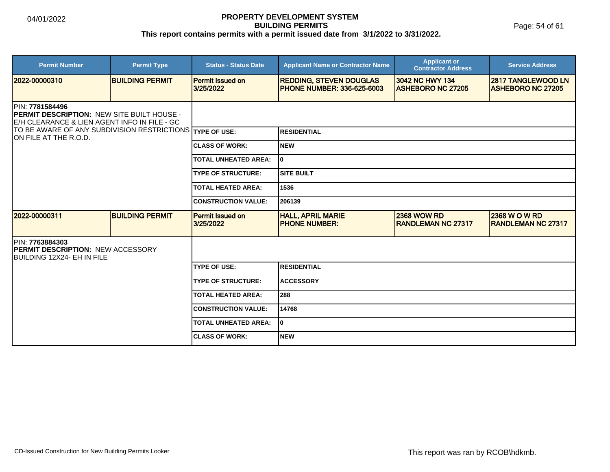Page: 54 of 61

| <b>Permit Number</b>                                                                                                 | <b>Permit Type</b>     | <b>Status - Status Date</b>          | <b>Applicant Name or Contractor Name</b>                             | <b>Applicant or</b><br><b>Contractor Address</b> | <b>Service Address</b>                                |
|----------------------------------------------------------------------------------------------------------------------|------------------------|--------------------------------------|----------------------------------------------------------------------|--------------------------------------------------|-------------------------------------------------------|
| 2022-00000310                                                                                                        | <b>BUILDING PERMIT</b> | <b>Permit Issued on</b><br>3/25/2022 | <b>REDDING, STEVEN DOUGLAS</b><br><b>IPHONE NUMBER: 336-625-6003</b> | 3042 NC HWY 134<br><b>ASHEBORO NC 27205</b>      | <b>2817 TANGLEWOOD LN</b><br><b>ASHEBORO NC 27205</b> |
| PIN: 7781584496<br><b>PERMIT DESCRIPTION: NEW SITE BUILT HOUSE -</b><br>E/H CLEARANCE & LIEN AGENT INFO IN FILE - GC |                        |                                      |                                                                      |                                                  |                                                       |
| TO BE AWARE OF ANY SUBDIVISION RESTRICTIONS TYPE OF USE:<br><b>ION FILE AT THE R.O.D.</b>                            |                        |                                      | <b>RESIDENTIAL</b>                                                   |                                                  |                                                       |
|                                                                                                                      |                        | <b>CLASS OF WORK:</b>                | <b>NEW</b>                                                           |                                                  |                                                       |
|                                                                                                                      |                        | <b>TOTAL UNHEATED AREA:</b>          | I٥                                                                   |                                                  |                                                       |
|                                                                                                                      |                        | <b>TYPE OF STRUCTURE:</b>            | <b>SITE BUILT</b>                                                    |                                                  |                                                       |
|                                                                                                                      |                        | <b>TOTAL HEATED AREA:</b>            | 1536                                                                 |                                                  |                                                       |
|                                                                                                                      |                        | <b>CONSTRUCTION VALUE:</b>           | 206139                                                               |                                                  |                                                       |
| 2022-00000311                                                                                                        | <b>BUILDING PERMIT</b> | <b>Permit Issued on</b><br>3/25/2022 | <b>HALL, APRIL MARIE</b><br><b>PHONE NUMBER:</b>                     | <b>2368 WOW RD</b><br><b>RANDLEMAN NC 27317</b>  | <b>2368 W O W RD</b><br><b>RANDLEMAN NC 27317</b>     |
| PIN: 7763884303<br><b>IPERMIT DESCRIPTION: NEW ACCESSORY</b><br><b>IBUILDING 12X24- EH IN FILE</b>                   |                        |                                      |                                                                      |                                                  |                                                       |
|                                                                                                                      |                        | <b>TYPE OF USE:</b>                  | <b>RESIDENTIAL</b>                                                   |                                                  |                                                       |
|                                                                                                                      |                        | <b>TYPE OF STRUCTURE:</b>            | <b>ACCESSORY</b>                                                     |                                                  |                                                       |
|                                                                                                                      |                        | <b>TOTAL HEATED AREA:</b>            | 288                                                                  |                                                  |                                                       |
|                                                                                                                      |                        | <b>CONSTRUCTION VALUE:</b>           | 14768                                                                |                                                  |                                                       |
|                                                                                                                      |                        | <b>TOTAL UNHEATED AREA:</b>          | I٥                                                                   |                                                  |                                                       |
|                                                                                                                      |                        | <b>CLASS OF WORK:</b>                | <b>NEW</b>                                                           |                                                  |                                                       |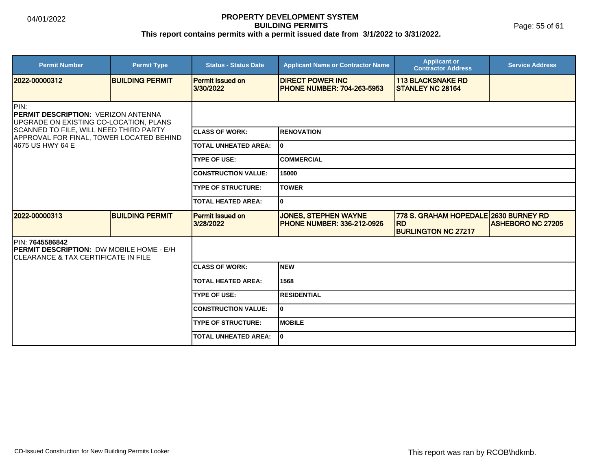Page: 55 of 61

| <b>Permit Number</b>                                                                                                                                                                                     | <b>Permit Type</b>     | <b>Status - Status Date</b>          | <b>Applicant Name or Contractor Name</b>                         | <b>Applicant or</b><br><b>Contractor Address</b>                                 | <b>Service Address</b>   |  |  |
|----------------------------------------------------------------------------------------------------------------------------------------------------------------------------------------------------------|------------------------|--------------------------------------|------------------------------------------------------------------|----------------------------------------------------------------------------------|--------------------------|--|--|
| 12022-00000312                                                                                                                                                                                           | <b>BUILDING PERMIT</b> | <b>Permit Issued on</b><br>3/30/2022 | <b>IDIRECT POWER INC</b><br><b>PHONE NUMBER: 704-263-5953</b>    | <b>113 BLACKSNAKE RD</b><br><b>ISTANLEY NC 28164</b>                             |                          |  |  |
| PIN:<br><b>IPERMIT DESCRIPTION: VERIZON ANTENNA</b><br>UPGRADE ON EXISTING CO-LOCATION, PLANS<br>SCANNED TO FILE, WILL NEED THIRD PARTY<br>APPROVAL FOR FINAL, TOWER LOCATED BEHIND<br>14675 US HWY 64 E |                        |                                      |                                                                  |                                                                                  |                          |  |  |
|                                                                                                                                                                                                          |                        | <b>CLASS OF WORK:</b>                | <b>RENOVATION</b>                                                |                                                                                  |                          |  |  |
|                                                                                                                                                                                                          |                        | <b>TOTAL UNHEATED AREA:</b>          | lo.                                                              |                                                                                  |                          |  |  |
|                                                                                                                                                                                                          |                        | <b>TYPE OF USE:</b>                  | ICOMMERCIAL                                                      |                                                                                  |                          |  |  |
|                                                                                                                                                                                                          |                        | <b>CONSTRUCTION VALUE:</b>           | 15000                                                            |                                                                                  |                          |  |  |
|                                                                                                                                                                                                          |                        | <b>TYPE OF STRUCTURE:</b>            | <b>TOWER</b>                                                     |                                                                                  |                          |  |  |
|                                                                                                                                                                                                          |                        | <b>TOTAL HEATED AREA:</b>            | lo.                                                              |                                                                                  |                          |  |  |
| 12022-00000313                                                                                                                                                                                           | <b>BUILDING PERMIT</b> | <b>Permit Issued on</b><br>3/28/2022 | <b>JONES, STEPHEN WAYNE</b><br><b>PHONE NUMBER: 336-212-0926</b> | 778 S. GRAHAM HOPEDALE 2630 BURNEY RD<br><b>RD</b><br><b>BURLINGTON NC 27217</b> | <b>ASHEBORO NC 27205</b> |  |  |
| <b>IPIN: 7645586842</b><br><b>PERMIT DESCRIPTION: DW MOBILE HOME - E/H</b><br>ICLEARANCE & TAX CERTIFICATE IN FILE                                                                                       |                        |                                      |                                                                  |                                                                                  |                          |  |  |
|                                                                                                                                                                                                          |                        | <b>CLASS OF WORK:</b>                | Inew                                                             |                                                                                  |                          |  |  |
|                                                                                                                                                                                                          |                        | <b>TOTAL HEATED AREA:</b>            | 1568                                                             |                                                                                  |                          |  |  |
|                                                                                                                                                                                                          |                        | <b>TYPE OF USE:</b>                  | <b>RESIDENTIAL</b>                                               |                                                                                  |                          |  |  |
|                                                                                                                                                                                                          |                        | <b>CONSTRUCTION VALUE:</b>           | lo.                                                              |                                                                                  |                          |  |  |
|                                                                                                                                                                                                          |                        | <b>TYPE OF STRUCTURE:</b>            | <b>MOBILE</b>                                                    |                                                                                  |                          |  |  |
|                                                                                                                                                                                                          |                        | <b>TOTAL UNHEATED AREA:</b>          | I٥                                                               |                                                                                  |                          |  |  |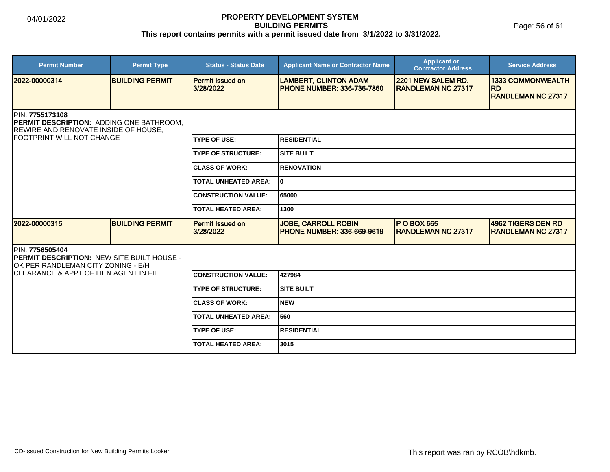Page: 56 of 61

| <b>Permit Number</b>                                                                                                                     | <b>Permit Type</b>     | <b>Status - Status Date</b>          | <b>Applicant Name or Contractor Name</b>                          | <b>Applicant or</b><br><b>Contractor Address</b> | <b>Service Address</b>                                             |  |
|------------------------------------------------------------------------------------------------------------------------------------------|------------------------|--------------------------------------|-------------------------------------------------------------------|--------------------------------------------------|--------------------------------------------------------------------|--|
| 2022-00000314                                                                                                                            | <b>BUILDING PERMIT</b> | <b>Permit Issued on</b><br>3/28/2022 | <b>LAMBERT, CLINTON ADAM</b><br><b>PHONE NUMBER: 336-736-7860</b> | 2201 NEW SALEM RD.<br><b>RANDLEMAN NC 27317</b>  | <b>1333 COMMONWEALTH</b><br><b>RD</b><br><b>RANDLEMAN NC 27317</b> |  |
| PIN: 7755173108<br>PERMIT DESCRIPTION: ADDING ONE BATHROOM,<br>REWIRE AND RENOVATE INSIDE OF HOUSE,<br><b>IFOOTPRINT WILL NOT CHANGE</b> |                        |                                      |                                                                   |                                                  |                                                                    |  |
|                                                                                                                                          |                        | <b>TYPE OF USE:</b>                  | IRESIDENTIAL                                                      |                                                  |                                                                    |  |
|                                                                                                                                          |                        | <b>TYPE OF STRUCTURE:</b>            | ISITE BUILT                                                       |                                                  |                                                                    |  |
|                                                                                                                                          |                        | <b>CLASS OF WORK:</b>                | <b>RENOVATION</b>                                                 |                                                  |                                                                    |  |
|                                                                                                                                          |                        | <b>TOTAL UNHEATED AREA:</b>          | I٥                                                                |                                                  |                                                                    |  |
|                                                                                                                                          |                        | <b>CONSTRUCTION VALUE:</b>           | 65000                                                             |                                                  |                                                                    |  |
|                                                                                                                                          |                        | <b>TOTAL HEATED AREA:</b>            | 1300                                                              |                                                  |                                                                    |  |
| 2022-00000315                                                                                                                            | <b>BUILDING PERMIT</b> | <b>Permit Issued on</b><br>3/28/2022 | <b>JOBE, CARROLL ROBIN</b><br><b>IPHONE NUMBER: 336-669-9619</b>  | <b>P O BOX 665</b><br><b>RANDLEMAN NC 27317</b>  | <b>4962 TIGERS DEN RD</b><br><b>RANDLEMAN NC 27317</b>             |  |
| PIN: 7756505404<br><b>PERMIT DESCRIPTION: NEW SITE BUILT HOUSE -</b><br>OK PER RANDLEMAN CITY ZONING - E/H                               |                        |                                      |                                                                   |                                                  |                                                                    |  |
| <b>CLEARANCE &amp; APPT OF LIEN AGENT IN FILE</b>                                                                                        |                        | <b>CONSTRUCTION VALUE:</b>           | 427984                                                            |                                                  |                                                                    |  |
|                                                                                                                                          |                        | <b>TYPE OF STRUCTURE:</b>            | <b>SITE BUILT</b>                                                 |                                                  |                                                                    |  |
|                                                                                                                                          |                        | <b>CLASS OF WORK:</b>                | INEW                                                              |                                                  |                                                                    |  |
|                                                                                                                                          |                        | <b>TOTAL UNHEATED AREA:</b>          | 560                                                               |                                                  |                                                                    |  |
|                                                                                                                                          |                        | <b>TYPE OF USE:</b>                  | <b>RESIDENTIAL</b>                                                |                                                  |                                                                    |  |
|                                                                                                                                          |                        | <b>TOTAL HEATED AREA:</b>            | 3015                                                              |                                                  |                                                                    |  |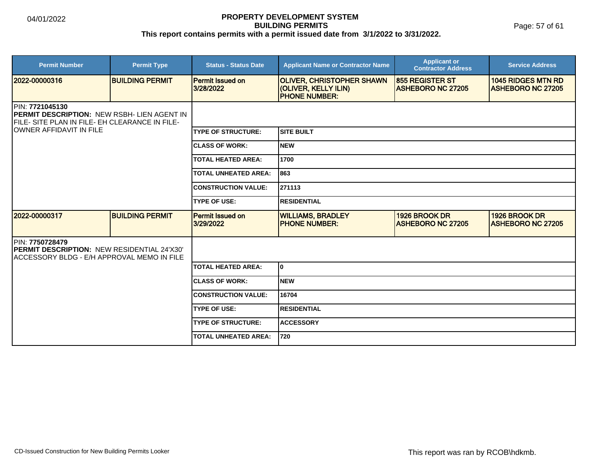| <b>Permit Number</b>                                                                                                     | <b>Permit Type</b>     | <b>Status - Status Date</b>          | <b>Applicant Name or Contractor Name</b>                                         | <b>Applicant or</b><br><b>Contractor Address</b>   | <b>Service Address</b>                                |
|--------------------------------------------------------------------------------------------------------------------------|------------------------|--------------------------------------|----------------------------------------------------------------------------------|----------------------------------------------------|-------------------------------------------------------|
| 2022-00000316                                                                                                            | <b>BUILDING PERMIT</b> | <b>Permit Issued on</b><br>3/28/2022 | <b>OLIVER, CHRISTOPHER SHAWN</b><br>(OLIVER, KELLY ILIN)<br><b>PHONE NUMBER:</b> | <b>855 REGISTER ST</b><br><b>ASHEBORO NC 27205</b> | <b>1045 RIDGES MTN RD</b><br><b>ASHEBORO NC 27205</b> |
| <b>IPIN: 7721045130</b><br>PERMIT DESCRIPTION: NEW RSBH- LIEN AGENT IN<br>FILE- SITE PLAN IN FILE- EH CLEARANCE IN FILE- |                        |                                      |                                                                                  |                                                    |                                                       |
| <b>IOWNER AFFIDAVIT IN FILE</b>                                                                                          |                        | <b>TYPE OF STRUCTURE:</b>            | <b>SITE BUILT</b>                                                                |                                                    |                                                       |
|                                                                                                                          |                        | <b>CLASS OF WORK:</b>                | <b>NEW</b>                                                                       |                                                    |                                                       |
|                                                                                                                          |                        | <b>TOTAL HEATED AREA:</b>            | 1700                                                                             |                                                    |                                                       |
|                                                                                                                          |                        | <b>TOTAL UNHEATED AREA:</b>          | 863                                                                              |                                                    |                                                       |
|                                                                                                                          |                        | <b>CONSTRUCTION VALUE:</b>           | 271113                                                                           |                                                    |                                                       |
|                                                                                                                          |                        | <b>TYPE OF USE:</b>                  | <b>RESIDENTIAL</b>                                                               |                                                    |                                                       |
| 2022-00000317                                                                                                            | <b>BUILDING PERMIT</b> | <b>Permit Issued on</b><br>3/29/2022 | <b>WILLIAMS, BRADLEY</b><br><b>IPHONE NUMBER:</b>                                | 1926 BROOK DR<br><b>ASHEBORO NC 27205</b>          | 1926 BROOK DR<br><b>ASHEBORO NC 27205</b>             |
| PIN: 7750728479<br><b>IPERMIT DESCRIPTION: NEW RESIDENTIAL 24'X30'</b><br>IACCESSORY BLDG - E/H APPROVAL MEMO IN FILE    |                        |                                      |                                                                                  |                                                    |                                                       |
|                                                                                                                          |                        | TOTAL HEATED AREA:                   | I٥                                                                               |                                                    |                                                       |
|                                                                                                                          |                        | <b>ICLASS OF WORK:</b>               | <b>NEW</b>                                                                       |                                                    |                                                       |
|                                                                                                                          |                        | <b>CONSTRUCTION VALUE:</b>           | 16704                                                                            |                                                    |                                                       |
|                                                                                                                          |                        | <b>TYPE OF USE:</b>                  | <b>RESIDENTIAL</b>                                                               |                                                    |                                                       |
|                                                                                                                          |                        | <b>TYPE OF STRUCTURE:</b>            | <b>ACCESSORY</b>                                                                 |                                                    |                                                       |
|                                                                                                                          |                        | <b>TOTAL UNHEATED AREA:</b>          | 720                                                                              |                                                    |                                                       |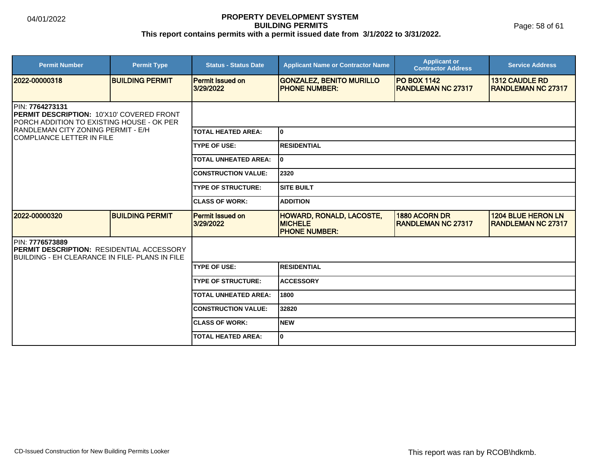Page: 58 of 61

| <b>Permit Number</b>                                                                                                                                                                 | <b>Permit Type</b>     | <b>Status - Status Date</b>          | <b>Applicant Name or Contractor Name</b>                                  | <b>Applicant or</b><br><b>Contractor Address</b> | <b>Service Address</b>                             |  |
|--------------------------------------------------------------------------------------------------------------------------------------------------------------------------------------|------------------------|--------------------------------------|---------------------------------------------------------------------------|--------------------------------------------------|----------------------------------------------------|--|
| 2022-00000318                                                                                                                                                                        | <b>BUILDING PERMIT</b> | Permit Issued on<br>3/29/2022        | <b>GONZALEZ, BENITO MURILLO</b><br><b>PHONE NUMBER:</b>                   | <b>PO BOX 1142</b><br><b>RANDLEMAN NC 27317</b>  | <b>1312 CAUDLE RD</b><br><b>RANDLEMAN NC 27317</b> |  |
| PIN: 7764273131<br>PERMIT DESCRIPTION: 10'X10' COVERED FRONT<br>PORCH ADDITION TO EXISTING HOUSE - OK PER<br>RANDLEMAN CITY ZONING PERMIT - E/H<br><b>ICOMPLIANCE LETTER IN FILE</b> |                        |                                      |                                                                           |                                                  |                                                    |  |
|                                                                                                                                                                                      |                        | <b>TOTAL HEATED AREA:</b>            | lo.                                                                       |                                                  |                                                    |  |
|                                                                                                                                                                                      |                        | <b>TYPE OF USE:</b>                  | <b>IRESIDENTIAL</b>                                                       |                                                  |                                                    |  |
|                                                                                                                                                                                      |                        | <b>TOTAL UNHEATED AREA:</b>          | lo.                                                                       |                                                  |                                                    |  |
|                                                                                                                                                                                      |                        | <b>CONSTRUCTION VALUE:</b>           | 2320                                                                      |                                                  |                                                    |  |
|                                                                                                                                                                                      |                        | <b>TYPE OF STRUCTURE:</b>            | <b>SITE BUILT</b>                                                         |                                                  |                                                    |  |
|                                                                                                                                                                                      |                        | <b>ICLASS OF WORK:</b>               | <b>ADDITION</b>                                                           |                                                  |                                                    |  |
| 12022-00000320                                                                                                                                                                       | <b>BUILDING PERMIT</b> | <b>Permit Issued on</b><br>3/29/2022 | <b>HOWARD, RONALD, LACOSTE,</b><br><b>MICHELE</b><br><b>PHONE NUMBER:</b> | 1880 ACORN DR<br><b>IRANDLEMAN NC 27317</b>      | <b>1204 BLUE HERON LN</b><br>IRANDLEMAN NC 27317   |  |
| PIN: 7776573889<br><b>IPERMIT DESCRIPTION: RESIDENTIAL ACCESSORY</b><br>BUILDING - EH CLEARANCE IN FILE- PLANS IN FILE                                                               |                        |                                      |                                                                           |                                                  |                                                    |  |
|                                                                                                                                                                                      |                        | <b>TYPE OF USE:</b>                  | RESIDENTIAL                                                               |                                                  |                                                    |  |
|                                                                                                                                                                                      |                        | <b>TYPE OF STRUCTURE:</b>            | <b>ACCESSORY</b>                                                          |                                                  |                                                    |  |
|                                                                                                                                                                                      |                        | <b>TOTAL UNHEATED AREA:</b>          | 1800                                                                      |                                                  |                                                    |  |
|                                                                                                                                                                                      |                        | <b>CONSTRUCTION VALUE:</b>           | 32820                                                                     |                                                  |                                                    |  |
|                                                                                                                                                                                      |                        | <b>ICLASS OF WORK:</b>               | <b>NEW</b>                                                                |                                                  |                                                    |  |
|                                                                                                                                                                                      |                        | <b>TOTAL HEATED AREA:</b>            | lo.                                                                       |                                                  |                                                    |  |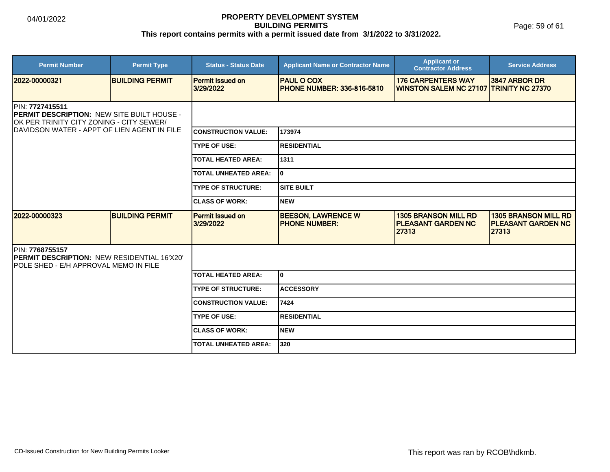Page: 59 of 61

| <b>Permit Number</b>                                                                                             | <b>Permit Type</b>     | <b>Status - Status Date</b>          | <b>Applicant Name or Contractor Name</b>               | <b>Applicant or</b><br><b>Contractor Address</b>                     | <b>Service Address</b>                                            |  |
|------------------------------------------------------------------------------------------------------------------|------------------------|--------------------------------------|--------------------------------------------------------|----------------------------------------------------------------------|-------------------------------------------------------------------|--|
| 2022-00000321                                                                                                    | <b>BUILDING PERMIT</b> | <b>Permit Issued on</b><br>3/29/2022 | <b>PAUL O COX</b><br><b>PHONE NUMBER: 336-816-5810</b> | <b>176 CARPENTERS WAY</b><br>WINSTON SALEM NC 27107 TRINITY NC 27370 | 3847 ARBOR DR                                                     |  |
| PIN: 7727415511<br><b>PERMIT DESCRIPTION: NEW SITE BUILT HOUSE -</b><br>OK PER TRINITY CITY ZONING - CITY SEWER/ |                        |                                      |                                                        |                                                                      |                                                                   |  |
| IDAVIDSON WATER - APPT OF LIEN AGENT IN FILE                                                                     |                        | <b>CONSTRUCTION VALUE:</b>           | 173974                                                 |                                                                      |                                                                   |  |
|                                                                                                                  |                        | <b>TYPE OF USE:</b>                  | <b>RESIDENTIAL</b>                                     |                                                                      |                                                                   |  |
|                                                                                                                  |                        | <b>TOTAL HEATED AREA:</b>            | 1311                                                   |                                                                      |                                                                   |  |
|                                                                                                                  |                        | <b>TOTAL UNHEATED AREA:</b>          | I٥                                                     |                                                                      |                                                                   |  |
|                                                                                                                  |                        | <b>TYPE OF STRUCTURE:</b>            | <b>SITE BUILT</b>                                      |                                                                      |                                                                   |  |
|                                                                                                                  |                        | <b>CLASS OF WORK:</b>                | <b>NEW</b>                                             |                                                                      |                                                                   |  |
| 2022-00000323                                                                                                    | <b>BUILDING PERMIT</b> | Permit Issued on<br>3/29/2022        | <b>BEESON, LAWRENCE W</b><br><b>PHONE NUMBER:</b>      | <b>1305 BRANSON MILL RD</b><br><b>PLEASANT GARDEN NC</b><br>27313    | <b>1305 BRANSON MILL RD</b><br><b>PLEASANT GARDEN NC</b><br>27313 |  |
| PIN: 7768755157<br><b>PERMIT DESCRIPTION: NEW RESIDENTIAL 16'X20'</b><br>IPOLE SHED - E/H APPROVAL MEMO IN FILE  |                        |                                      |                                                        |                                                                      |                                                                   |  |
|                                                                                                                  |                        | <b>TOTAL HEATED AREA:</b>            | I٥                                                     |                                                                      |                                                                   |  |
|                                                                                                                  |                        | <b>TYPE OF STRUCTURE:</b>            | <b>ACCESSORY</b>                                       |                                                                      |                                                                   |  |
|                                                                                                                  |                        | <b>CONSTRUCTION VALUE:</b>           | 7424                                                   |                                                                      |                                                                   |  |
|                                                                                                                  |                        | <b>TYPE OF USE:</b>                  | <b>RESIDENTIAL</b>                                     |                                                                      |                                                                   |  |
|                                                                                                                  |                        | <b>ICLASS OF WORK:</b>               | <b>NEW</b>                                             |                                                                      |                                                                   |  |
|                                                                                                                  |                        | <b>TOTAL UNHEATED AREA:</b>          | 320                                                    |                                                                      |                                                                   |  |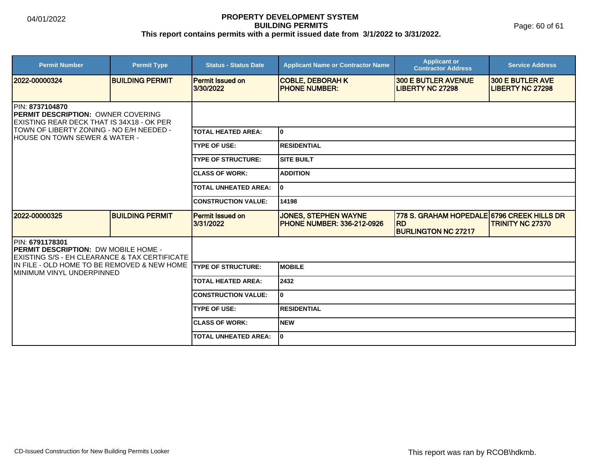Page: 60 of 61

| <b>Permit Number</b>                                                                                              | <b>Permit Type</b>     | <b>Status - Status Date</b>          | <b>Applicant Name or Contractor Name</b>                         | <b>Applicant or</b><br><b>Contractor Address</b>                                      | <b>Service Address</b>                             |  |
|-------------------------------------------------------------------------------------------------------------------|------------------------|--------------------------------------|------------------------------------------------------------------|---------------------------------------------------------------------------------------|----------------------------------------------------|--|
| 2022-00000324                                                                                                     | <b>BUILDING PERMIT</b> | <b>Permit Issued on</b><br>3/30/2022 | <b>COBLE, DEBORAH K</b><br><b>PHONE NUMBER:</b>                  | <b>300 E BUTLER AVENUE</b><br><b>LIBERTY NC 27298</b>                                 | <b>300 E BUTLER AVE</b><br><b>LIBERTY NC 27298</b> |  |
| <b>IPIN: 8737104870</b><br><b>PERMIT DESCRIPTION: OWNER COVERING</b><br>EXISTING REAR DECK THAT IS 34X18 - OK PER |                        |                                      |                                                                  |                                                                                       |                                                    |  |
| TOWN OF LIBERTY ZONING - NO E/H NEEDED -<br>HOUSE ON TOWN SEWER & WATER -                                         |                        | <b>TOTAL HEATED AREA:</b>            | I٥                                                               |                                                                                       |                                                    |  |
|                                                                                                                   |                        | <b>TYPE OF USE:</b>                  | IRESIDENTIAL                                                     |                                                                                       |                                                    |  |
|                                                                                                                   |                        | <b>TYPE OF STRUCTURE:</b>            | <b>SITE BUILT</b>                                                |                                                                                       |                                                    |  |
|                                                                                                                   |                        | <b>CLASS OF WORK:</b>                | <b>ADDITION</b>                                                  |                                                                                       |                                                    |  |
|                                                                                                                   |                        | <b>TOTAL UNHEATED AREA:</b>          | I٥                                                               |                                                                                       |                                                    |  |
|                                                                                                                   |                        | <b>CONSTRUCTION VALUE:</b>           | 14198                                                            |                                                                                       |                                                    |  |
| 2022-00000325                                                                                                     | <b>BUILDING PERMIT</b> | <b>Permit Issued on</b><br>3/31/2022 | <b>JONES, STEPHEN WAYNE</b><br><b>PHONE NUMBER: 336-212-0926</b> | 778 S. GRAHAM HOPEDALE 6796 CREEK HILLS DR<br><b>RD</b><br><b>BURLINGTON NC 27217</b> | <b>TRINITY NC 27370</b>                            |  |
| PIN: 6791178301<br><b>PERMIT DESCRIPTION: DW MOBILE HOME -</b><br>EXISTING S/S - EH CLEARANCE & TAX CERTIFICATE   |                        |                                      |                                                                  |                                                                                       |                                                    |  |
| IIN FILE - OLD HOME TO BE REMOVED & NEW HOME<br>IMINIMUM VINYL UNDERPINNED                                        |                        | <b>TYPE OF STRUCTURE:</b>            | <b>IMOBILE</b>                                                   |                                                                                       |                                                    |  |
|                                                                                                                   |                        | <b>TOTAL HEATED AREA:</b>            | 2432                                                             |                                                                                       |                                                    |  |
|                                                                                                                   |                        | <b>CONSTRUCTION VALUE:</b>           | I٥                                                               |                                                                                       |                                                    |  |
|                                                                                                                   |                        | <b>TYPE OF USE:</b>                  | <b>IRESIDENTIAL</b>                                              |                                                                                       |                                                    |  |
|                                                                                                                   |                        | <b>CLASS OF WORK:</b>                | Inew                                                             |                                                                                       |                                                    |  |
|                                                                                                                   |                        | <b>TOTAL UNHEATED AREA:</b>          | I٥                                                               |                                                                                       |                                                    |  |